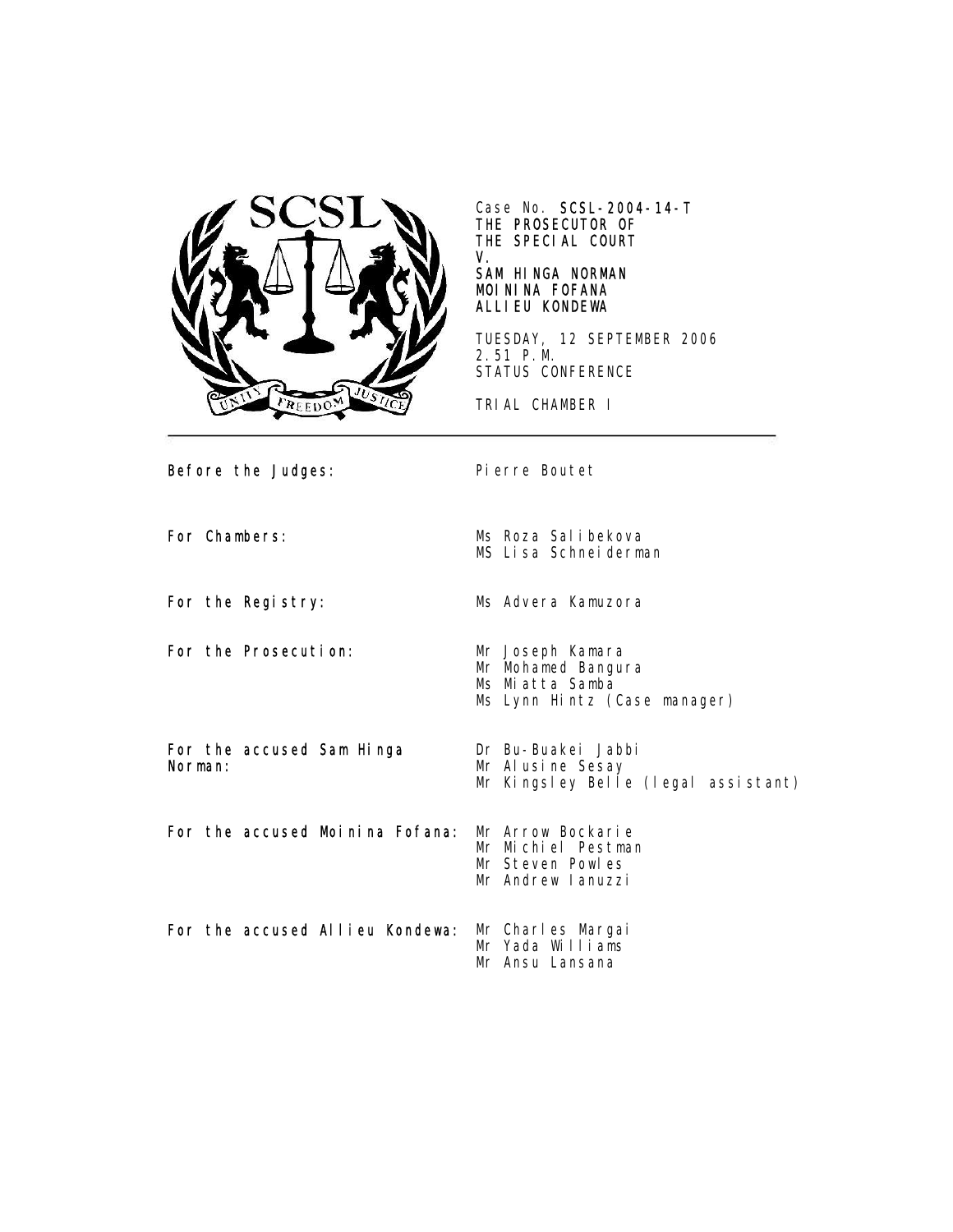

Case No. SCSL-2004-14-T THE PROSECUTOR OF THE SPECIAL COURT V.

## SAM HINGA NORMAN MOININA FOFANA ALLIEU KONDEWA

TUESDAY, 12 SEPTEMBER 2006 2.51 P.M. STATUS CONFERENCE

TRIAL CHAMBER I

Before the Judges: Pierre Boutet For Chambers: Ms Roza Salibekova MS Lisa Schneiderman For the Registry: Ms Advera Kamuzora For the Prosecution: Mr Joseph Kamara Mr Mohamed Bangura Ms Miatta Samba Ms Lynn Hintz (Case manager) For the accused Sam Hinga Norman: Dr Bu-Buakei Jabbi Mr Alusine Sesay Mr Kingsley Belle (legal assistant) For the accused Moinina Fofana: Mr Arrow Bockarie Mr Michiel Pestman Mr Steven Powles Mr Andrew Ianuzzi For the accused Allieu Kondewa: Mr Charles Margai Mr Yada Williams Mr Ansu Lansana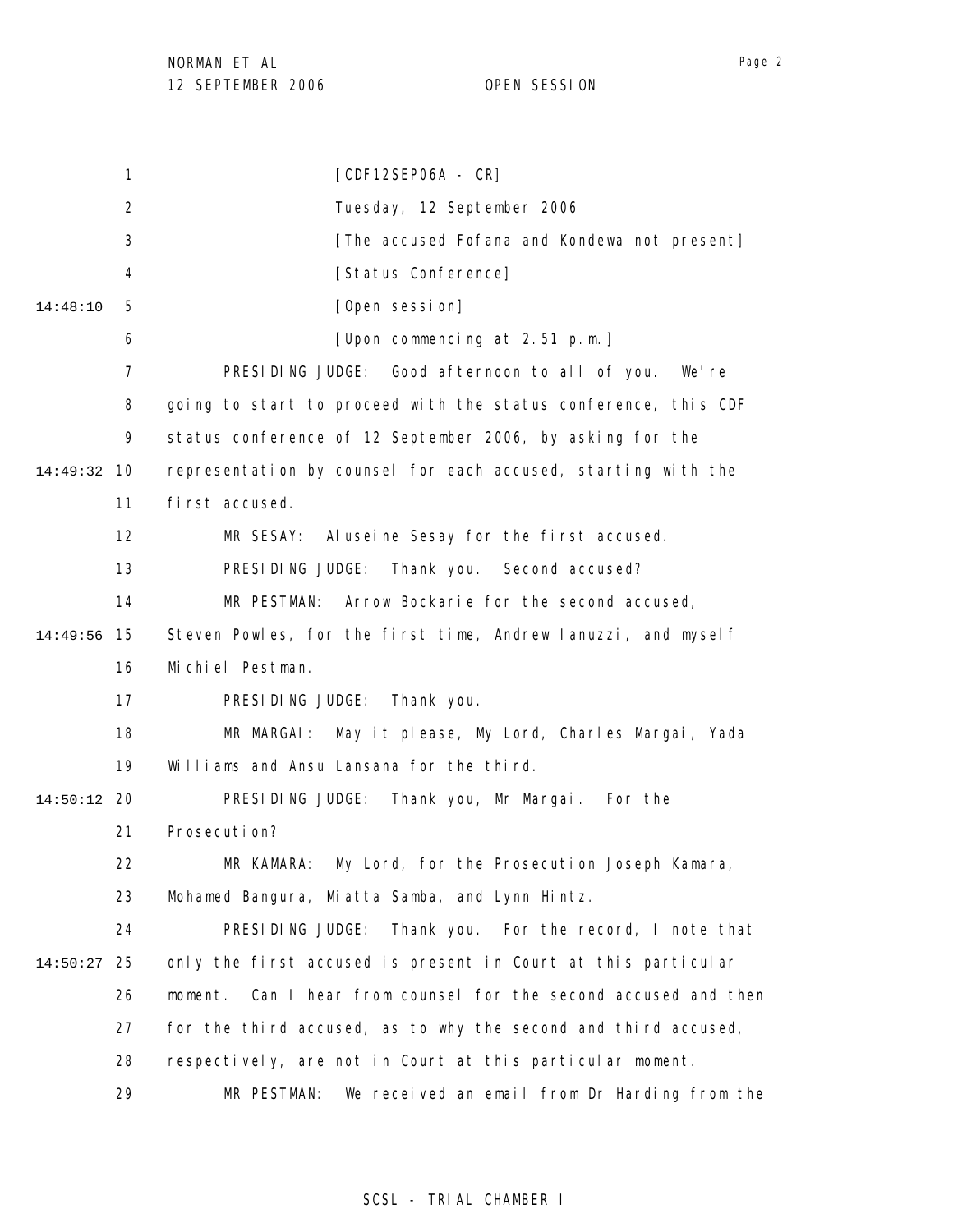1 2 3 4 5 6 7 8 9 10 14:49:32 11 12 13 14 15 14:49:56 16 17 18 19 20 14:50:12 21 22 23 24 25 14:50:27 26 27 28 29 14:48:10 [CDF12SEP06A - CR] Tuesday, 12 September 2006 [The accused Fofana and Kondewa not present] [Status Conference] [Open session] [Upon commencing at 2.51 p.m.] PRESIDING JUDGE: Good afternoon to all of you. We're going to start to proceed with the status conference, this CDF status conference of 12 September 2006, by asking for the representation by counsel for each accused, starting with the first accused. MR SESAY: Aluseine Sesay for the first accused. PRESIDING JUDGE: Thank you. Second accused? MR PESTMAN: Arrow Bockarie for the second accused, Steven Powles, for the first time, Andrew Ianuzzi, and myself Michiel Pestman. PRESIDING JUDGE: Thank you. MR MARGAI: May it please, My Lord, Charles Margai, Yada Williams and Ansu Lansana for the third. PRESIDING JUDGE: Thank you, Mr Margai. For the Prosecution? MR KAMARA: My Lord, for the Prosecution Joseph Kamara, Mohamed Bangura, Miatta Samba, and Lynn Hintz. PRESIDING JUDGE: Thank you. For the record, I note that only the first accused is present in Court at this particular moment. Can I hear from counsel for the second accused and then for the third accused, as to why the second and third accused, respectively, are not in Court at this particular moment. MR PESTMAN: We received an email from Dr Harding from the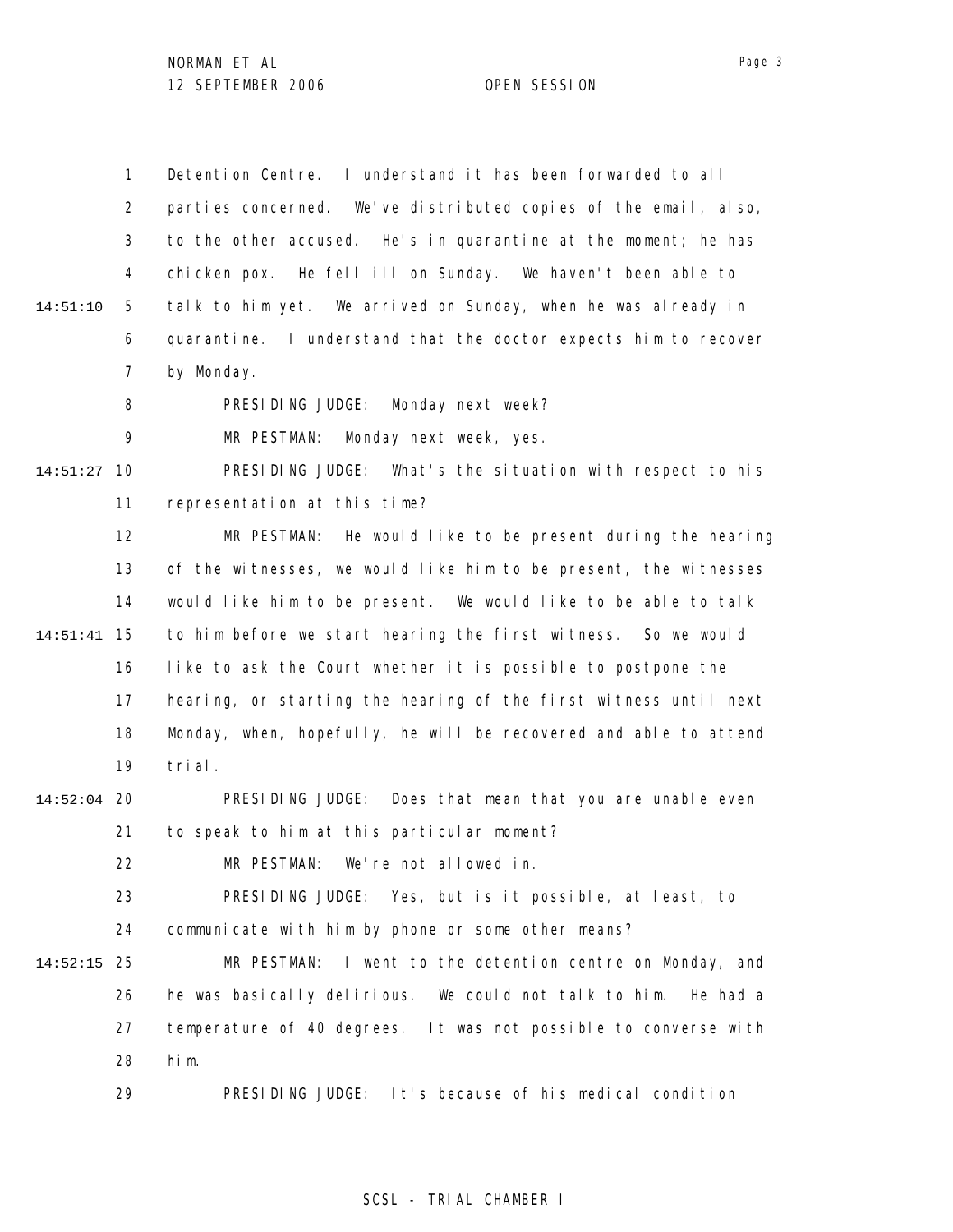1 2 3 4 5 6 7 8 9 10 14:51:27 11 12 13 14 15 14:51:41 16 17 18 19 20 14:52:04 21 22 23 24 25 14:52:15 26 27 28 29 14:51:10 Detention Centre. I understand it has been forwarded to all parties concerned. We've distributed copies of the email, also, to the other accused. He's in quarantine at the moment; he has chicken pox. He fell ill on Sunday. We haven't been able to talk to him yet. We arrived on Sunday, when he was already in quarantine. I understand that the doctor expects him to recover by Monday. PRESIDING JUDGE: Monday next week? MR PESTMAN: Monday next week, yes. PRESIDING JUDGE: What's the situation with respect to his representation at this time? MR PESTMAN: He would like to be present during the hearing of the witnesses, we would like him to be present, the witnesses would like him to be present. We would like to be able to talk to him before we start hearing the first witness. So we would like to ask the Court whether it is possible to postpone the hearing, or starting the hearing of the first witness until next Monday, when, hopefully, he will be recovered and able to attend trial. PRESIDING JUDGE: Does that mean that you are unable even to speak to him at this particular moment? MR PESTMAN: We're not allowed in. PRESIDING JUDGE: Yes, but is it possible, at least, to communicate with him by phone or some other means? MR PESTMAN: I went to the detention centre on Monday, and he was basically delirious. We could not talk to him. He had a temperature of 40 degrees. It was not possible to converse with him. PRESIDING JUDGE: It's because of his medical condition

## SCSL - TRIAL CHAMBER I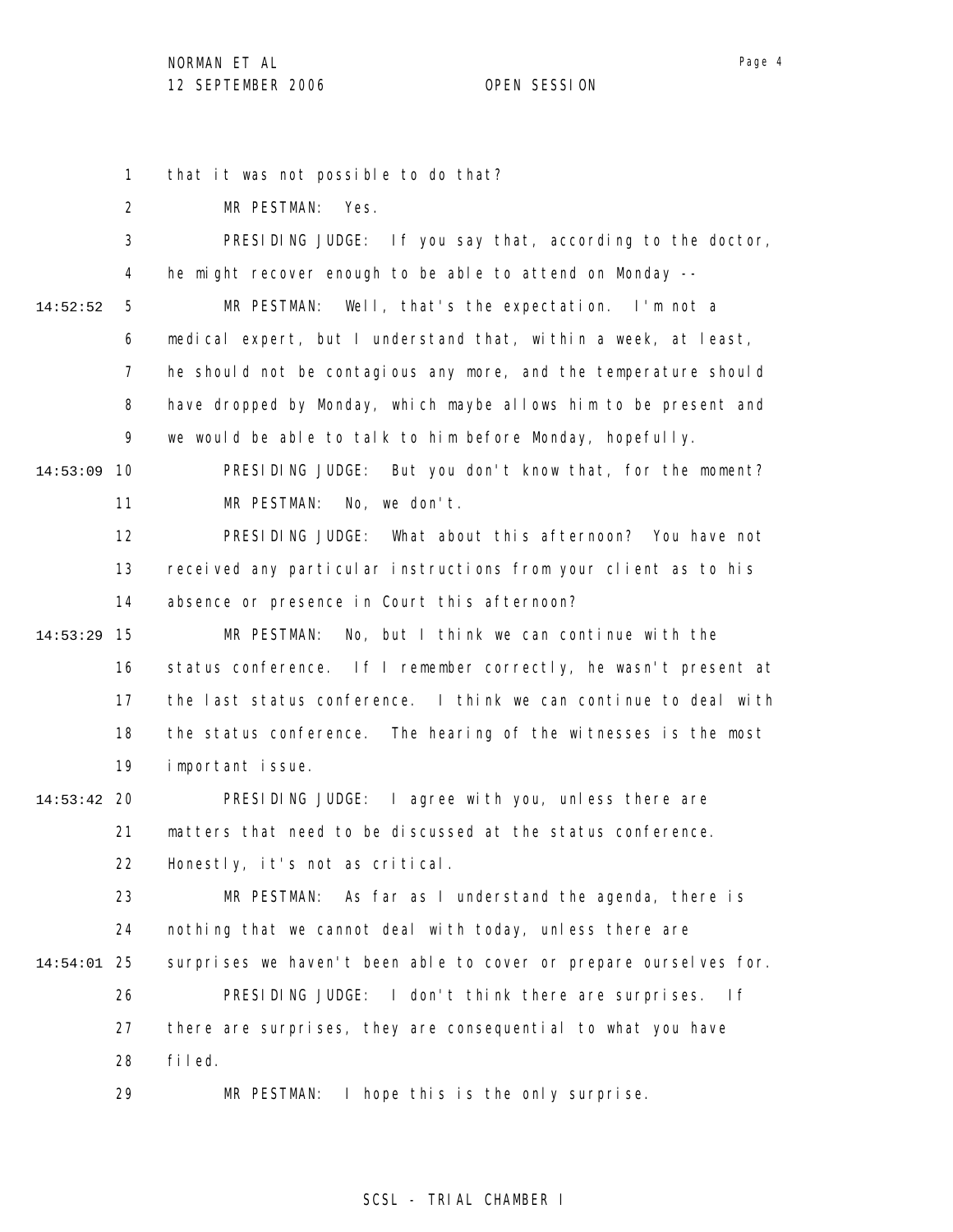1 that it was not possible to do that?

2 MR PESTMAN: Yes.

3 4 5 6 7 8 9 10 14:53:09 11 12 13 14 15 14:53:29 16 17 18 19 20 14:53:42 21 22 23 24 25 14:54:01 26 27 28 14:52:52 PRESIDING JUDGE: If you say that, according to the doctor, he might recover enough to be able to attend on Monday -- MR PESTMAN: Well, that's the expectation. I'm not a medical expert, but I understand that, within a week, at least, he should not be contagious any more, and the temperature should have dropped by Monday, which maybe allows him to be present and we would be able to talk to him before Monday, hopefully. PRESIDING JUDGE: But you don't know that, for the moment? MR PESTMAN: No, we don't. PRESIDING JUDGE: What about this afternoon? You have not received any particular instructions from your client as to his absence or presence in Court this afternoon? MR PESTMAN: No, but I think we can continue with the status conference. If I remember correctly, he wasn't present at the last status conference. I think we can continue to deal with the status conference. The hearing of the witnesses is the most important issue. PRESIDING JUDGE: I agree with you, unless there are matters that need to be discussed at the status conference. Honestly, it's not as critical. MR PESTMAN: As far as I understand the agenda, there is nothing that we cannot deal with today, unless there are surprises we haven't been able to cover or prepare ourselves for. PRESIDING JUDGE: I don't think there are surprises. If there are surprises, they are consequential to what you have filed.

29 MR PESTMAN: I hope this is the only surprise.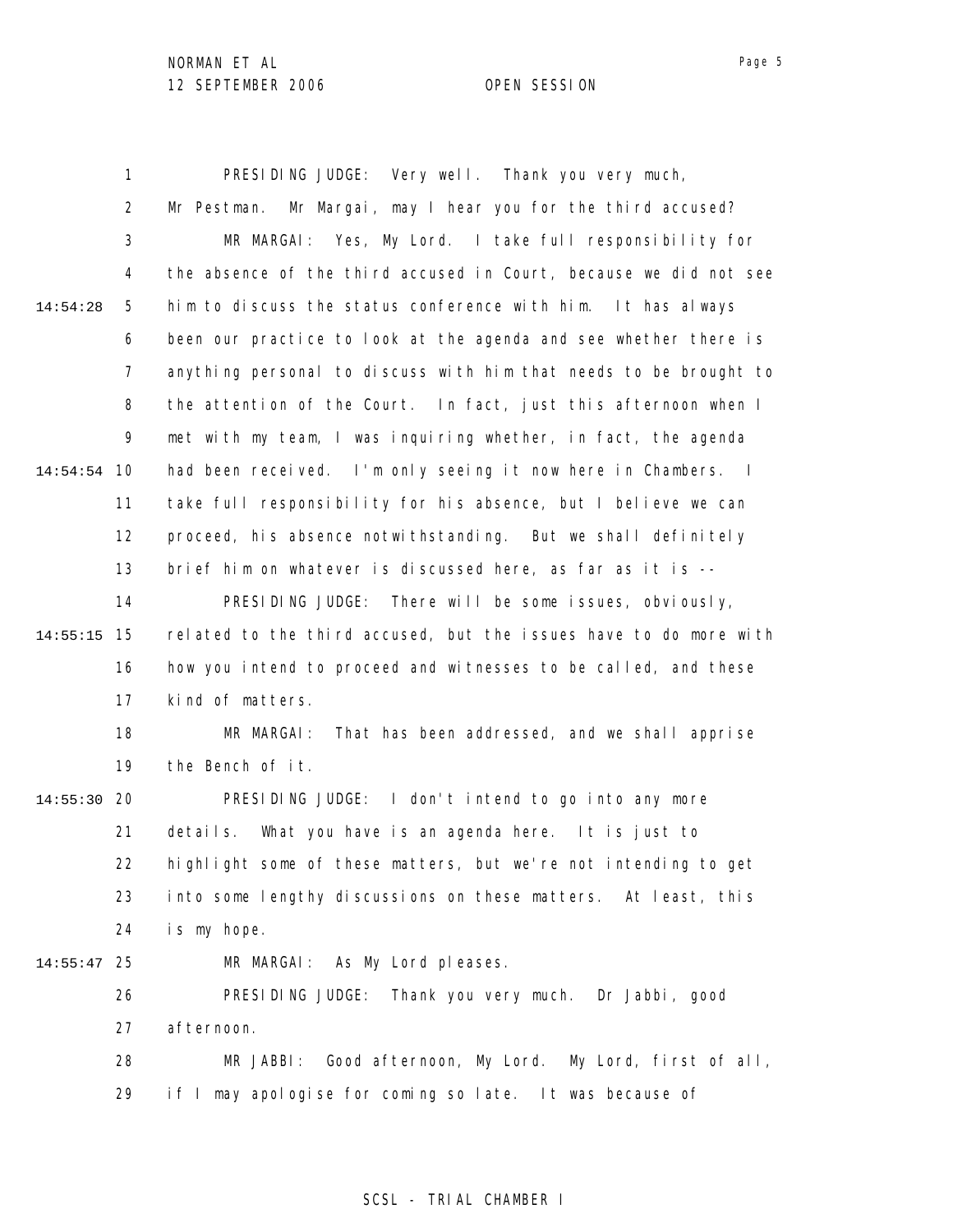1 2 3 4 5 6 7 8 9 10 14:54:54 11 12 13 14 15 14:55:15 16 17 18 19 20 14:55:30 21 22 23 24 25 14:55:47 26 27 28 29 14:54:28 PRESIDING JUDGE: Very well. Thank you very much, Mr Pestman. Mr Margai, may I hear you for the third accused? MR MARGAI: Yes, My Lord. I take full responsibility for the absence of the third accused in Court, because we did not see him to discuss the status conference with him. It has always been our practice to look at the agenda and see whether there is anything personal to discuss with him that needs to be brought to the attention of the Court. In fact, just this afternoon when I met with my team, I was inquiring whether, in fact, the agenda had been received. I'm only seeing it now here in Chambers. I take full responsibility for his absence, but I believe we can proceed, his absence notwithstanding. But we shall definitely brief him on whatever is discussed here, as far as it is -- PRESIDING JUDGE: There will be some issues, obviously, related to the third accused, but the issues have to do more with how you intend to proceed and witnesses to be called, and these kind of matters. MR MARGAI: That has been addressed, and we shall apprise the Bench of it. PRESIDING JUDGE: I don't intend to go into any more details. What you have is an agenda here. It is just to highlight some of these matters, but we're not intending to get into some lengthy discussions on these matters. At least, this is my hope. MR MARGAI: As My Lord pleases. PRESIDING JUDGE: Thank you very much. Dr Jabbi, good afternoon. MR JABBI: Good afternoon, My Lord. My Lord, first of all, if I may apologise for coming so late. It was because of

## SCSL - TRIAL CHAMBER I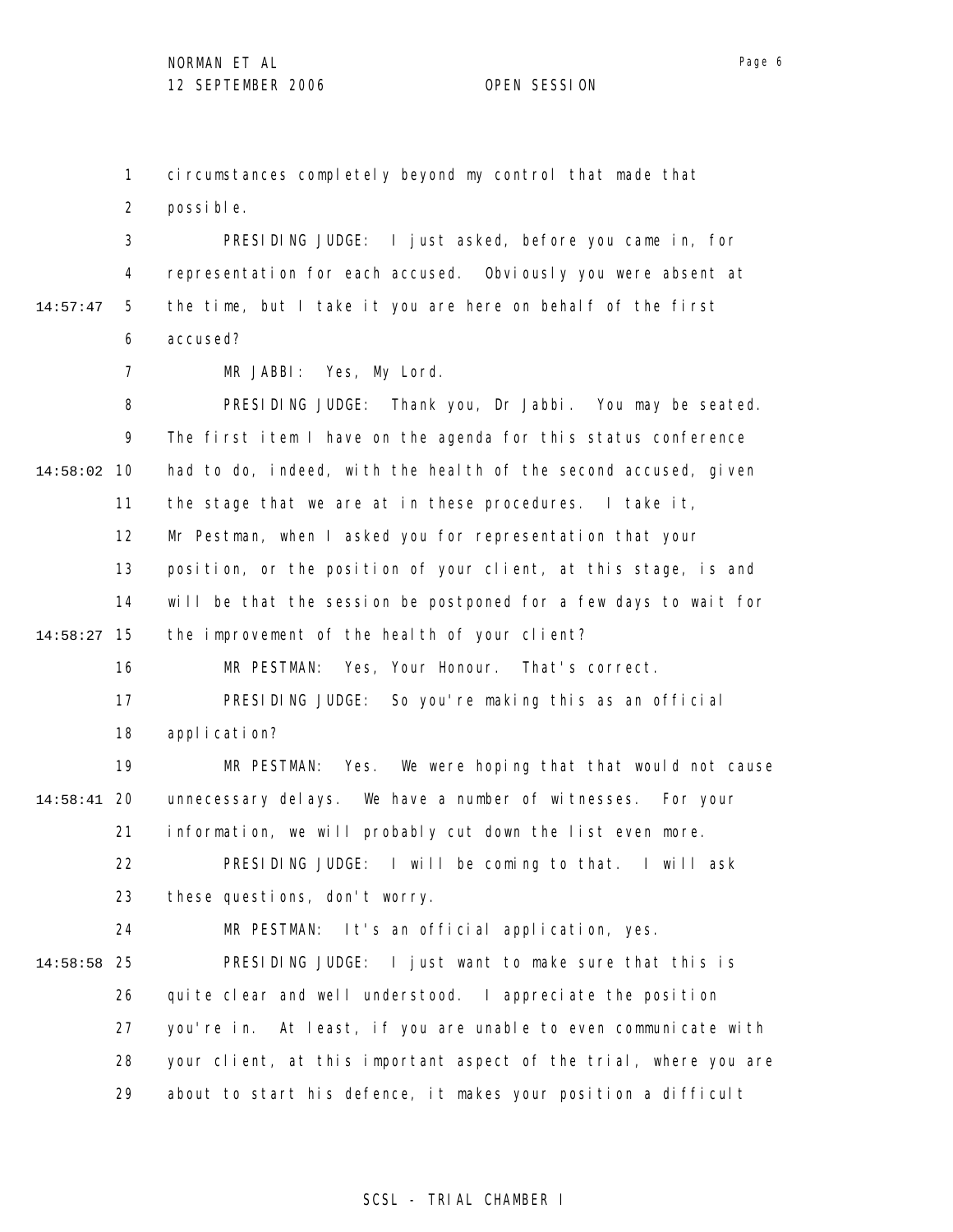1

circumstances completely beyond my control that made that

2 3 4 5 6 7 8 9 10 14:58:02 11 12 13 14 15 14:58:27 16 17 18 19 20 14:58:41 21 22 23 24 25 14:58:58 26 27 28 29 14:57:47 possible. PRESIDING JUDGE: I just asked, before you came in, for representation for each accused. Obviously you were absent at the time, but I take it you are here on behalf of the first accused? MR JABBI: Yes, My Lord. PRESIDING JUDGE: Thank you, Dr Jabbi. You may be seated. The first item I have on the agenda for this status conference had to do, indeed, with the health of the second accused, given the stage that we are at in these procedures. I take it, Mr Pestman, when I asked you for representation that your position, or the position of your client, at this stage, is and will be that the session be postponed for a few days to wait for the improvement of the health of your client? MR PESTMAN: Yes, Your Honour. That's correct. PRESIDING JUDGE: So you're making this as an official application? MR PESTMAN: Yes. We were hoping that that would not cause unnecessary delays. We have a number of witnesses. For your information, we will probably cut down the list even more. PRESIDING JUDGE: I will be coming to that. I will ask these questions, don't worry. MR PESTMAN: It's an official application, yes. PRESIDING JUDGE: I just want to make sure that this is quite clear and well understood. I appreciate the position you're in. At least, if you are unable to even communicate with your client, at this important aspect of the trial, where you are about to start his defence, it makes your position a difficult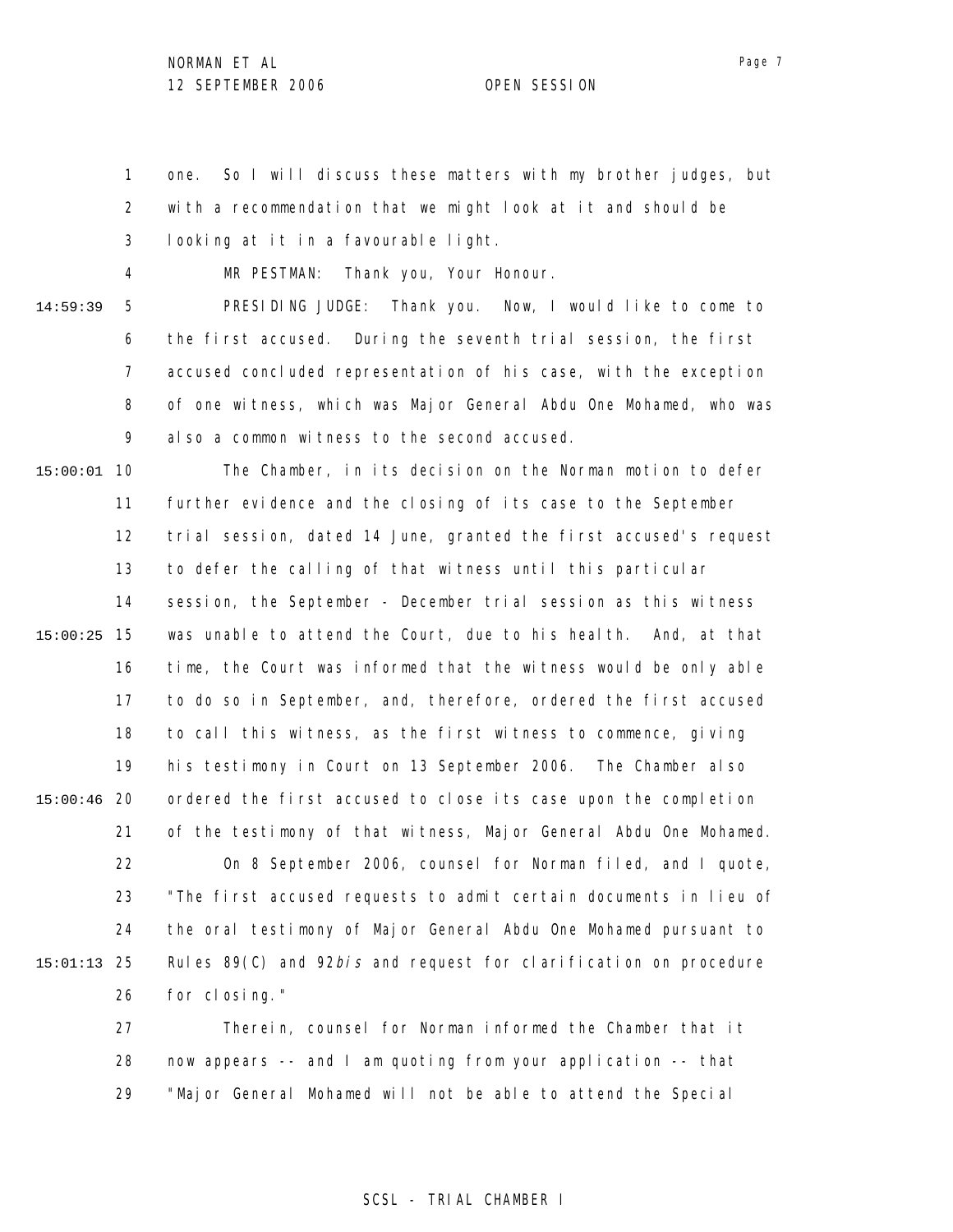1 2 3 one. So I will discuss these matters with my brother judges, but with a recommendation that we might look at it and should be looking at it in a favourable light.

4

MR PESTMAN: Thank you, Your Honour.

5 6 7 8 9 14:59:39 PRESIDING JUDGE: Thank you. Now, I would like to come to the first accused. During the seventh trial session, the first accused concluded representation of his case, with the exception of one witness, which was Major General Abdu One Mohamed, who was also a common witness to the second accused.

10 15:00:01 11 12 13 14 15 15:00:25 16 17 18 19 20 15:00:46 21 22 23 24 25 15:01:13 26 27 The Chamber, in its decision on the Norman motion to defer further evidence and the closing of its case to the September trial session, dated 14 June, granted the first accused's request to defer the calling of that witness until this particular session, the September - December trial session as this witness was unable to attend the Court, due to his health. And, at that time, the Court was informed that the witness would be only able to do so in September, and, therefore, ordered the first accused to call this witness, as the first witness to commence, giving his testimony in Court on 13 September 2006. The Chamber also ordered the first accused to close its case upon the completion of the testimony of that witness, Major General Abdu One Mohamed. On 8 September 2006, counsel for Norman filed, and I quote, "The first accused requests to admit certain documents in lieu of the oral testimony of Major General Abdu One Mohamed pursuant to Rules 89(C) and 92bis and request for clarification on procedure for closing." Therein, counsel for Norman informed the Chamber that it

28 29 now appears -- and I am quoting from your application -- that "Major General Mohamed will not be able to attend the Special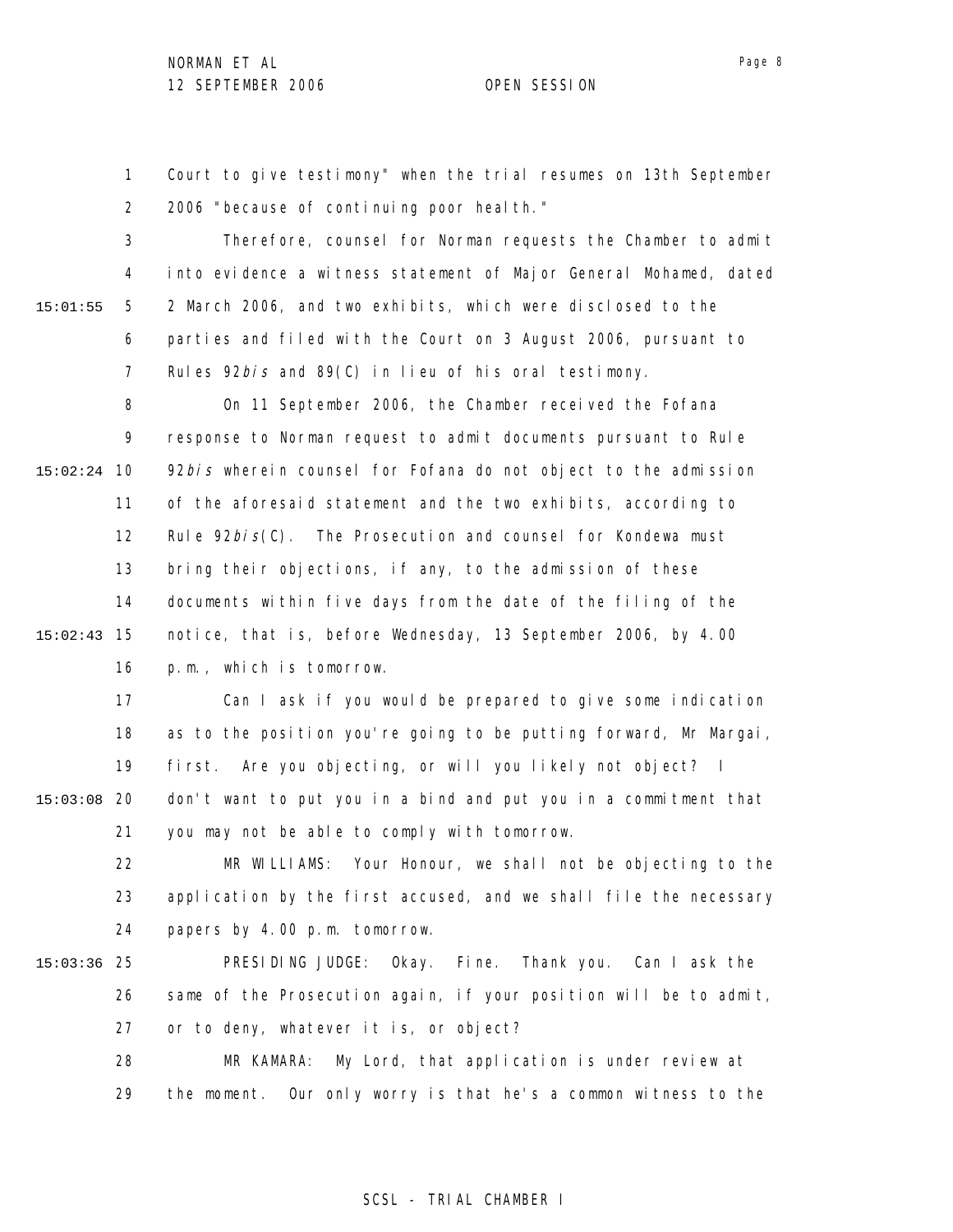1 2 Court to give testimony" when the trial resumes on 13th September 2006 "because of continuing poor health."

3 4 5 6 7 15:01:55 Therefore, counsel for Norman requests the Chamber to admit into evidence a witness statement of Major General Mohamed, dated 2 March 2006, and two exhibits, which were disclosed to the parties and filed with the Court on 3 August 2006, pursuant to Rules 92*bis* and 89(C) in lieu of his oral testimony.

8 9 10 15:02:24 11 12 13 14 15 15:02:43 16 On 11 September 2006, the Chamber received the Fofana response to Norman request to admit documents pursuant to Rule 92bis wherein counsel for Fofana do not object to the admission of the aforesaid statement and the two exhibits, according to Rule  $92bi$   $s(C)$ . The Prosecution and counsel for Kondewa must bring their objections, if any, to the admission of these documents within five days from the date of the filing of the notice, that is, before Wednesday, 13 September 2006, by 4.00 p.m., which is tomorrow.

17 18 19 20 15:03:08 21 Can I ask if you would be prepared to give some indication as to the position you're going to be putting forward, Mr Margai, first. Are you objecting, or will you likely not object? I don't want to put you in a bind and put you in a commitment that you may not be able to comply with tomorrow.

22 23 24 MR WILLIAMS: Your Honour, we shall not be objecting to the application by the first accused, and we shall file the necessary papers by 4.00 p.m. tomorrow.

- 25 15:03:36 26 27 PRESIDING JUDGE: Okay. Fine. Thank you. Can I ask the same of the Prosecution again, if your position will be to admit, or to deny, whatever it is, or object?
	- 28 29 MR KAMARA: My Lord, that application is under review at the moment. Our only worry is that he's a common witness to the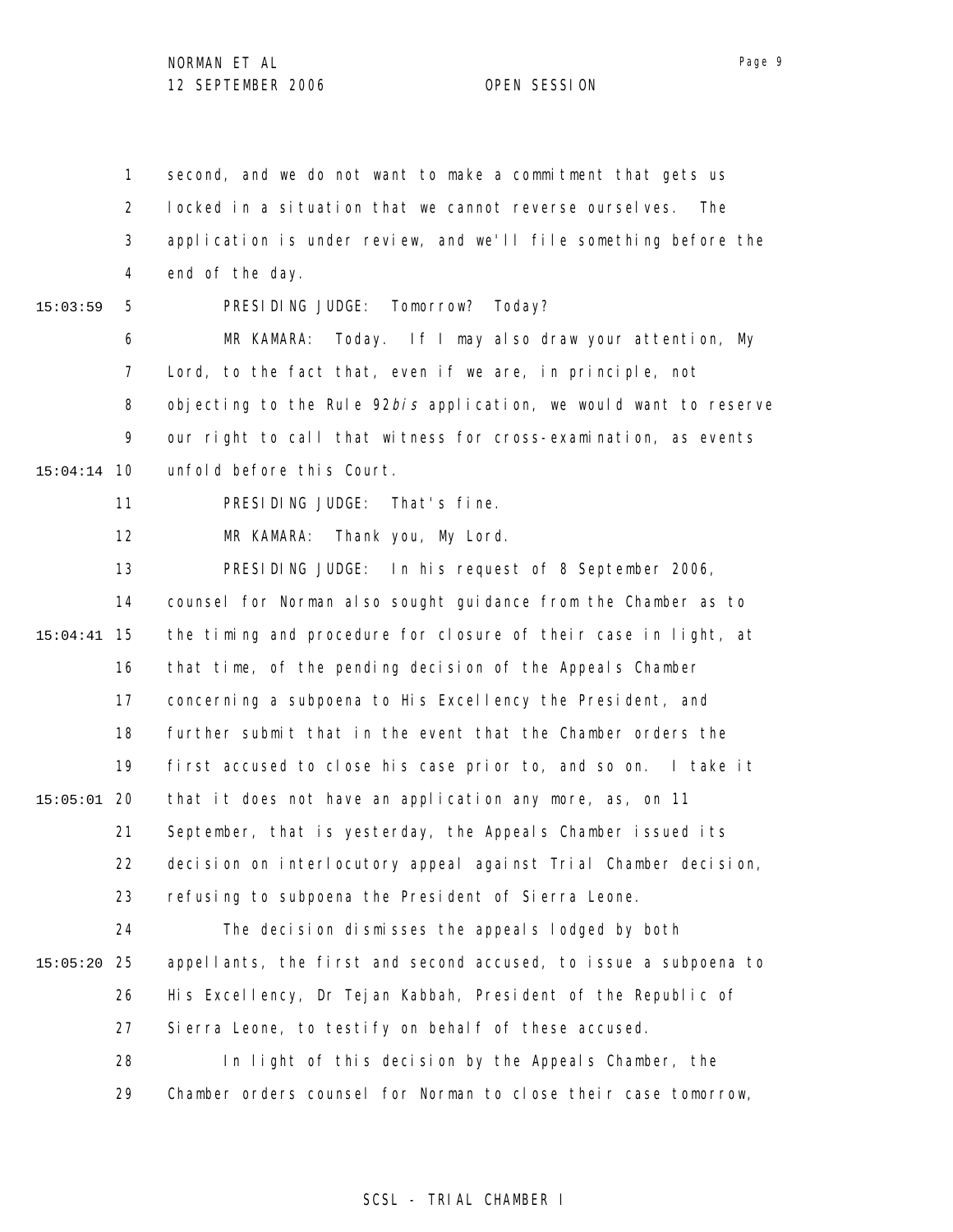1 2 3 4 5 6 7 8 9 10 15:04:14 11 12 13 14 15 15:04:41 16 17 18 19 20 15:05:01 21 22 23 24 25 15:05:20 26 27 28 29 15:03:59 second, and we do not want to make a commitment that gets us locked in a situation that we cannot reverse ourselves. The application is under review, and we'll file something before the end of the day. PRESIDING JUDGE: Tomorrow? Today? MR KAMARA: Today. If I may also draw your attention, My Lord, to the fact that, even if we are, in principle, not objecting to the Rule  $92b/s$  application, we would want to reserve our right to call that witness for cross-examination, as events unfold before this Court. PRESIDING JUDGE: That's fine. MR KAMARA: Thank you, My Lord. PRESIDING JUDGE: In his request of 8 September 2006, counsel for Norman also sought guidance from the Chamber as to the timing and procedure for closure of their case in light, at that time, of the pending decision of the Appeals Chamber concerning a subpoena to His Excellency the President, and further submit that in the event that the Chamber orders the first accused to close his case prior to, and so on. I take it that it does not have an application any more, as, on 11 September, that is yesterday, the Appeals Chamber issued its decision on interlocutory appeal against Trial Chamber decision, refusing to subpoena the President of Sierra Leone. The decision dismisses the appeals lodged by both appellants, the first and second accused, to issue a subpoena to His Excellency, Dr Tejan Kabbah, President of the Republic of Sierra Leone, to testify on behalf of these accused. In light of this decision by the Appeals Chamber, the Chamber orders counsel for Norman to close their case tomorrow,

### SCSL - TRIAL CHAMBER I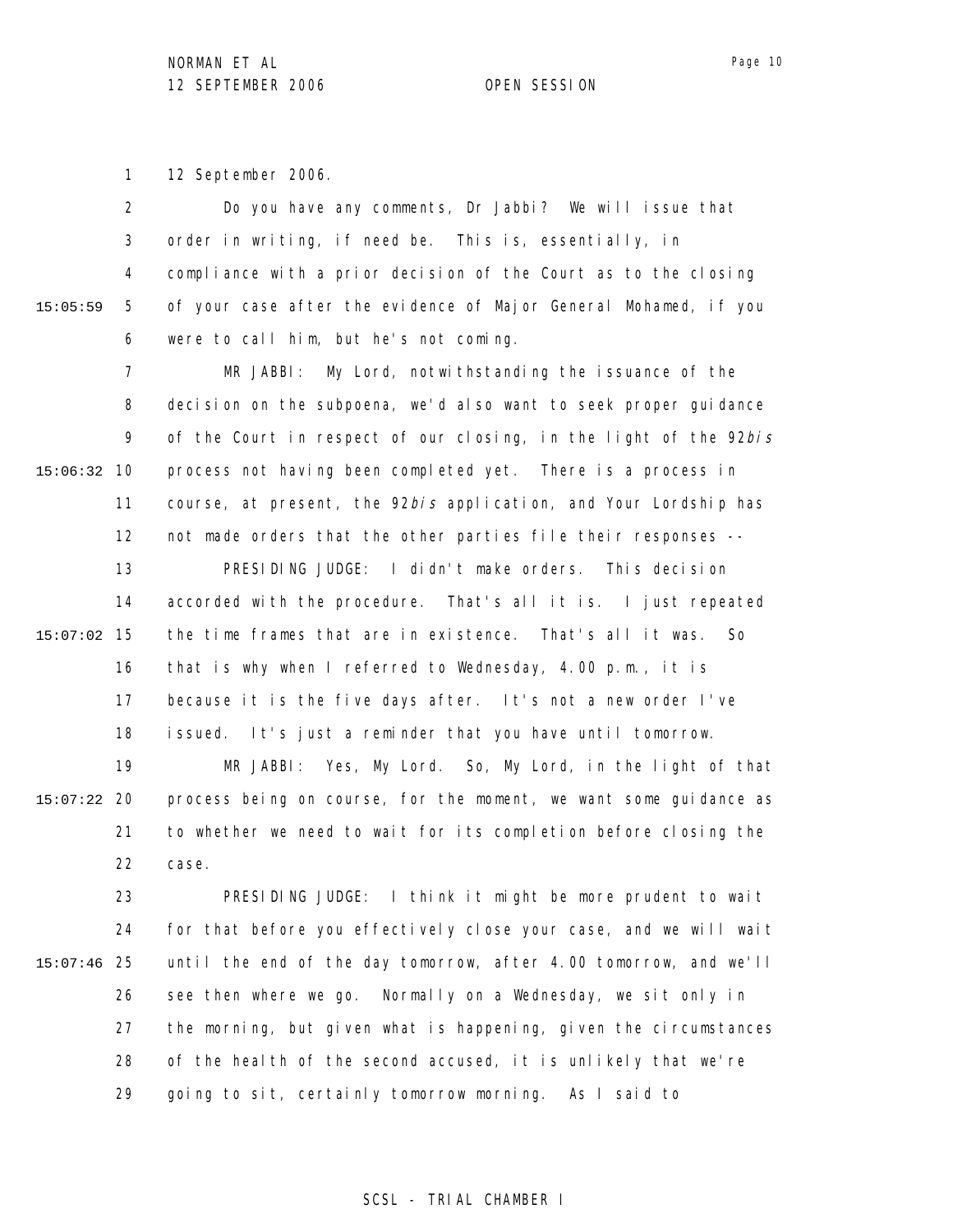1 12 September 2006.

|          | $\overline{2}$ | Do you have any comments, Dr Jabbi? We will issue that            |
|----------|----------------|-------------------------------------------------------------------|
|          | 3              | order in writing, if need be. This is, essentially, in            |
|          | 4              | compliance with a prior decision of the Court as to the closing   |
| 15:05:59 | 5              | of your case after the evidence of Major General Mohamed, if you  |
|          | 6              | were to call him, but he's not coming.                            |
|          | $\overline{7}$ | My Lord, notwithstanding the issuance of the<br>MR JABBI:         |
|          | 8              | decision on the subpoena, we'd also want to seek proper guidance  |
|          | 9              | of the Court in respect of our closing, in the light of the 92bis |
| 15:06:32 | 10             | process not having been completed yet. There is a process in      |
|          | 11             | course, at present, the 92bis application, and Your Lordship has  |
|          | 12             | not made orders that the other parties file their responses --    |
|          | 13             | PRESIDING JUDGE: I didn't make orders. This decision              |
|          | 14             | accorded with the procedure. That's all it is. I just repeated    |
| 15:07:02 | 15             | the time frames that are in existence. That's all it was.<br>So   |
|          | 16             | that is why when I referred to Wednesday, 4.00 p.m., it is        |
|          | 17             | because it is the five days after. It's not a new order I've      |
|          | 18             | issued. It's just a reminder that you have until tomorrow.        |
|          | 19             | MR JABBI: Yes, My Lord. So, My Lord, in the light of that         |
| 15:07:22 | -20            | process being on course, for the moment, we want some guidance as |
|          | 21             | to whether we need to wait for its completion before closing the  |
|          | 22             | case.                                                             |
|          | 23             | PRESIDING JUDGE: I think it might be more prudent to wait         |
| 15:07:46 | 24             | for that before you effectively close your case, and we will wait |
|          | 25             | until the end of the day tomorrow, after 4.00 tomorrow, and we'll |
|          | 26             | see then where we go.<br>Normally on a Wednesday, we sit only in  |
|          | 27             | the morning, but given what is happening, given the circumstances |
|          | 28             | of the health of the second accused, it is unlikely that we're    |

29 going to sit, certainly tomorrow morning. As I said to

## Page 10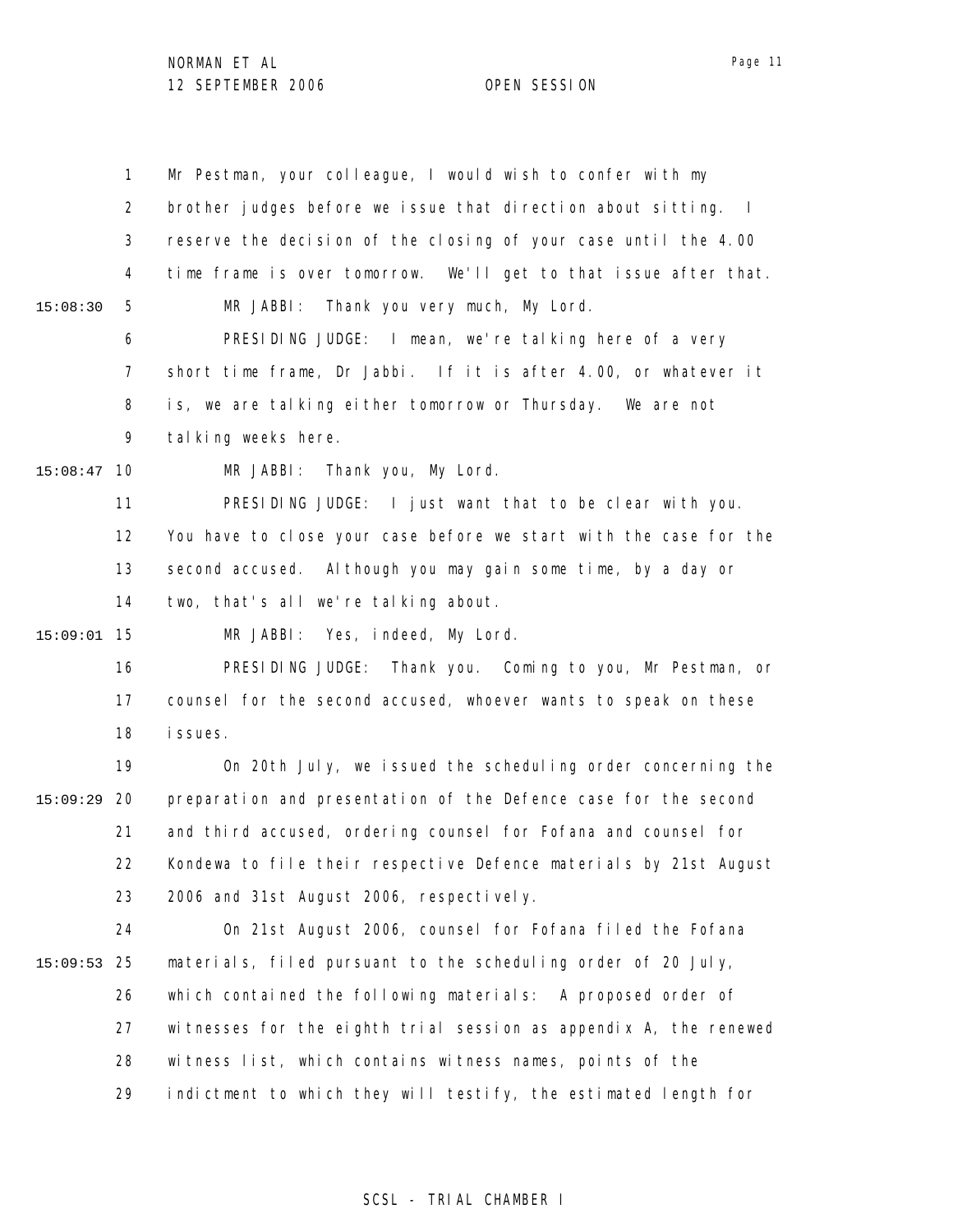|          | 1              | Mr Pestman, your colleague, I would wish to confer with my               |
|----------|----------------|--------------------------------------------------------------------------|
|          | $\overline{2}$ | brother judges before we issue that direction about sitting.<br>$\sim$ 1 |
|          | 3              | reserve the decision of the closing of your case until the 4.00          |
|          | 4              | time frame is over tomorrow. We'll get to that issue after that.         |
| 15:08:30 | 5              | Thank you very much, My Lord.<br>MR JABBI:                               |
|          | 6              | PRESIDING JUDGE: I mean, we're talking here of a very                    |
|          | 7              | short time frame, Dr Jabbi. If it is after 4.00, or whatever it          |
|          | 8              | is, we are talking either tomorrow or Thursday. We are not               |
|          | 9              | tal king weeks here.                                                     |
| 15:08:47 | 10             | MR JABBI: Thank you, My Lord.                                            |
|          | 11             | PRESIDING JUDGE: I just want that to be clear with you.                  |
|          | 12             | You have to close your case before we start with the case for the        |
|          | 13             | second accused. Although you may gain some time, by a day or             |
|          | 14             | two, that's all we're talking about.                                     |
| 15:09:01 | 15             | MR JABBI: Yes, indeed, My Lord.                                          |
|          | 16             | PRESIDING JUDGE: Thank you. Coming to you, Mr Pestman, or                |
|          | 17             | counsel for the second accused, whoever wants to speak on these          |
|          | 18             | i ssues.                                                                 |
|          | 19             | On 20th July, we issued the scheduling order concerning the              |
| 15:09:29 | 20             | preparation and presentation of the Defence case for the second          |
|          | 21             | and third accused, ordering counsel for Fofana and counsel for           |
|          | 22             | Kondewa to file their respective Defence materials by 21st August        |
|          | 23             | 2006 and 31st August 2006, respectively.                                 |
|          | 24             | On 21st August 2006, counsel for Fofana filed the Fofana                 |
| 15:09:53 | 25             | materials, filed pursuant to the scheduling order of 20 July,            |
|          | 26             | which contained the following materials: A proposed order of             |
|          | 27             | witnesses for the eighth trial session as appendix A, the renewed        |
|          | 28             | witness list, which contains witness names, points of the                |
|          | 29             | indictment to which they will testify, the estimated length for          |

# SCSL - TRIAL CHAMBER I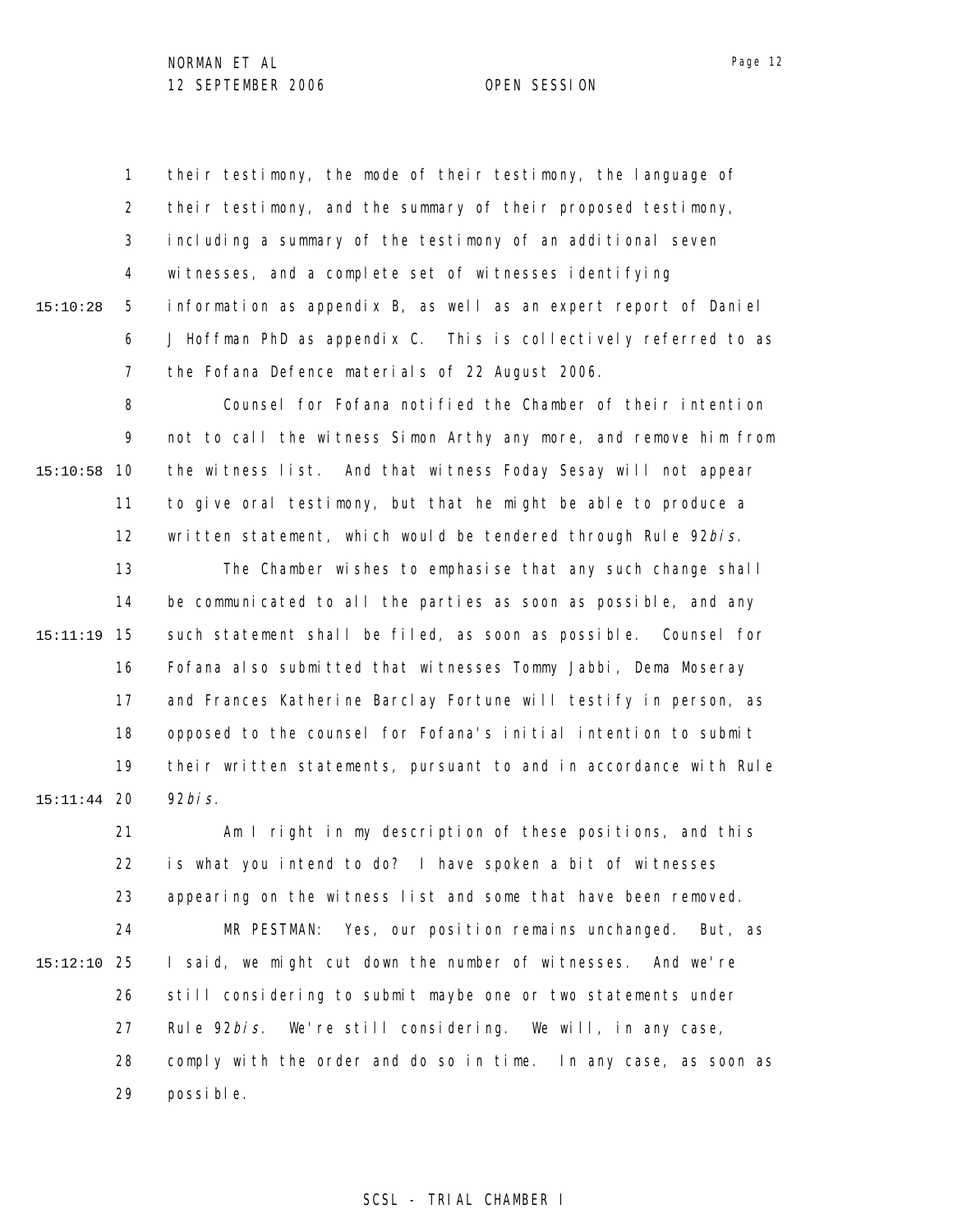1 2 3 4 5 6 7 15:10:28 their testimony, the mode of their testimony, the language of their testimony, and the summary of their proposed testimony, including a summary of the testimony of an additional seven witnesses, and a complete set of witnesses identifying information as appendix B, as well as an expert report of Daniel J Hoffman PhD as appendix C. This is collectively referred to as the Fofana Defence materials of 22 August 2006.

8 9 10 15:10:58 11 12 Counsel for Fofana notified the Chamber of their intention not to call the witness Simon Arthy any more, and remove him from the witness list. And that witness Foday Sesay will not appear to give oral testimony, but that he might be able to produce a written statement, which would be tendered through Rule 92bis.

13 14 15 15:11:19 16 17 18 19 20 15:11:44 The Chamber wishes to emphasise that any such change shall be communicated to all the parties as soon as possible, and any such statement shall be filed, as soon as possible. Counsel for Fofana also submitted that witnesses Tommy Jabbi, Dema Moseray and Frances Katherine Barclay Fortune will testify in person, as opposed to the counsel for Fofana's initial intention to submit their written statements, pursuant to and in accordance with Rule  $92$ bis.

21 22 23 24 25 15:12:10 26 27 28 29 Am I right in my description of these positions, and this is what you intend to do? I have spoken a bit of witnesses appearing on the witness list and some that have been removed. MR PESTMAN: Yes, our position remains unchanged. But, as I said, we might cut down the number of witnesses. And we're still considering to submit maybe one or two statements under Rule 92*bis*. We're still considering. We will, in any case, comply with the order and do so in time. In any case, as soon as possible.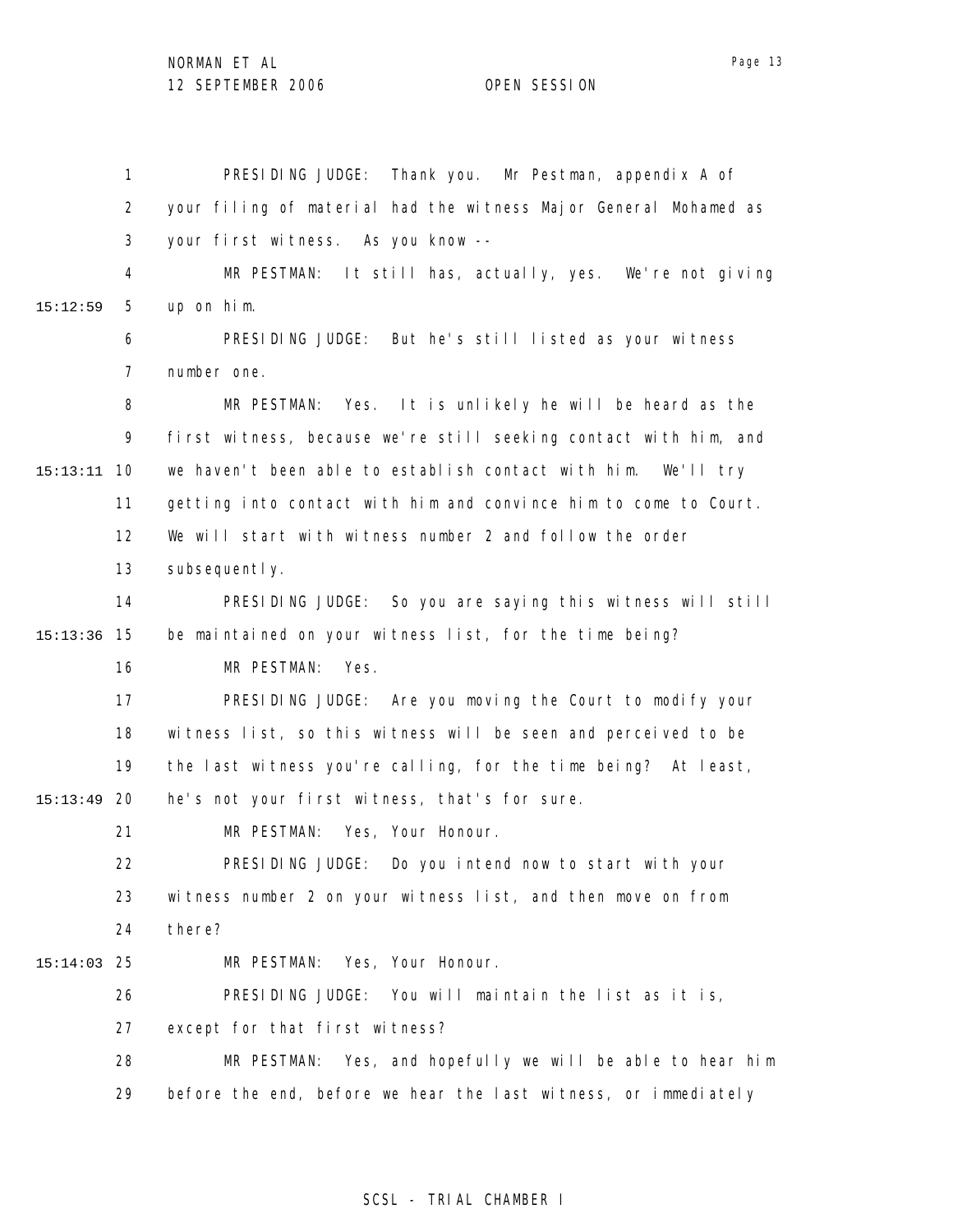1 2 3 4 5 6 7 8 9 10 15:13:11 11 12 13 14 15 15:13:36 16 17 18 19 20 15:13:49 21 22 23 24 25 15:14:03 26 27 28 29 15:12:59 PRESIDING JUDGE: Thank you. Mr Pestman, appendix A of your filing of material had the witness Major General Mohamed as your first witness. As you know -- MR PESTMAN: It still has, actually, yes. We're not giving up on him. PRESIDING JUDGE: But he's still listed as your witness number one. MR PESTMAN: Yes. It is unlikely he will be heard as the first witness, because we're still seeking contact with him, and we haven't been able to establish contact with him. We'll try getting into contact with him and convince him to come to Court. We will start with witness number 2 and follow the order subsequently. PRESIDING JUDGE: So you are saying this witness will still be maintained on your witness list, for the time being? MR PESTMAN: Yes. PRESIDING JUDGE: Are you moving the Court to modify your witness list, so this witness will be seen and perceived to be the last witness you're calling, for the time being? At least, he's not your first witness, that's for sure. MR PESTMAN: Yes, Your Honour. PRESIDING JUDGE: Do you intend now to start with your witness number 2 on your witness list, and then move on from there? MR PESTMAN: Yes, Your Honour. PRESIDING JUDGE: You will maintain the list as it is, except for that first witness? MR PESTMAN: Yes, and hopefully we will be able to hear him before the end, before we hear the last witness, or immediately

### SCSL - TRIAL CHAMBER I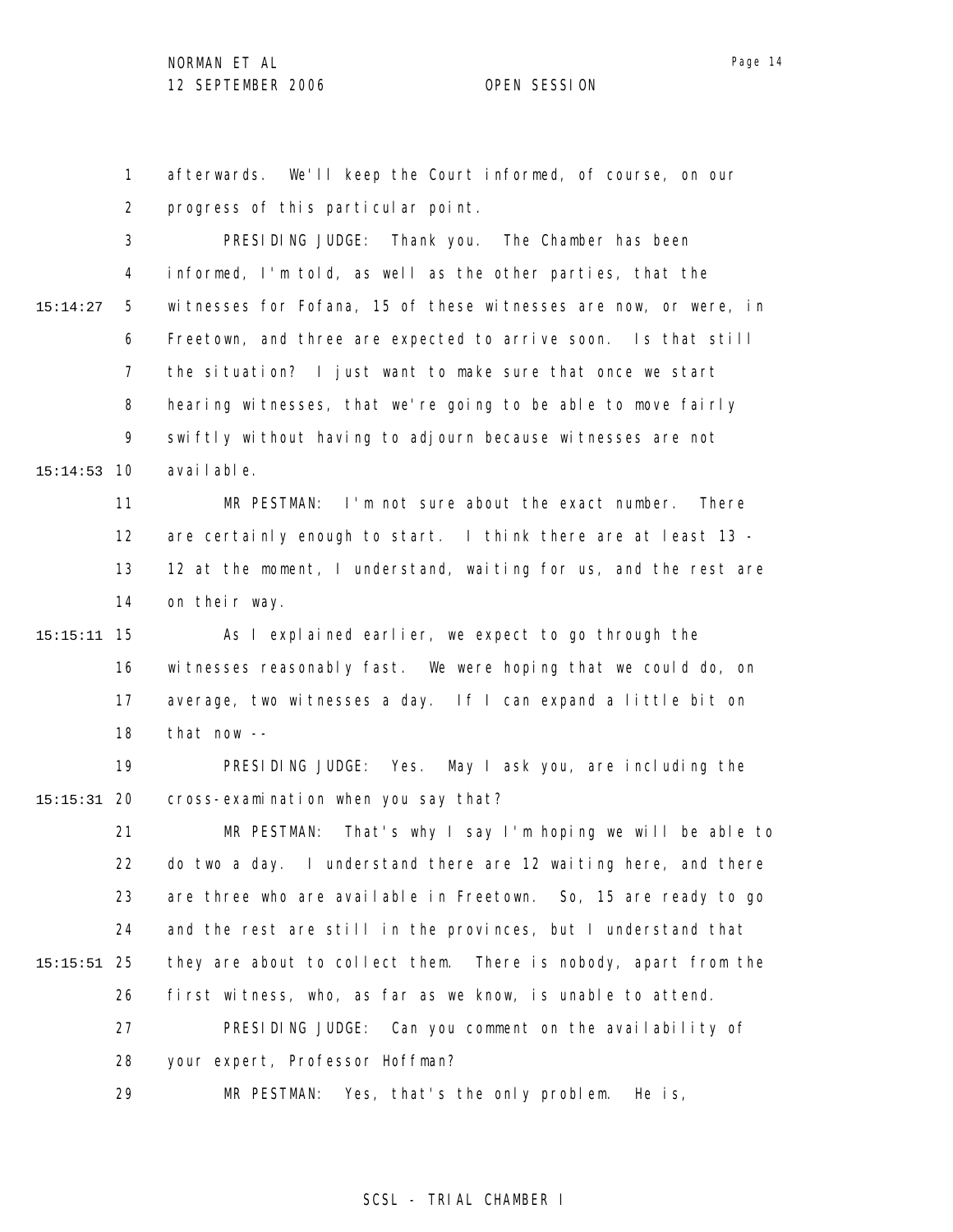1 2 3 afterwards. We'll keep the Court informed, of course, on our progress of this particular point. PRESIDING JUDGE: Thank you. The Chamber has been

4 5 6 7 8 9 10 15:14:53 15:14:27 informed, I'm told, as well as the other parties, that the witnesses for Fofana, 15 of these witnesses are now, or were, in Freetown, and three are expected to arrive soon. Is that still the situation? I just want to make sure that once we start hearing witnesses, that we're going to be able to move fairly swiftly without having to adjourn because witnesses are not available.

> 11 12 13 14 MR PESTMAN: I'm not sure about the exact number. There are certainly enough to start. I think there are at least 13 - 12 at the moment, I understand, waiting for us, and the rest are on their way.

15 15:15:11 16 17 18 As I explained earlier, we expect to go through the witnesses reasonably fast. We were hoping that we could do, on average, two witnesses a day. If I can expand a little bit on that now --

19 20 15:15:31 PRESIDING JUDGE: Yes. May I ask you, are including the cross-examination when you say that?

21 22 23 24 25 15:15:51 26 27 28 MR PESTMAN: That's why I say I'm hoping we will be able to do two a day. I understand there are 12 waiting here, and there are three who are available in Freetown. So, 15 are ready to go and the rest are still in the provinces, but I understand that they are about to collect them. There is nobody, apart from the first witness, who, as far as we know, is unable to attend. PRESIDING JUDGE: Can you comment on the availability of your expert, Professor Hoffman?

29 MR PESTMAN: Yes, that's the only problem. He is,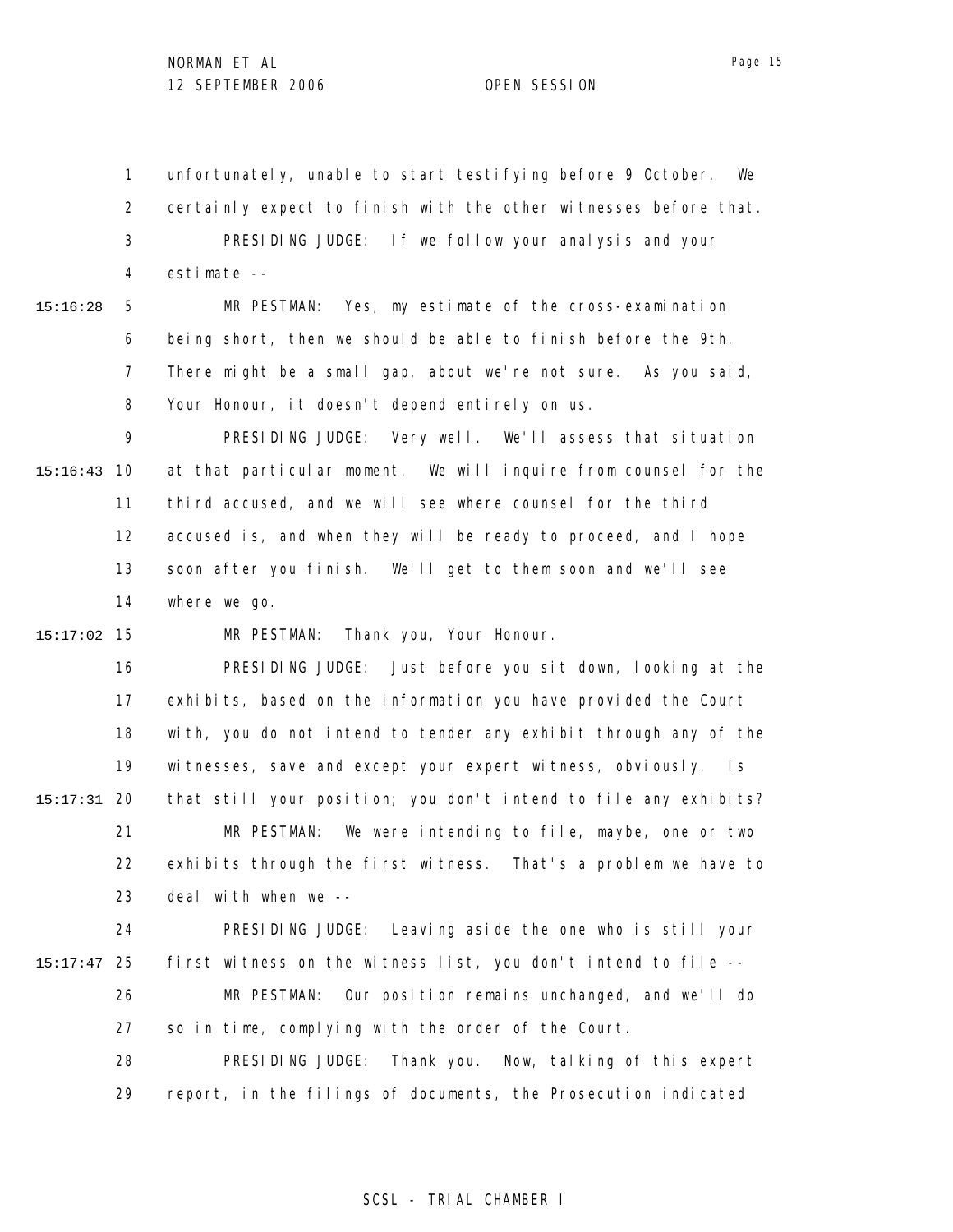1 2 3 4 unfortunately, unable to start testifying before 9 October. We certainly expect to finish with the other witnesses before that. PRESIDING JUDGE: If we follow your analysis and your estimate --

15:16:28

5 6 7 8 MR PESTMAN: Yes, my estimate of the cross-examination being short, then we should be able to finish before the 9th. There might be a small gap, about we're not sure. As you said, Your Honour, it doesn't depend entirely on us.

9 10 15:16:43 11 12 13 14 PRESIDING JUDGE: Very well. We'll assess that situation at that particular moment. We will inquire from counsel for the third accused, and we will see where counsel for the third accused is, and when they will be ready to proceed, and I hope soon after you finish. We'll get to them soon and we'll see where we go.

15 15:17:02 MR PESTMAN: Thank you, Your Honour.

16 17 18 19 20 15:17:31 21 22 23 PRESIDING JUDGE: Just before you sit down, looking at the exhibits, based on the information you have provided the Court with, you do not intend to tender any exhibit through any of the witnesses, save and except your expert witness, obviously. Is that still your position; you don't intend to file any exhibits? MR PESTMAN: We were intending to file, maybe, one or two exhibits through the first witness. That's a problem we have to deal with when we --

24 25 15:17:47 26 27 28 PRESIDING JUDGE: Leaving aside the one who is still your first witness on the witness list, you don't intend to file -- MR PESTMAN: Our position remains unchanged, and we'll do so in time, complying with the order of the Court. PRESIDING JUDGE: Thank you. Now, talking of this expert

> 29 report, in the filings of documents, the Prosecution indicated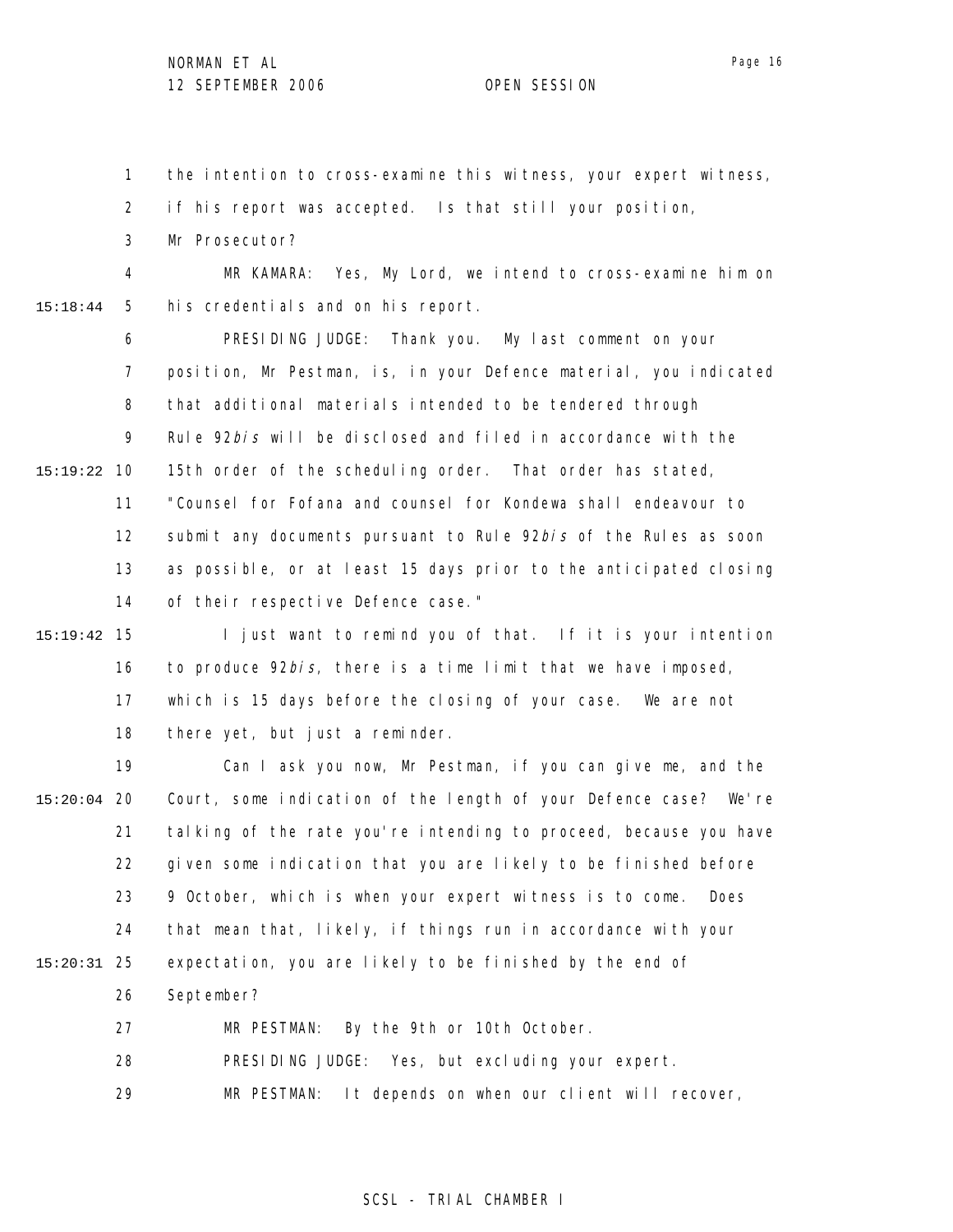Page 16

1 the intention to cross-examine this witness, your expert witness,

2 if his report was accepted. Is that still your position,

3 Mr Prosecutor?

4 5 15:18:44 MR KAMARA: Yes, My Lord, we intend to cross-examine him on his credentials and on his report.

6 7 8 9 10 15:19:22 11 12 13 14 PRESIDING JUDGE: Thank you. My last comment on your position, Mr Pestman, is, in your Defence material, you indicated that additional materials intended to be tendered through Rule 92bis will be disclosed and filed in accordance with the 15th order of the scheduling order. That order has stated, "Counsel for Fofana and counsel for Kondewa shall endeavour to submit any documents pursuant to Rule 92bis of the Rules as soon as possible, or at least 15 days prior to the anticipated closing of their respective Defence case."

15 15:19:42 16 17 18 I just want to remind you of that. If it is your intention to produce 92bis, there is a time limit that we have imposed, which is 15 days before the closing of your case. We are not there yet, but just a reminder.

19 20 15:20:04 21 22 23 24 25 15:20:31 26 27 Can I ask you now, Mr Pestman, if you can give me, and the Court, some indication of the length of your Defence case? We're talking of the rate you're intending to proceed, because you have given some indication that you are likely to be finished before 9 October, which is when your expert witness is to come. Does that mean that, likely, if things run in accordance with your expectation, you are likely to be finished by the end of September? MR PESTMAN: By the 9th or 10th October.

> 28 29 PRESIDING JUDGE: Yes, but excluding your expert. MR PESTMAN: It depends on when our client will recover,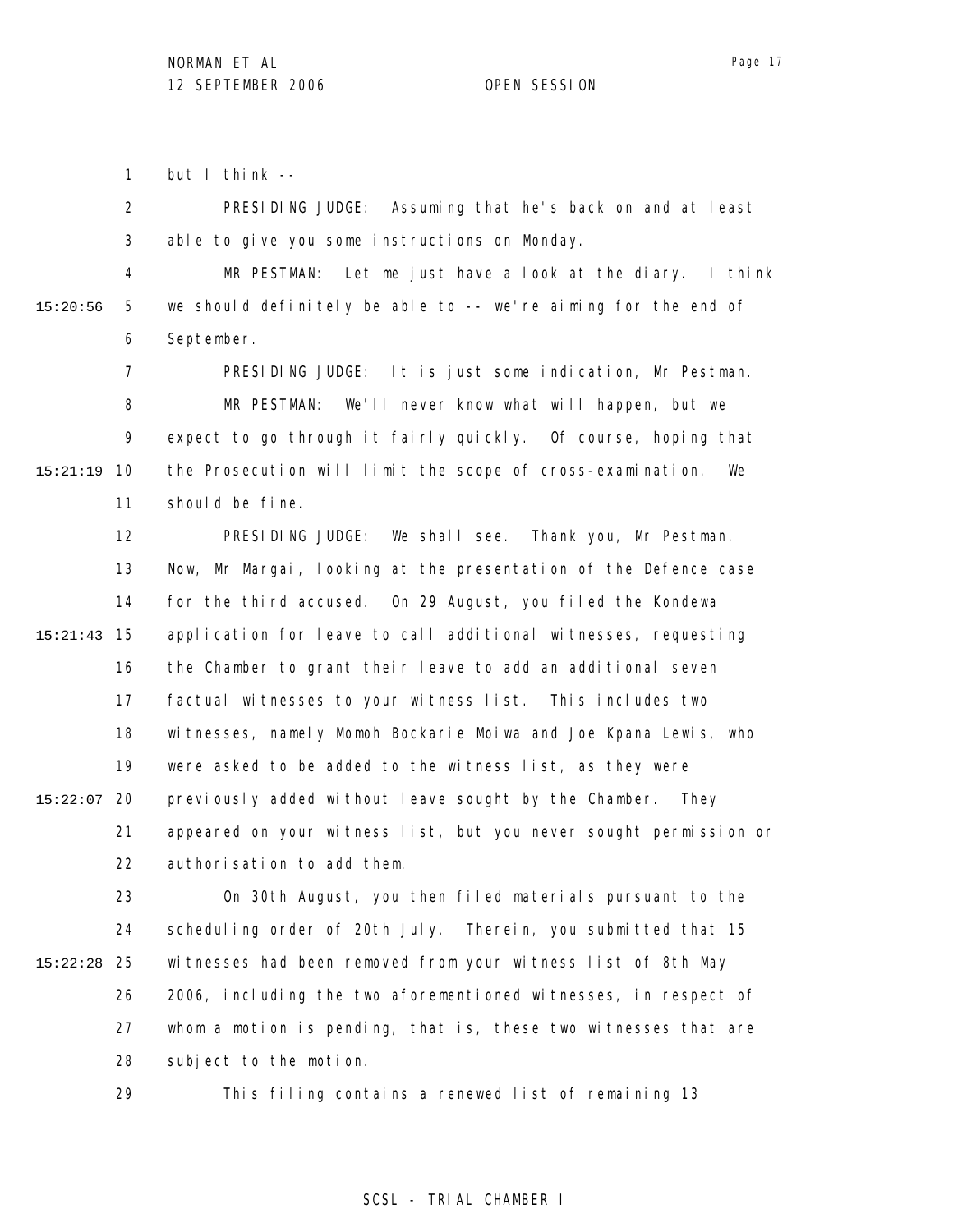Page 17

1 but I think --

2 3 PRESIDING JUDGE: Assuming that he's back on and at least able to give you some instructions on Monday.

4 5 6 15:20:56 MR PESTMAN: Let me just have a look at the diary. I think we should definitely be able to -- we're aiming for the end of September.

7 8 9 10 15:21:19 11 PRESIDING JUDGE: It is just some indication, Mr Pestman. MR PESTMAN: We'll never know what will happen, but we expect to go through it fairly quickly. Of course, hoping that the Prosecution will limit the scope of cross-examination. We should be fine.

12 13 14 15 15:21:43 16 17 18 19 20 15:22:07 21 22 PRESIDING JUDGE: We shall see. Thank you, Mr Pestman. Now, Mr Margai, looking at the presentation of the Defence case for the third accused. On 29 August, you filed the Kondewa application for leave to call additional witnesses, requesting the Chamber to grant their leave to add an additional seven factual witnesses to your witness list. This includes two witnesses, namely Momoh Bockarie Moiwa and Joe Kpana Lewis, who were asked to be added to the witness list, as they were previously added without leave sought by the Chamber. They appeared on your witness list, but you never sought permission or authorisation to add them.

23 24 25 15:22:28 26 27 28 On 30th August, you then filed materials pursuant to the scheduling order of 20th July. Therein, you submitted that 15 witnesses had been removed from your witness list of 8th May 2006, including the two aforementioned witnesses, in respect of whom a motion is pending, that is, these two witnesses that are subject to the motion.

> 29 This filing contains a renewed list of remaining 13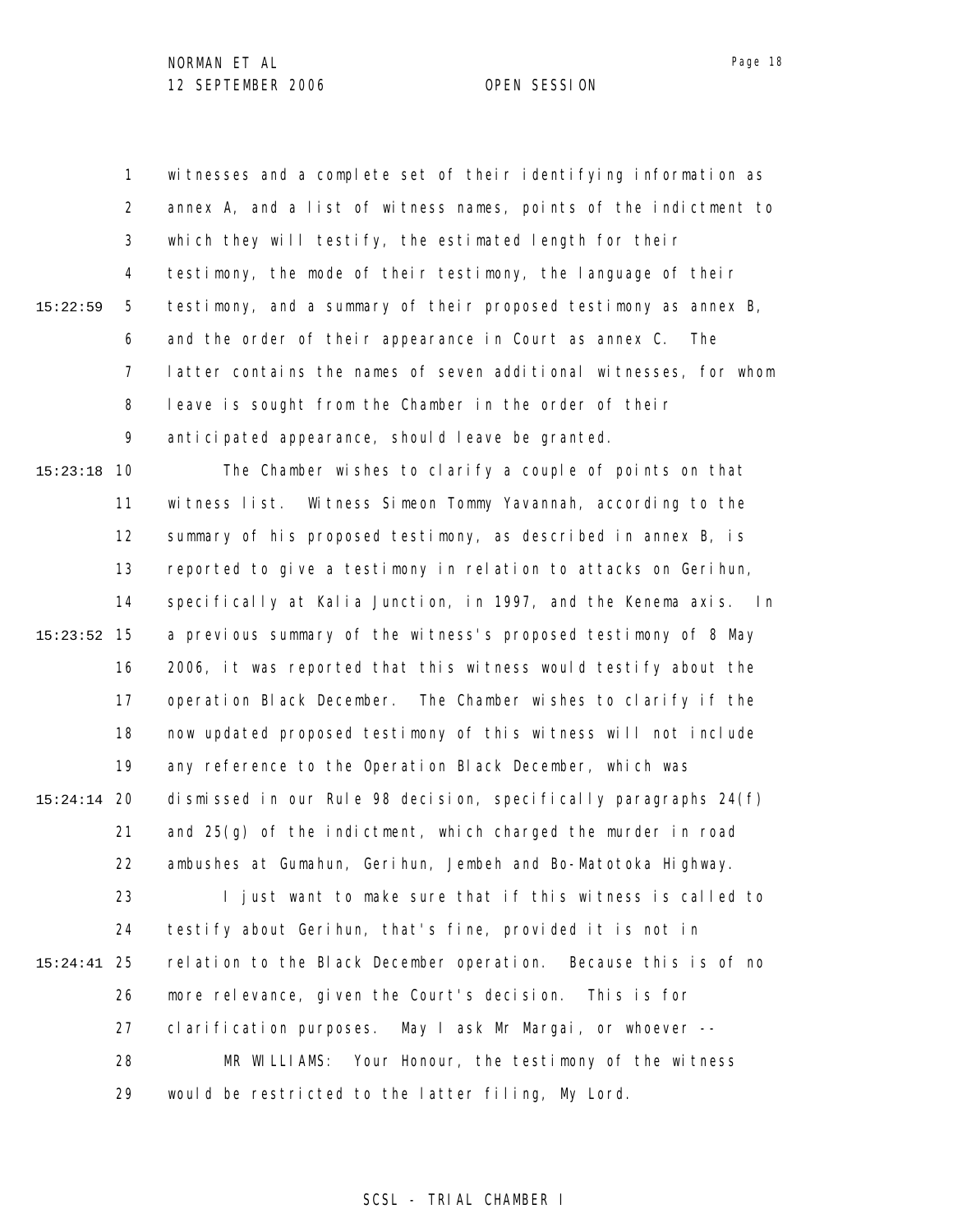1 2 3 4 5 6 7 8 9 10 15:23:18 11 12 13 14 15 15:23:52 16 17 18 19 20 15:24:14 21 22 23 24 25 15:24:41 26 27 28 29 15:22:59 witnesses and a complete set of their identifying information as annex A, and a list of witness names, points of the indictment to which they will testify, the estimated length for their testimony, the mode of their testimony, the language of their testimony, and a summary of their proposed testimony as annex B, and the order of their appearance in Court as annex C. The latter contains the names of seven additional witnesses, for whom leave is sought from the Chamber in the order of their anticipated appearance, should leave be granted. The Chamber wishes to clarify a couple of points on that witness list. Witness Simeon Tommy Yavannah, according to the summary of his proposed testimony, as described in annex B, is reported to give a testimony in relation to attacks on Gerihun, specifically at Kalia Junction, in 1997, and the Kenema axis. In a previous summary of the witness's proposed testimony of 8 May 2006, it was reported that this witness would testify about the operation Black December. The Chamber wishes to clarify if the now updated proposed testimony of this witness will not include any reference to the Operation Black December, which was dismissed in our Rule 98 decision, specifically paragraphs 24(f) and 25(g) of the indictment, which charged the murder in road ambushes at Gumahun, Gerihun, Jembeh and Bo-Matotoka Highway. I just want to make sure that if this witness is called to testify about Gerihun, that's fine, provided it is not in relation to the Black December operation. Because this is of no more relevance, given the Court's decision. This is for clarification purposes. May I ask Mr Margai, or whoever -- MR WILLIAMS: Your Honour, the testimony of the witness would be restricted to the latter filing, My Lord.

SCSL - TRIAL CHAMBER I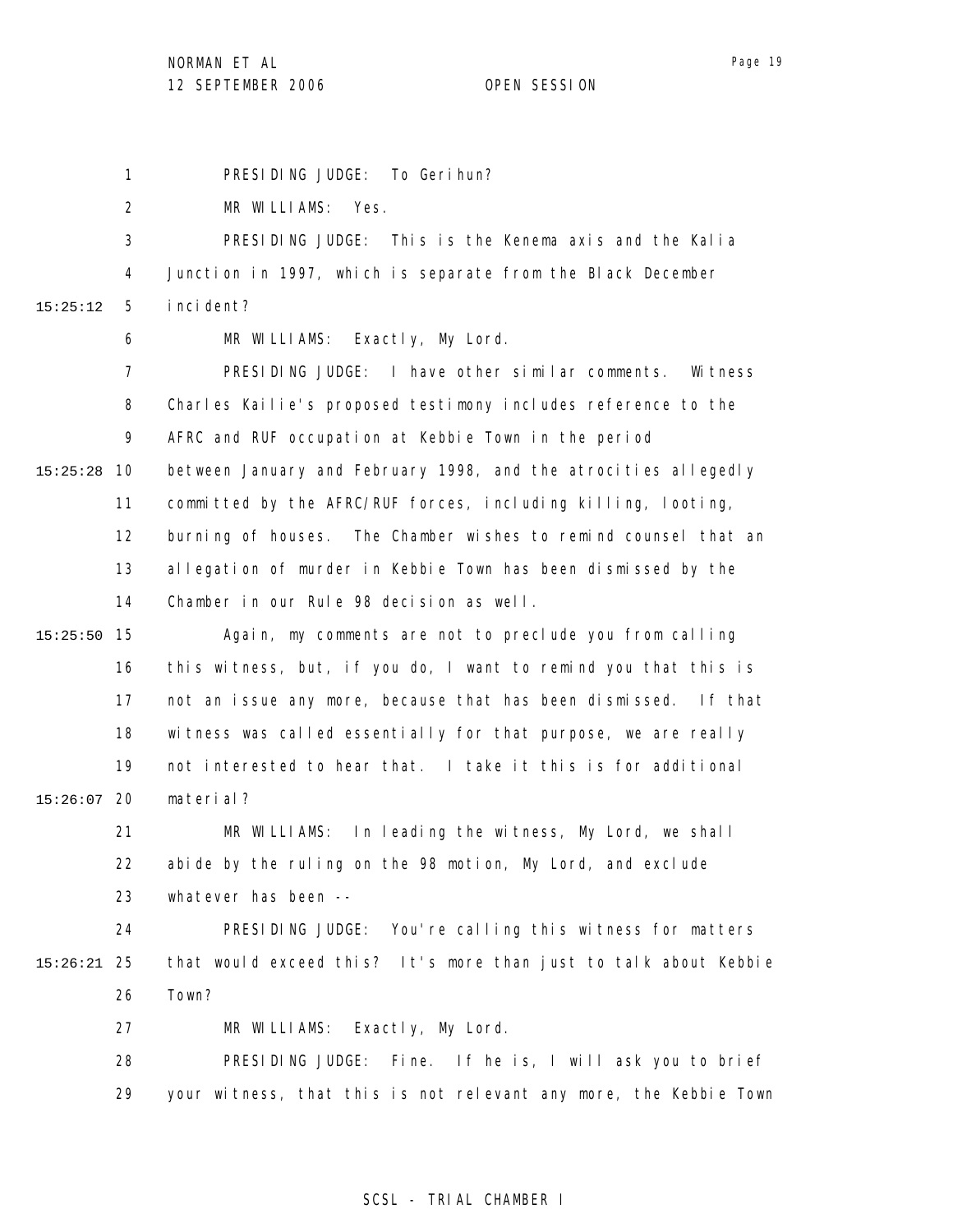NORMAN ET AL

12 SEPTEMBER 2006 OPEN SESSION

Page 19

1 2 3 4 5 6 7 8 9 10 15:25:28 11 12 13 14 15 15:25:50 16 17 18 19 20 15:26:07 21 22 23 24 25 15:26:21 26 27 28 29 15:25:12 PRESIDING JUDGE: To Gerihun? MR WILLIAMS: Yes. PRESIDING JUDGE: This is the Kenema axis and the Kalia Junction in 1997, which is separate from the Black December incident? MR WILLIAMS: Exactly, My Lord. PRESIDING JUDGE: I have other similar comments. Witness Charles Kailie's proposed testimony includes reference to the AFRC and RUF occupation at Kebbie Town in the period between January and February 1998, and the atrocities allegedly committed by the AFRC/RUF forces, including killing, looting, burning of houses. The Chamber wishes to remind counsel that an allegation of murder in Kebbie Town has been dismissed by the Chamber in our Rule 98 decision as well. Again, my comments are not to preclude you from calling this witness, but, if you do, I want to remind you that this is not an issue any more, because that has been dismissed. If that witness was called essentially for that purpose, we are really not interested to hear that. I take it this is for additional material? MR WILLIAMS: In leading the witness, My Lord, we shall abide by the ruling on the 98 motion, My Lord, and exclude whatever has been -- PRESIDING JUDGE: You're calling this witness for matters that would exceed this? It's more than just to talk about Kebbie Town? MR WILLIAMS: Exactly, My Lord. PRESIDING JUDGE: Fine. If he is, I will ask you to brief your witness, that this is not relevant any more, the Kebbie Town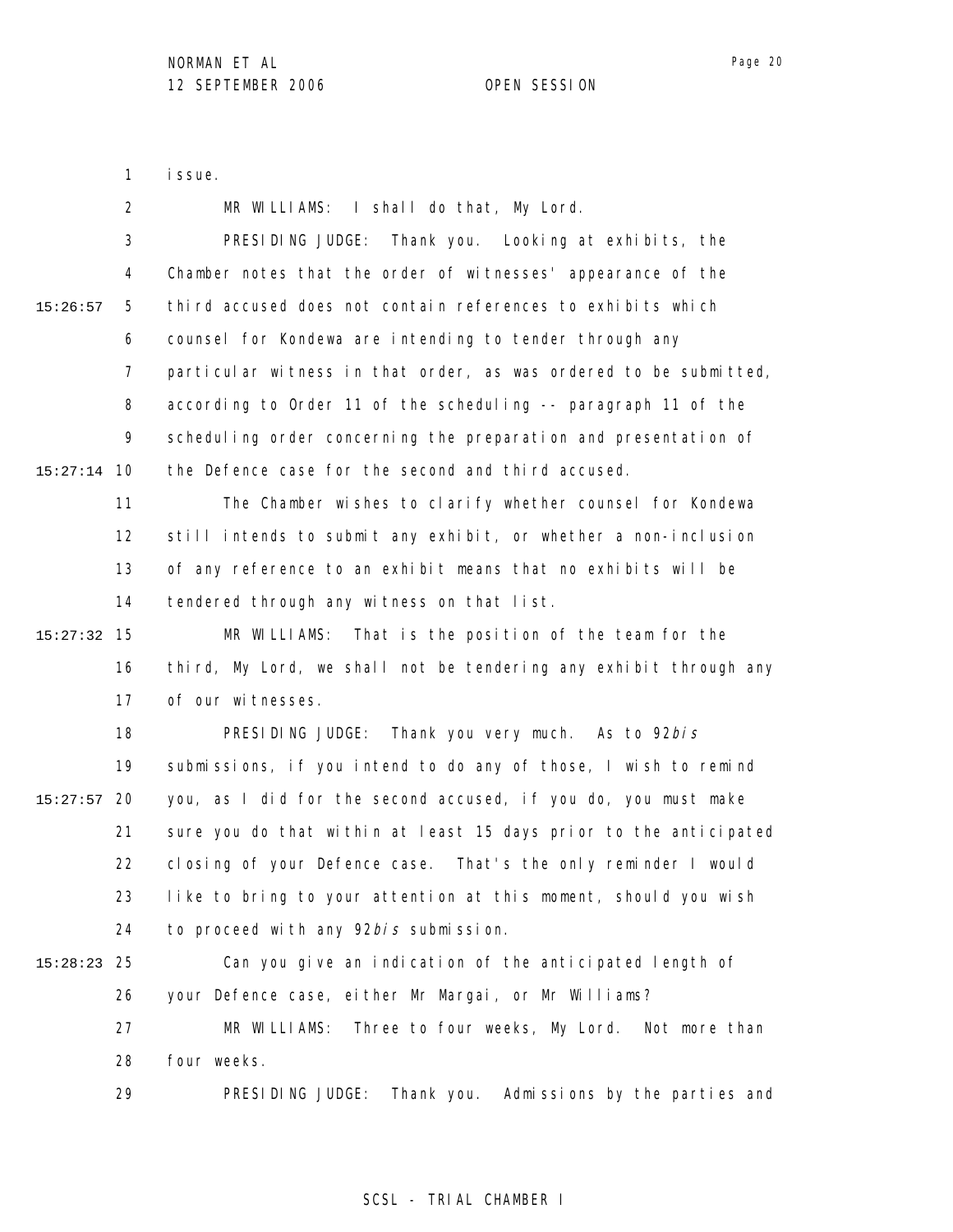1 issue.

|             | 2   | MR WILLIAMS: I shall do that, My Lord.                            |
|-------------|-----|-------------------------------------------------------------------|
|             | 3   | PRESIDING JUDGE:<br>Thank you. Looking at exhibits, the           |
|             | 4   | Chamber notes that the order of witnesses' appearance of the      |
| 15:26:57    | 5   | third accused does not contain references to exhibits which       |
|             | 6   | counsel for Kondewa are intending to tender through any           |
|             | 7   | particular witness in that order, as was ordered to be submitted, |
|             | 8   | according to Order 11 of the scheduling -- paragraph 11 of the    |
|             | 9   | scheduling order concerning the preparation and presentation of   |
| 15:27:14    | -10 | the Defence case for the second and third accused.                |
|             | 11  | The Chamber wishes to clarify whether counsel for Kondewa         |
|             | 12  | still intends to submit any exhibit, or whether a non-inclusion   |
|             | 13  | of any reference to an exhibit means that no exhibits will be     |
|             | 14  | tendered through any witness on that list.                        |
| 15:27:32    | 15  | MR WILLIAMS:<br>That is the position of the team for the          |
|             | 16  | third, My Lord, we shall not be tendering any exhibit through any |
|             | 17  | of our witnesses.                                                 |
|             | 18  | PRESIDING JUDGE: Thank you very much. As to 92bis                 |
|             | 19  | submissions, if you intend to do any of those, I wish to remind   |
| 15:27:57    | 20  | you, as I did for the second accused, if you do, you must make    |
|             | 21  | sure you do that within at least 15 days prior to the anticipated |
|             | 22  | closing of your Defence case. That's the only reminder I would    |
|             | 23  | like to bring to your attention at this moment, should you wish   |
|             | 24  | to proceed with any 92bis submission.                             |
| 15:28:23 25 |     | Can you give an indication of the anticipated length of           |
|             | 26  | your Defence case, either Mr Margai, or Mr Williams?              |
|             | 27  | Three to four weeks, My Lord. Not more than<br>MR WILLIAMS:       |
|             | 28  | four weeks.                                                       |
|             | 29  | PRESIDING JUDGE:<br>Thank you. Admissions by the parties and      |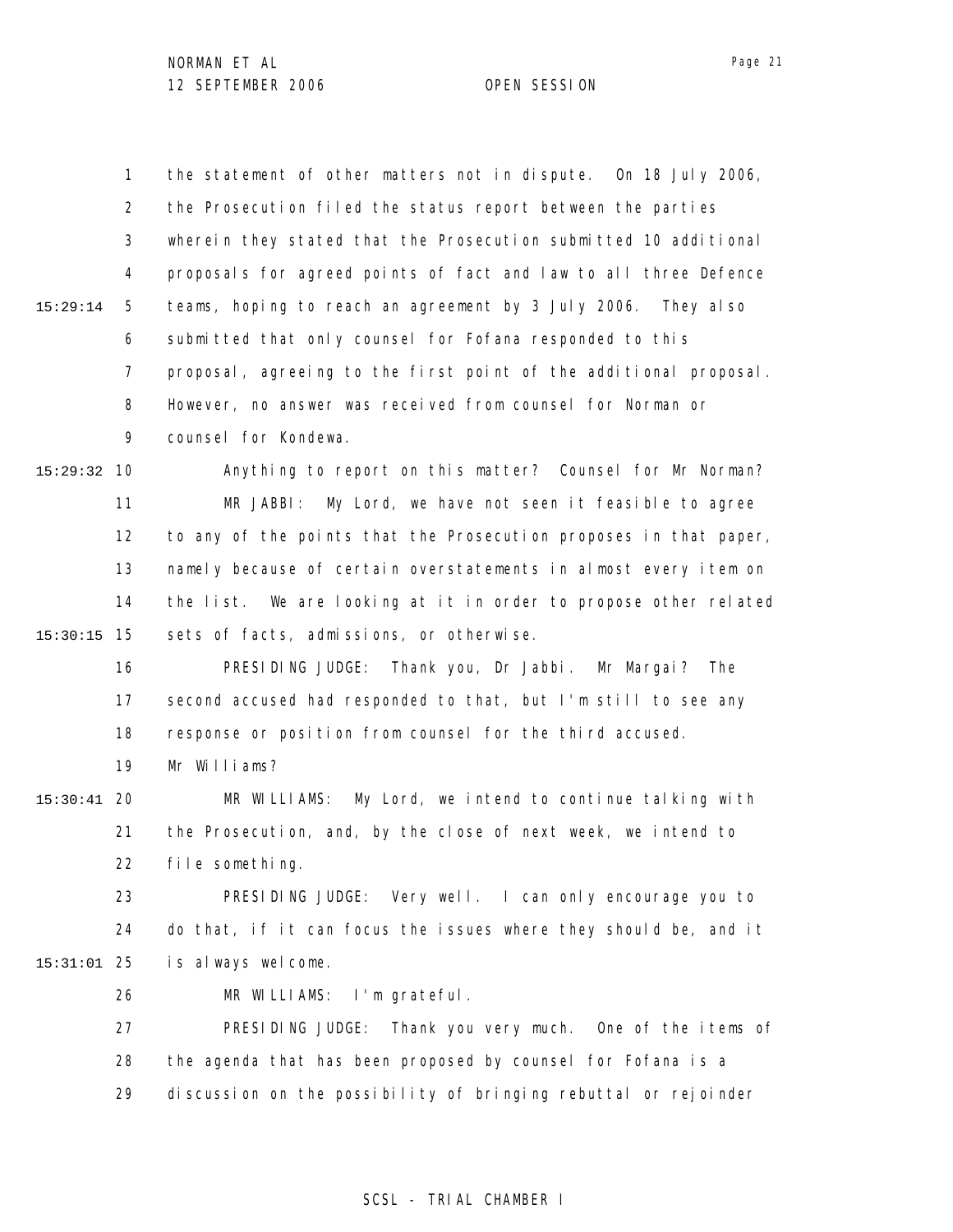1 2 3 4 5 6 7 8 9 10 15:29:32 11 12 13 14 15 15:30:15 16 15:29:14 the statement of other matters not in dispute. On 18 July 2006, the Prosecution filed the status report between the parties wherein they stated that the Prosecution submitted 10 additional proposals for agreed points of fact and law to all three Defence teams, hoping to reach an agreement by 3 July 2006. They also submitted that only counsel for Fofana responded to this proposal, agreeing to the first point of the additional proposal. However, no answer was received from counsel for Norman or counsel for Kondewa. Anything to report on this matter? Counsel for Mr Norman? MR JABBI: My Lord, we have not seen it feasible to agree to any of the points that the Prosecution proposes in that paper, namely because of certain overstatements in almost every item on the list. We are looking at it in order to propose other related sets of facts, admissions, or otherwise. PRESIDING JUDGE: Thank you, Dr Jabbi. Mr Margai? The

17 18 second accused had responded to that, but I'm still to see any response or position from counsel for the third accused.

19 Mr Williams?

### 20 15:30:41 21 22 MR WILLIAMS: My Lord, we intend to continue talking with the Prosecution, and, by the close of next week, we intend to file something.

23 24 25 15:31:01 PRESIDING JUDGE: Very well. I can only encourage you to do that, if it can focus the issues where they should be, and it is always welcome.

> 26 MR WILLIAMS: I'm grateful.

27 28 29 PRESIDING JUDGE: Thank you very much. One of the items of the agenda that has been proposed by counsel for Fofana is a discussion on the possibility of bringing rebuttal or rejoinder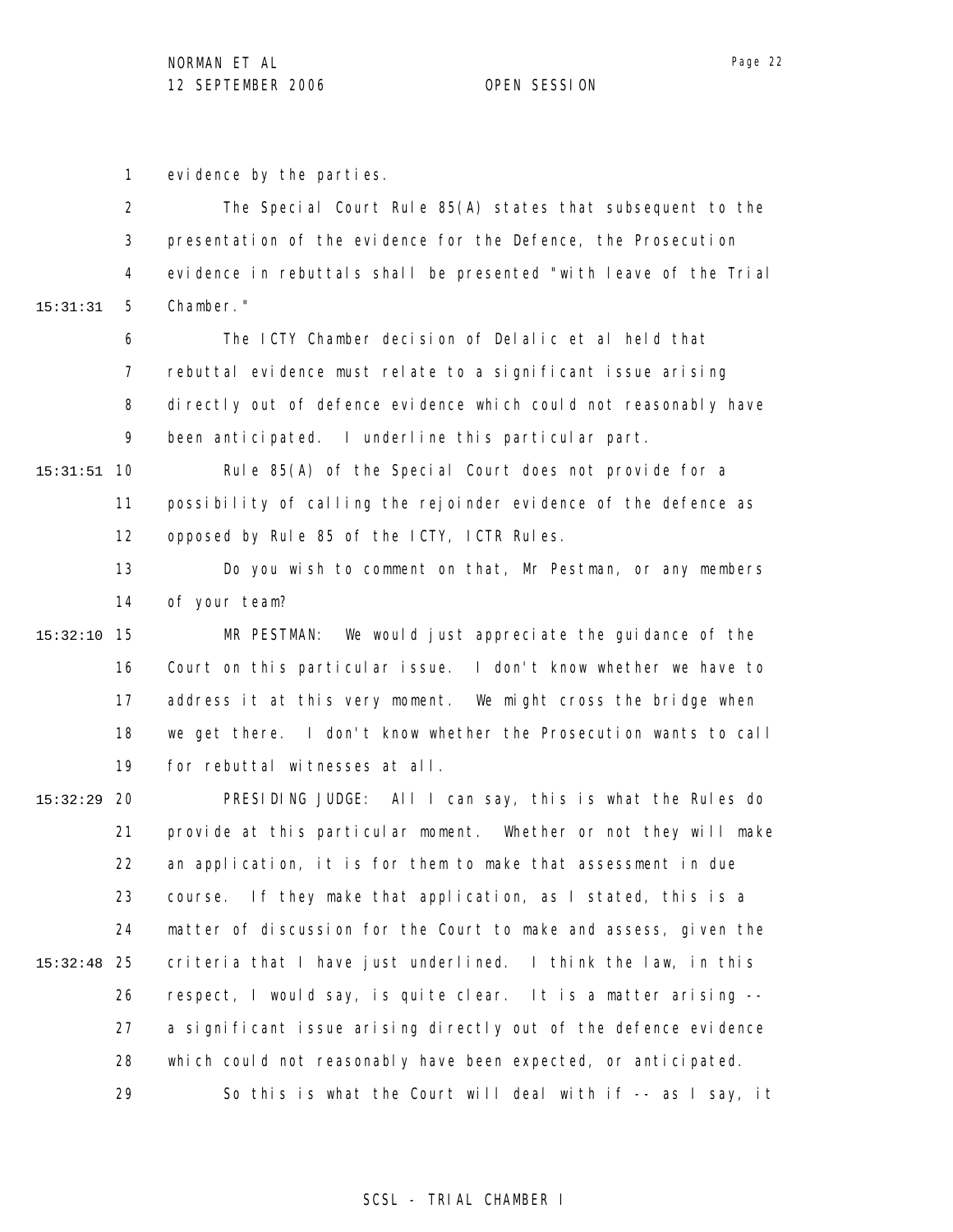1 evidence by the parties.

2 3 4 5 6 15:31:31 The Special Court Rule 85(A) states that subsequent to the presentation of the evidence for the Defence, the Prosecution evidence in rebuttals shall be presented "with leave of the Trial Chamber." The ICTY Chamber decision of Delalic et al held that

7 8 9 rebuttal evidence must relate to a significant issue arising directly out of defence evidence which could not reasonably have been anticipated. I underline this particular part.

10 15:31:51 11 12 Rule 85(A) of the Special Court does not provide for a possibility of calling the rejoinder evidence of the defence as opposed by Rule 85 of the ICTY, ICTR Rules.

> 13 14 Do you wish to comment on that, Mr Pestman, or any members of your team?

15 15:32:10 16 17 18 19 MR PESTMAN: We would just appreciate the guidance of the Court on this particular issue. I don't know whether we have to address it at this very moment. We might cross the bridge when we get there. I don't know whether the Prosecution wants to call for rebuttal witnesses at all.

20 15:32:29 21 22 23 24 25 15:32:48 26 27 28 29 PRESIDING JUDGE: All I can say, this is what the Rules do provide at this particular moment. Whether or not they will make an application, it is for them to make that assessment in due course. If they make that application, as I stated, this is a matter of discussion for the Court to make and assess, given the criteria that I have just underlined. I think the law, in this respect, I would say, is quite clear. It is a matter arising - a significant issue arising directly out of the defence evidence which could not reasonably have been expected, or anticipated. So this is what the Court will deal with if -- as I say, it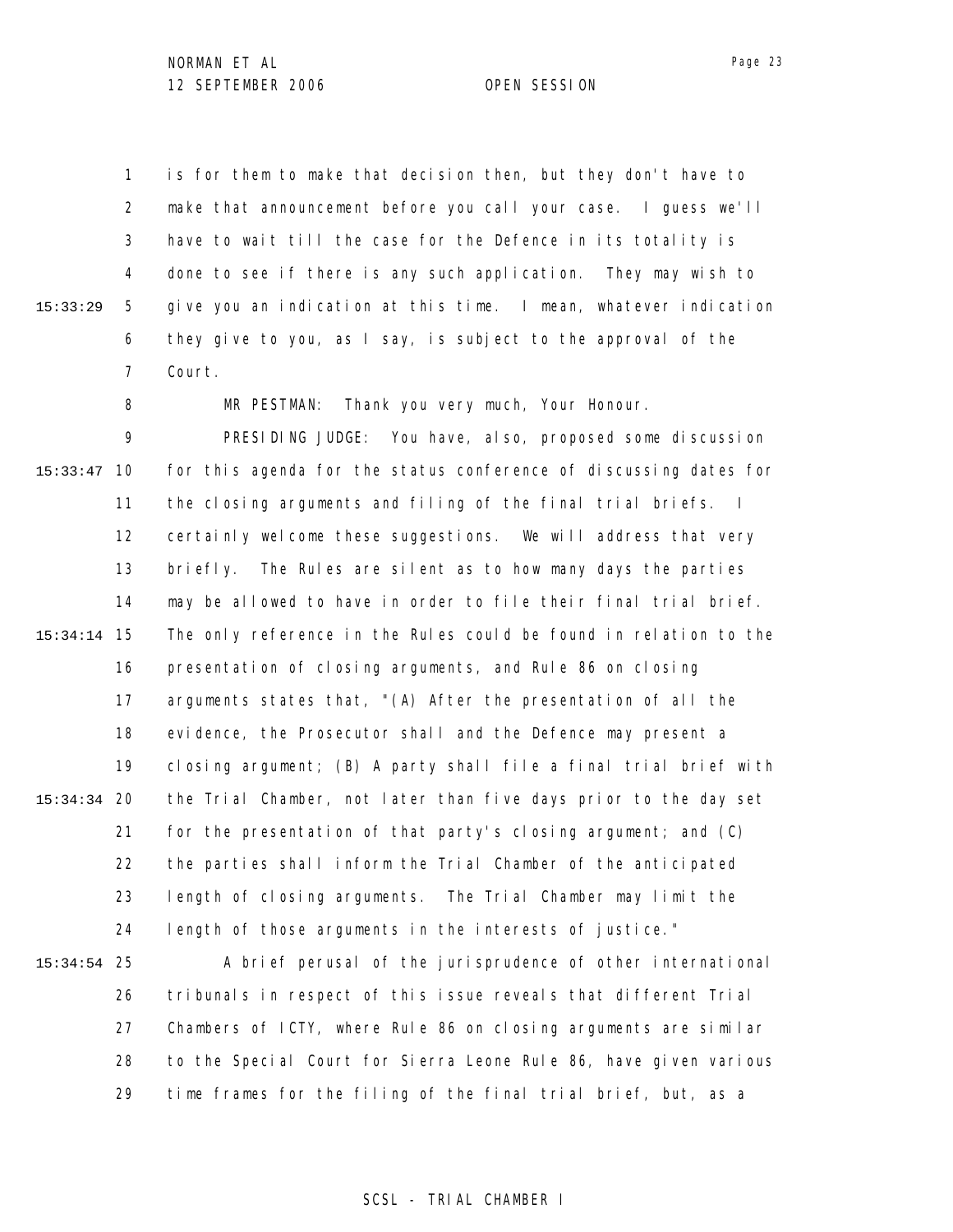1 2 3 4 5 6 7 15:33:29 is for them to make that decision then, but they don't have to make that announcement before you call your case. I guess we'll have to wait till the case for the Defence in its totality is done to see if there is any such application. They may wish to give you an indication at this time. I mean, whatever indication they give to you, as I say, is subject to the approval of the Court.

> 8 MR PESTMAN: Thank you very much, Your Honour.

9 10 15:33:47 11 12 13 14 15 15:34:14 16 17 18 19 20 15:34:34 21 22 23 24 PRESIDING JUDGE: You have, also, proposed some discussion for this agenda for the status conference of discussing dates for the closing arguments and filing of the final trial briefs. I certainly welcome these suggestions. We will address that very briefly. The Rules are silent as to how many days the parties may be allowed to have in order to file their final trial brief. The only reference in the Rules could be found in relation to the presentation of closing arguments, and Rule 86 on closing arguments states that, "(A) After the presentation of all the evidence, the Prosecutor shall and the Defence may present a closing argument; (B) A party shall file a final trial brief with the Trial Chamber, not later than five days prior to the day set for the presentation of that party's closing argument; and (C) the parties shall inform the Trial Chamber of the anticipated length of closing arguments. The Trial Chamber may limit the length of those arguments in the interests of justice."

25 15:34:54 26 27 28 29 A brief perusal of the jurisprudence of other international tribunals in respect of this issue reveals that different Trial Chambers of ICTY, where Rule 86 on closing arguments are similar to the Special Court for Sierra Leone Rule 86, have given various time frames for the filing of the final trial brief, but, as a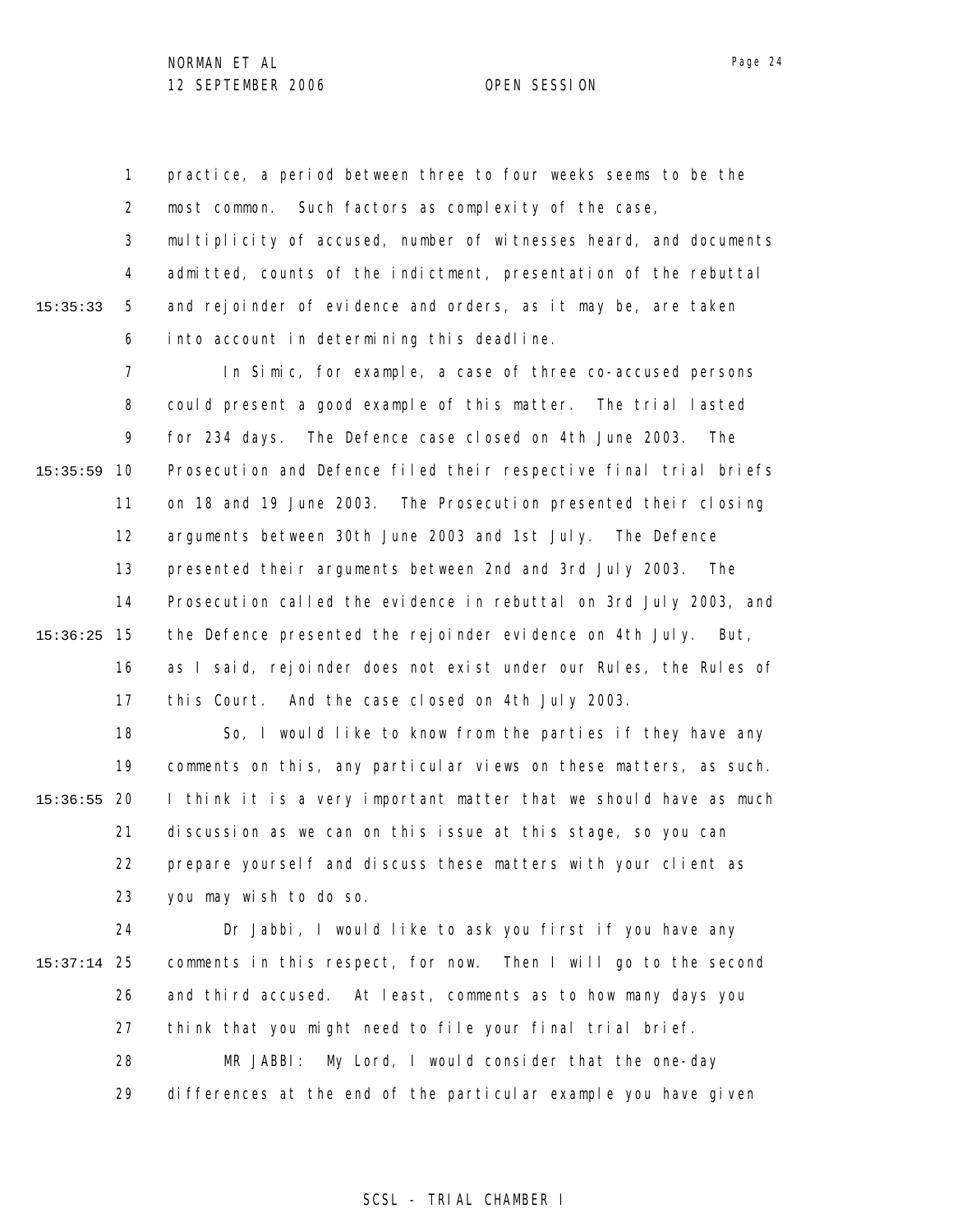1 2 3 4 5 6 15:35:33 practice, a period between three to four weeks seems to be the most common. Such factors as complexity of the case, multiplicity of accused, number of witnesses heard, and documents admitted, counts of the indictment, presentation of the rebuttal and rejoinder of evidence and orders, as it may be, are taken into account in determining this deadline.

7 8 9 10 15:35:59 11 12 13 14 15 15:36:25 16 17 In Simic, for example, a case of three co-accused persons could present a good example of this matter. The trial lasted for 234 days. The Defence case closed on 4th June 2003. The Prosecution and Defence filed their respective final trial briefs on 18 and 19 June 2003. The Prosecution presented their closing arguments between 30th June 2003 and 1st July. The Defence presented their arguments between 2nd and 3rd July 2003. The Prosecution called the evidence in rebuttal on 3rd July 2003, and the Defence presented the rejoinder evidence on 4th July. But, as I said, rejoinder does not exist under our Rules, the Rules of this Court. And the case closed on 4th July 2003.

18 19 20 15:36:55 21 22 23 So, I would like to know from the parties if they have any comments on this, any particular views on these matters, as such. I think it is a very important matter that we should have as much discussion as we can on this issue at this stage, so you can prepare yourself and discuss these matters with your client as you may wish to do so.

24 25 15:37:14 26 27 28 29 Dr Jabbi, I would like to ask you first if you have any comments in this respect, for now. Then I will go to the second and third accused. At least, comments as to how many days you think that you might need to file your final trial brief. MR JABBI: My Lord, I would consider that the one-day differences at the end of the particular example you have given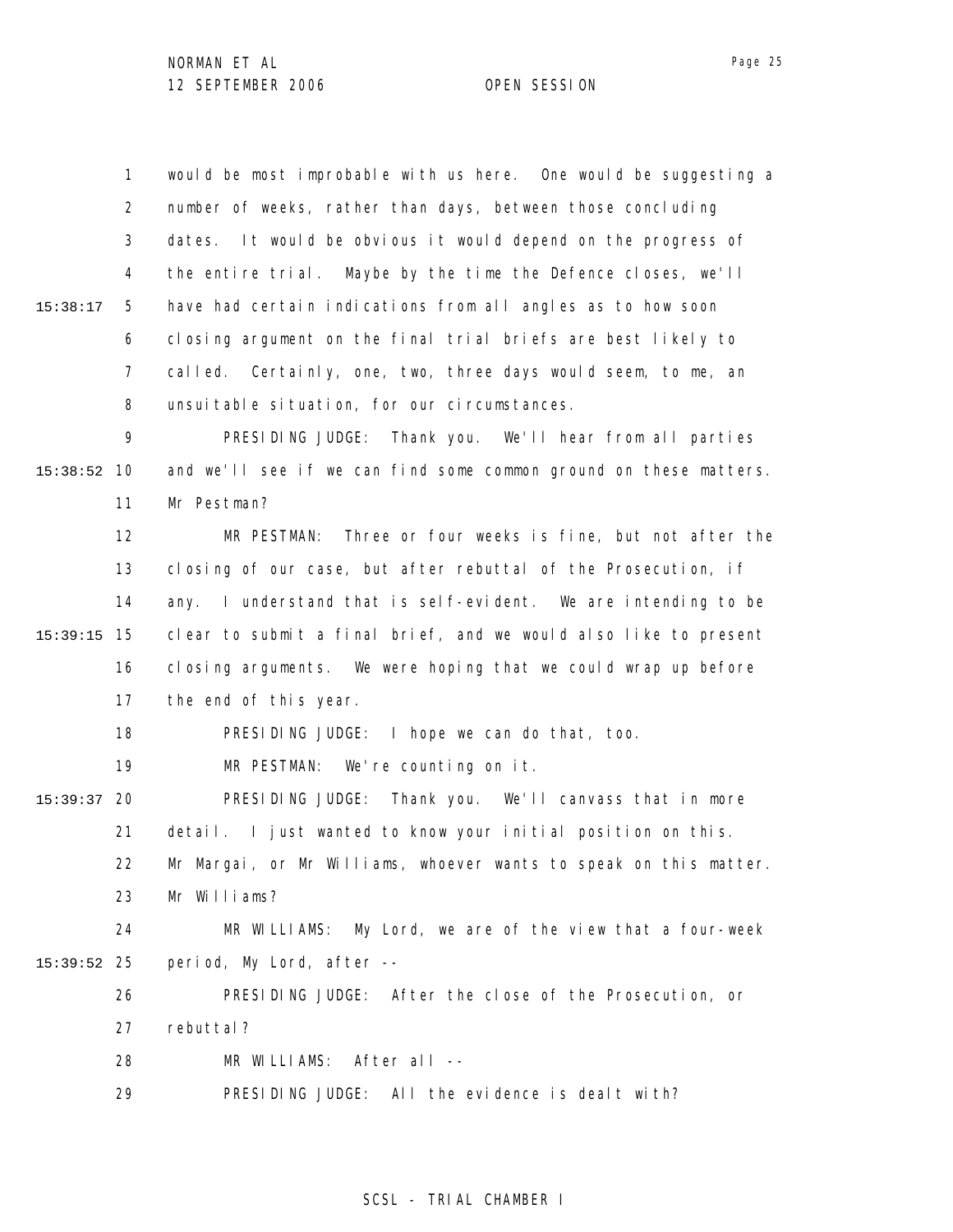1 2 3 4 5 6 7 8 9 10 15:38:52 11 12 13 14 15 15:39:15 16 17 18 19 20 15:39:37 21 22 23 24 25 15:39:52 26 27 28 29 15:38:17 would be most improbable with us here. One would be suggesting a number of weeks, rather than days, between those concluding dates. It would be obvious it would depend on the progress of the entire trial. Maybe by the time the Defence closes, we'll have had certain indications from all angles as to how soon closing argument on the final trial briefs are best likely to called. Certainly, one, two, three days would seem, to me, an unsuitable situation, for our circumstances. PRESIDING JUDGE: Thank you. We'll hear from all parties and we'll see if we can find some common ground on these matters. Mr Pestman? MR PESTMAN: Three or four weeks is fine, but not after the closing of our case, but after rebuttal of the Prosecution, if any. I understand that is self-evident. We are intending to be clear to submit a final brief, and we would also like to present closing arguments. We were hoping that we could wrap up before the end of this year. PRESIDING JUDGE: I hope we can do that, too. MR PESTMAN: We're counting on it. PRESIDING JUDGE: Thank you. We'll canvass that in more detail. I just wanted to know your initial position on this. Mr Margai, or Mr Williams, whoever wants to speak on this matter. Mr Williams? MR WILLIAMS: My Lord, we are of the view that a four-week period, My Lord, after -- PRESIDING JUDGE: After the close of the Prosecution, or rebuttal? MR WILLIAMS: After all -- PRESIDING JUDGE: All the evidence is dealt with?

### SCSL - TRIAL CHAMBER I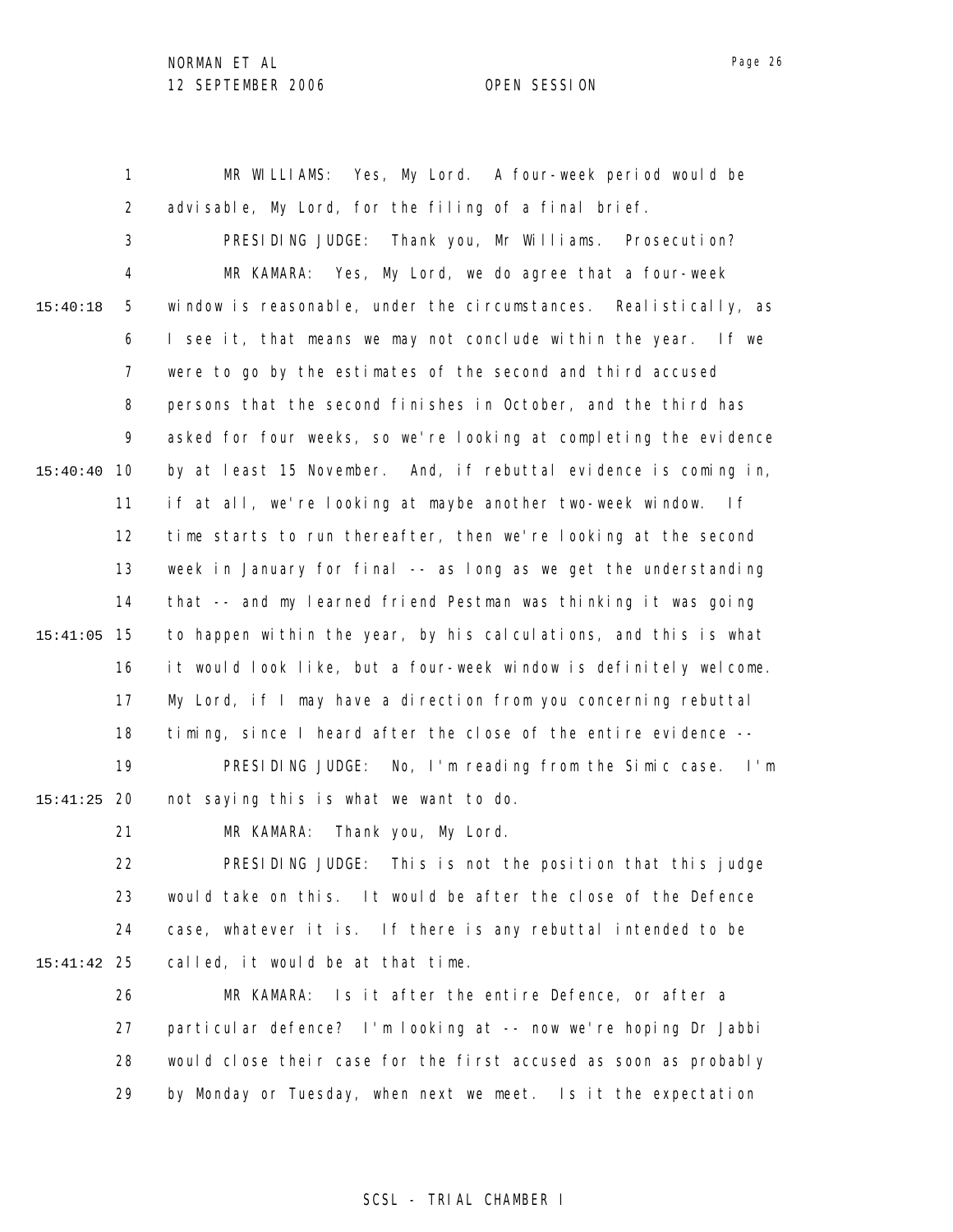1 2 3 4 5 6 7 8 9 10 15:40:40 11 12 13 14 15 15:41:05 16 17 18 19 20 15:41:25 21 15:40:18 MR WILLIAMS: Yes, My Lord. A four-week period would be advisable, My Lord, for the filing of a final brief. PRESIDING JUDGE: Thank you, Mr Williams. Prosecution? MR KAMARA: Yes, My Lord, we do agree that a four-week window is reasonable, under the circumstances. Realistically, as I see it, that means we may not conclude within the year. If we were to go by the estimates of the second and third accused persons that the second finishes in October, and the third has asked for four weeks, so we're looking at completing the evidence by at least 15 November. And, if rebuttal evidence is coming in, if at all, we're looking at maybe another two-week window. If time starts to run thereafter, then we're looking at the second week in January for final -- as long as we get the understanding that -- and my learned friend Pestman was thinking it was going to happen within the year, by his calculations, and this is what it would look like, but a four-week window is definitely welcome. My Lord, if I may have a direction from you concerning rebuttal timing, since I heard after the close of the entire evidence -- PRESIDING JUDGE: No, I'm reading from the Simic case. I'm not saying this is what we want to do. MR KAMARA: Thank you, My Lord.

22 23 24 25 15:41:42 PRESIDING JUDGE: This is not the position that this judge would take on this. It would be after the close of the Defence case, whatever it is. If there is any rebuttal intended to be called, it would be at that time.

26 27 28 29 MR KAMARA: Is it after the entire Defence, or after a particular defence? I'm looking at -- now we're hoping Dr Jabbi would close their case for the first accused as soon as probably by Monday or Tuesday, when next we meet. Is it the expectation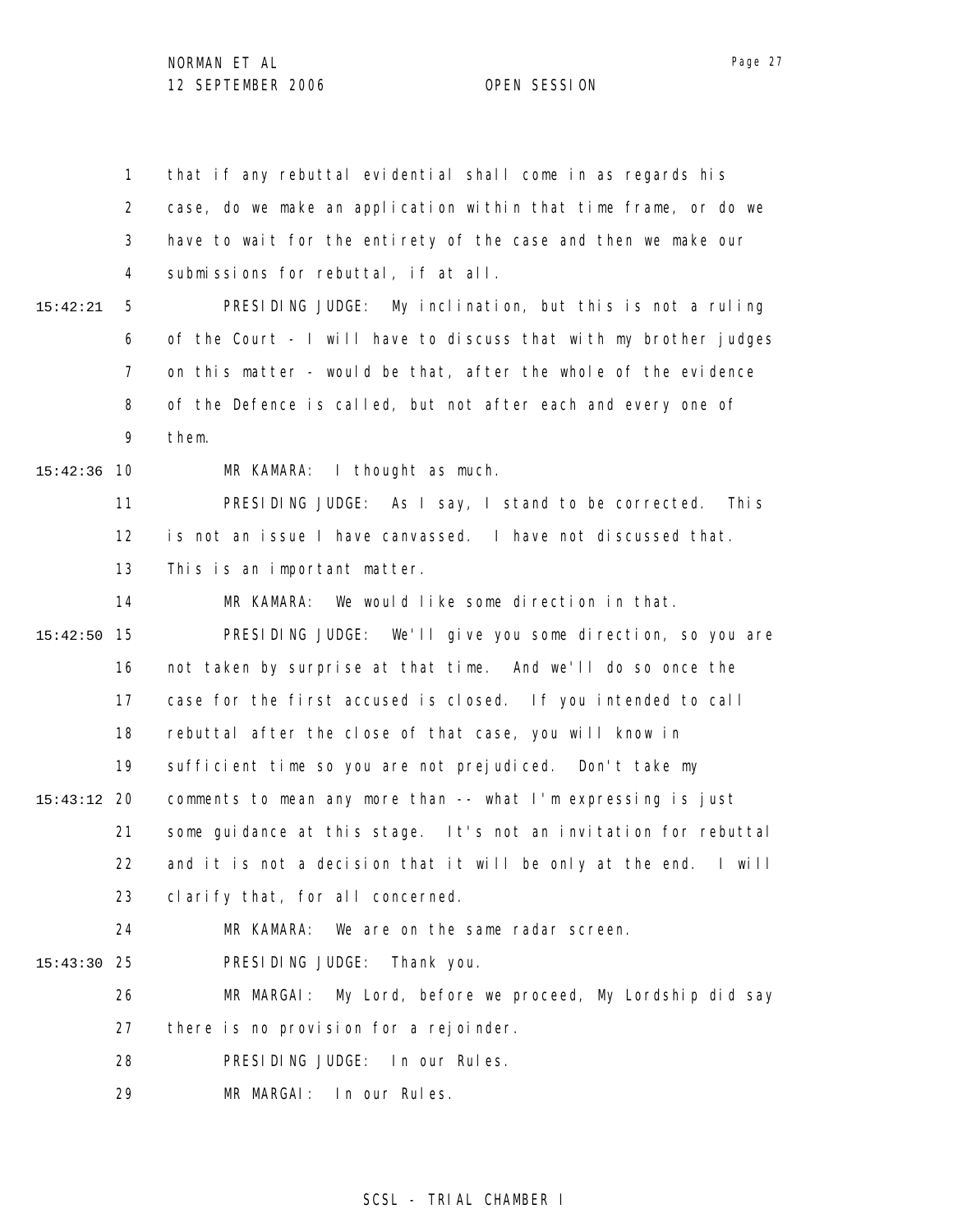1 2 3 4 5 6 7 8 9 10 15:42:36 11 12 13 14 15 15:42:50 16 17 18 19 20 15:43:12 21 22 23 24 25 15:43:30 26 27 28 29 15:42:21 that if any rebuttal evidential shall come in as regards his case, do we make an application within that time frame, or do we have to wait for the entirety of the case and then we make our submissions for rebuttal, if at all. PRESIDING JUDGE: My inclination, but this is not a ruling of the Court - I will have to discuss that with my brother judges on this matter - would be that, after the whole of the evidence of the Defence is called, but not after each and every one of them. MR KAMARA: I thought as much. PRESIDING JUDGE: As I say, I stand to be corrected. This is not an issue I have canvassed. I have not discussed that. This is an important matter. MR KAMARA: We would like some direction in that. PRESIDING JUDGE: We'll give you some direction, so you are not taken by surprise at that time. And we'll do so once the case for the first accused is closed. If you intended to call rebuttal after the close of that case, you will know in sufficient time so you are not prejudiced. Don't take my comments to mean any more than -- what I'm expressing is just some guidance at this stage. It's not an invitation for rebuttal and it is not a decision that it will be only at the end. I will clarify that, for all concerned. MR KAMARA: We are on the same radar screen. PRESIDING JUDGE: Thank you. MR MARGAI: My Lord, before we proceed, My Lordship did say there is no provision for a rejoinder. PRESIDING JUDGE: In our Rules. MR MARGAI: In our Rules.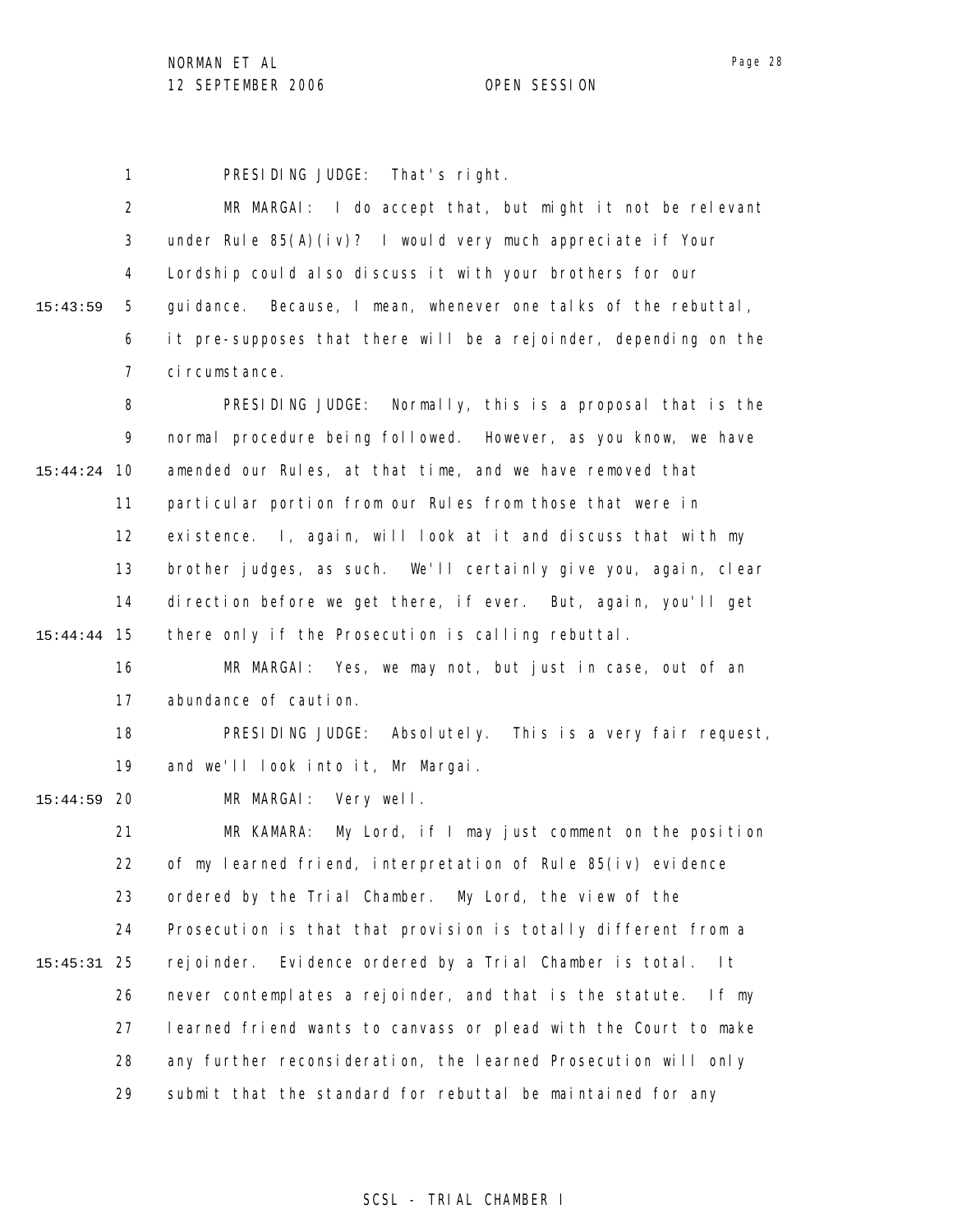1 PRESIDING JUDGE: That's right.

|          | $\overline{2}$ | MR MARGAI: I do accept that, but might it not be relevant            |
|----------|----------------|----------------------------------------------------------------------|
|          | 3              | under Rule $85(A)(i \vee)$ ? I would very much appreciate if Your    |
|          | 4              | Lordship could also discuss it with your brothers for our            |
| 15:43:59 | 5              | Because, I mean, whenever one talks of the rebuttal,<br>qui dance.   |
|          | 6              | it pre-supposes that there will be a rejoinder, depending on the     |
|          | 7              | ci rcumstance.                                                       |
|          | 8              | PRESIDING JUDGE: Normally, this is a proposal that is the            |
|          | 9              | normal procedure being followed. However, as you know, we have       |
| 15:44:24 | 10             | amended our Rules, at that time, and we have removed that            |
|          | 11             | particular portion from our Rules from those that were in            |
|          | 12             | existence. I, again, will look at it and discuss that with my        |
|          | 13             | brother judges, as such. We'll certainly give you, again, clear      |
|          | 14             | direction before we get there, if ever. But, again, you'll get       |
| 15:44:44 | 15             | there only if the Prosecution is calling rebuttal.                   |
|          | 16             | MR MARGAI: Yes, we may not, but just in case, out of an              |
|          | 17             | abundance of caution.                                                |
|          | 18             | PRESIDING JUDGE: Absolutely. This is a very fair request,            |
|          | 19             | and we'll look into it, Mr Margai.                                   |
| 15:44:59 | 20             | Very well.<br>MR MARGAI:                                             |
|          | 21             | My Lord, if I may just comment on the position<br>MR KAMARA:         |
|          | 22             | of my learned friend, interpretation of Rule $85(iv)$ evidence       |
|          | 23             | ordered by the Trial Chamber. My Lord, the view of the               |
|          | 24             | Prosecution is that that provision is totally different from a       |
| 15:45:31 | 25             | Evidence ordered by a Trial Chamber is total.<br>rej oi nder.<br>I t |
|          | 26             | never contemplates a rejoinder, and that is the statute.<br>If my    |
|          | 27             | learned friend wants to canvass or plead with the Court to make      |
|          | 28             | any further reconsideration, the learned Prosecution will only       |
|          | 29             | submit that the standard for rebuttal be maintained for any          |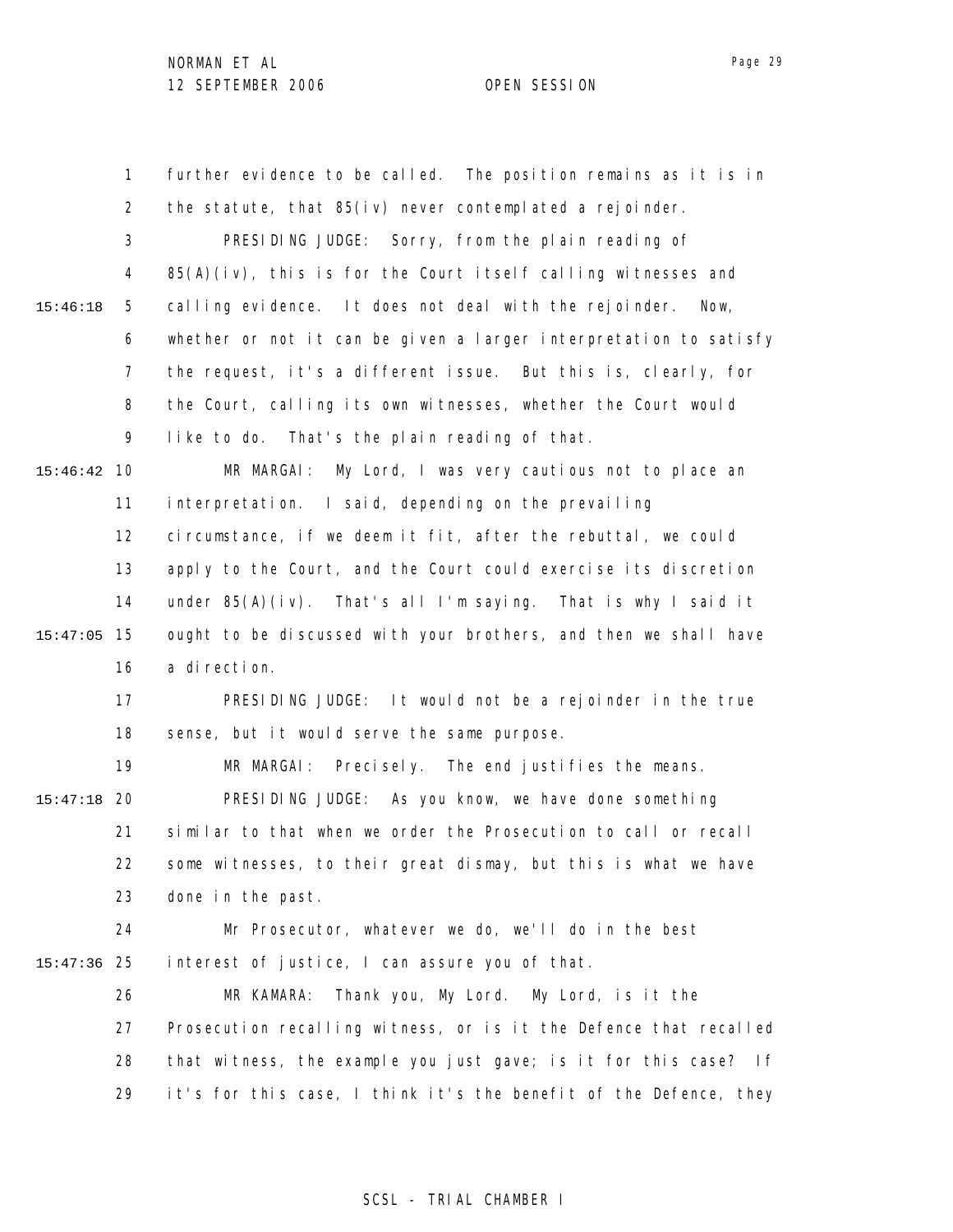1 2 3 4 5 6 7 8 9 10 15:46:42 11 12 13 14 15 15:47:05 16 17 18 19 20 15:47:18 21 22 23 24 25 15:47:36 26 27 28 29 15:46:18 further evidence to be called. The position remains as it is in the statute, that 85(iv) never contemplated a rejoinder. PRESIDING JUDGE: Sorry, from the plain reading of 85(A)(iv), this is for the Court itself calling witnesses and calling evidence. It does not deal with the rejoinder. Now, whether or not it can be given a larger interpretation to satisfy the request, it's a different issue. But this is, clearly, for the Court, calling its own witnesses, whether the Court would like to do. That's the plain reading of that. MR MARGAI: My Lord, I was very cautious not to place an interpretation. I said, depending on the prevailing circumstance, if we deem it fit, after the rebuttal, we could apply to the Court, and the Court could exercise its discretion under 85(A)(iv). That's all I'm saying. That is why I said it ought to be discussed with your brothers, and then we shall have a direction. PRESIDING JUDGE: It would not be a rejoinder in the true sense, but it would serve the same purpose. MR MARGAI: Precisely. The end justifies the means. PRESIDING JUDGE: As you know, we have done something similar to that when we order the Prosecution to call or recall some witnesses, to their great dismay, but this is what we have done in the past. Mr Prosecutor, whatever we do, we'll do in the best interest of justice, I can assure you of that. MR KAMARA: Thank you, My Lord. My Lord, is it the Prosecution recalling witness, or is it the Defence that recalled that witness, the example you just gave; is it for this case? If it's for this case, I think it's the benefit of the Defence, they

### SCSL - TRIAL CHAMBER I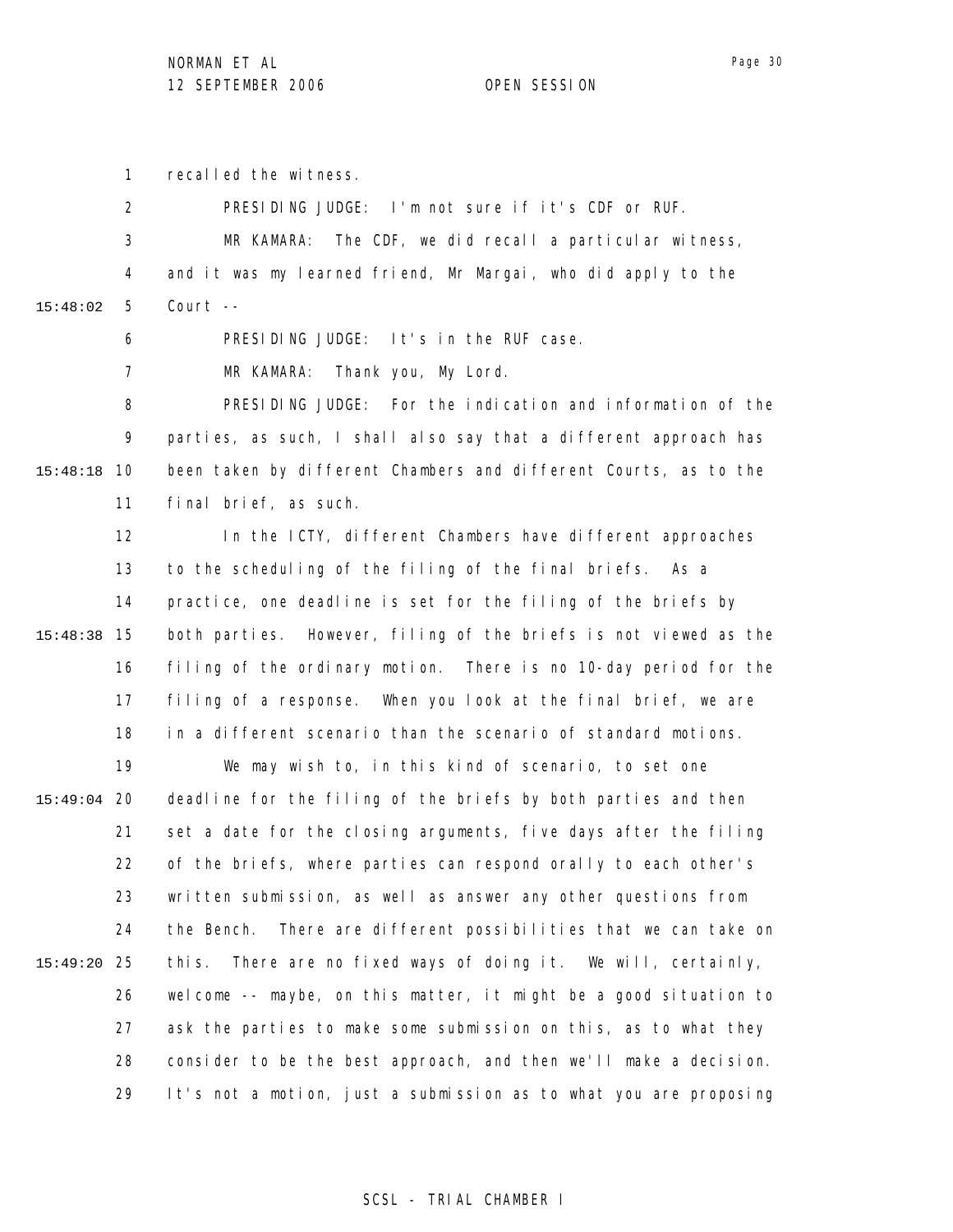1 recalled the witness.

|               | $\overline{2}$ | PRESIDING JUDGE: I'm not sure if it's CDF or RUF.                   |
|---------------|----------------|---------------------------------------------------------------------|
|               | 3              | The CDF, we did recall a particular witness,<br>MR KAMARA:          |
|               | 4              | and it was my learned friend, Mr Margai, who did apply to the       |
| 15:48:02      | 5              | Court --                                                            |
|               | 6              | PRESIDING JUDGE: It's in the RUF case.                              |
|               | 7              | Thank you, My Lord.<br>MR KAMARA:                                   |
|               | 8              | PRESIDING JUDGE: For the indication and information of the          |
|               | 9              | parties, as such, I shall also say that a different approach has    |
| 15:48:18      | 10             | been taken by different Chambers and different Courts, as to the    |
|               | 11             | final brief, as such.                                               |
|               | 12             | In the ICTY, different Chambers have different approaches           |
|               | 13             | to the scheduling of the filing of the final briefs. As a           |
|               | 14             | practice, one deadline is set for the filing of the briefs by       |
| 15:48:38      | 15             | both parties. However, filing of the briefs is not viewed as the    |
|               | 16             | filing of the ordinary motion. There is no 10-day period for the    |
|               | 17             | filing of a response. When you look at the final brief, we are      |
|               | 18             | in a different scenario than the scenario of standard motions.      |
|               | 19             | We may wish to, in this kind of scenario, to set one                |
| $15:49:04$ 20 |                | deadline for the filing of the briefs by both parties and then      |
|               | 21             | set a date for the closing arguments, five days after the filing    |
|               | 22             | of the briefs, where parties can respond orally to each other's     |
|               | 23             | written submission, as well as answer any other questions from      |
|               | 24             | There are different possibilities that we can take on<br>the Bench. |
| 15:49:20      | -25            | There are no fixed ways of doing it. We will, certainly,<br>thi s.  |
|               | 26             | welcome -- maybe, on this matter, it might be a good situation to   |
|               | 27             | ask the parties to make some submission on this, as to what they    |
|               | 28             | consider to be the best approach, and then we'll make a decision.   |
|               | 29             | It's not a motion, just a submission as to what you are proposing   |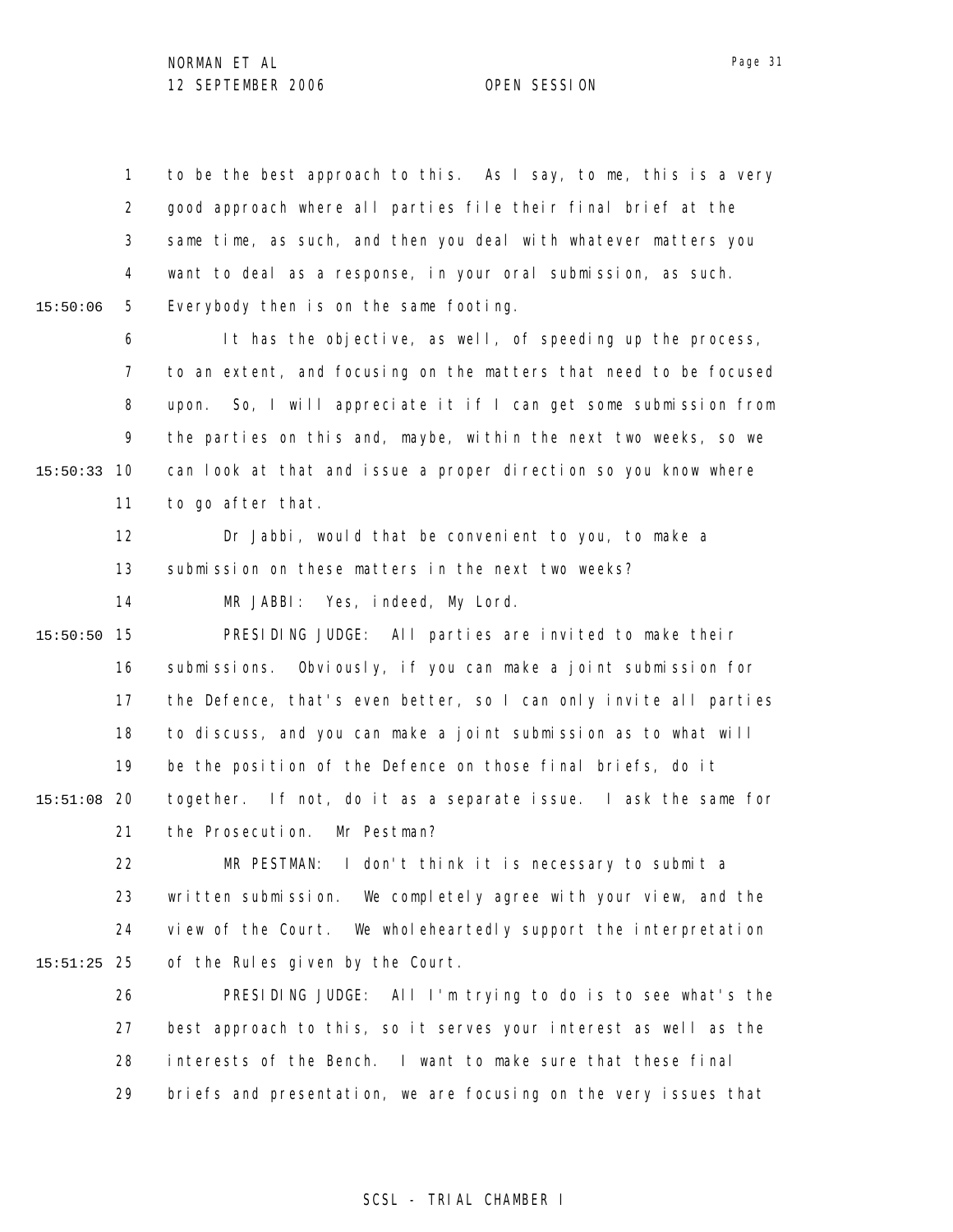|          | 1.             | to be the best approach to this. As I say, to me, this is a very  |
|----------|----------------|-------------------------------------------------------------------|
|          | $\overline{2}$ | good approach where all parties file their final brief at the     |
|          | 3              | same time, as such, and then you deal with whatever matters you   |
|          | 4              | want to deal as a response, in your oral submission, as such.     |
| 15:50:06 | 5              | Everybody then is on the same footing.                            |
|          | 6              | It has the objective, as well, of speeding up the process,        |
|          | 7              | to an extent, and focusing on the matters that need to be focused |
|          | 8              | upon. So, I will appreciate it if I can get some submission from  |
|          | 9              | the parties on this and, maybe, within the next two weeks, so we  |
| 15:50:33 | 10             | can look at that and issue a proper direction so you know where   |
|          | 11             | to go after that.                                                 |
|          | 12             | Dr Jabbi, would that be convenient to you, to make a              |
|          | 13             | submission on these matters in the next two weeks?                |
|          | 14             | MR JABBI: Yes, indeed, My Lord.                                   |
| 15:50:50 | 15             | PRESIDING JUDGE: All parties are invited to make their            |
|          | 16             | submissions. Obviously, if you can make a joint submission for    |
|          | 17             | the Defence, that's even better, so I can only invite all parties |
|          | 18             | to discuss, and you can make a joint submission as to what will   |
|          | 19             | be the position of the Defence on those final briefs, do it       |
| 15:51:08 | 20             | together. If not, do it as a separate issue. I ask the same for   |
|          | 21             | the Prosecution.<br>Mr Pestman?                                   |
|          | 22             | MR PESTMAN: I don't think it is necessary to submit a             |
|          | 23             | written submission. We completely agree with your view, and the   |
|          | 24             | view of the Court. We wholeheartedly support the interpretation   |
| 15:51:25 | 25             | of the Rules given by the Court.                                  |
|          | 26             | PRESIDING JUDGE: All I'm trying to do is to see what's the        |
|          | 27             | best approach to this, so it serves your interest as well as the  |
|          | 28             | interests of the Bench. I want to make sure that these final      |
|          | 29             | briefs and presentation, we are focusing on the very issues that  |
|          |                |                                                                   |

# SCSL - TRIAL CHAMBER I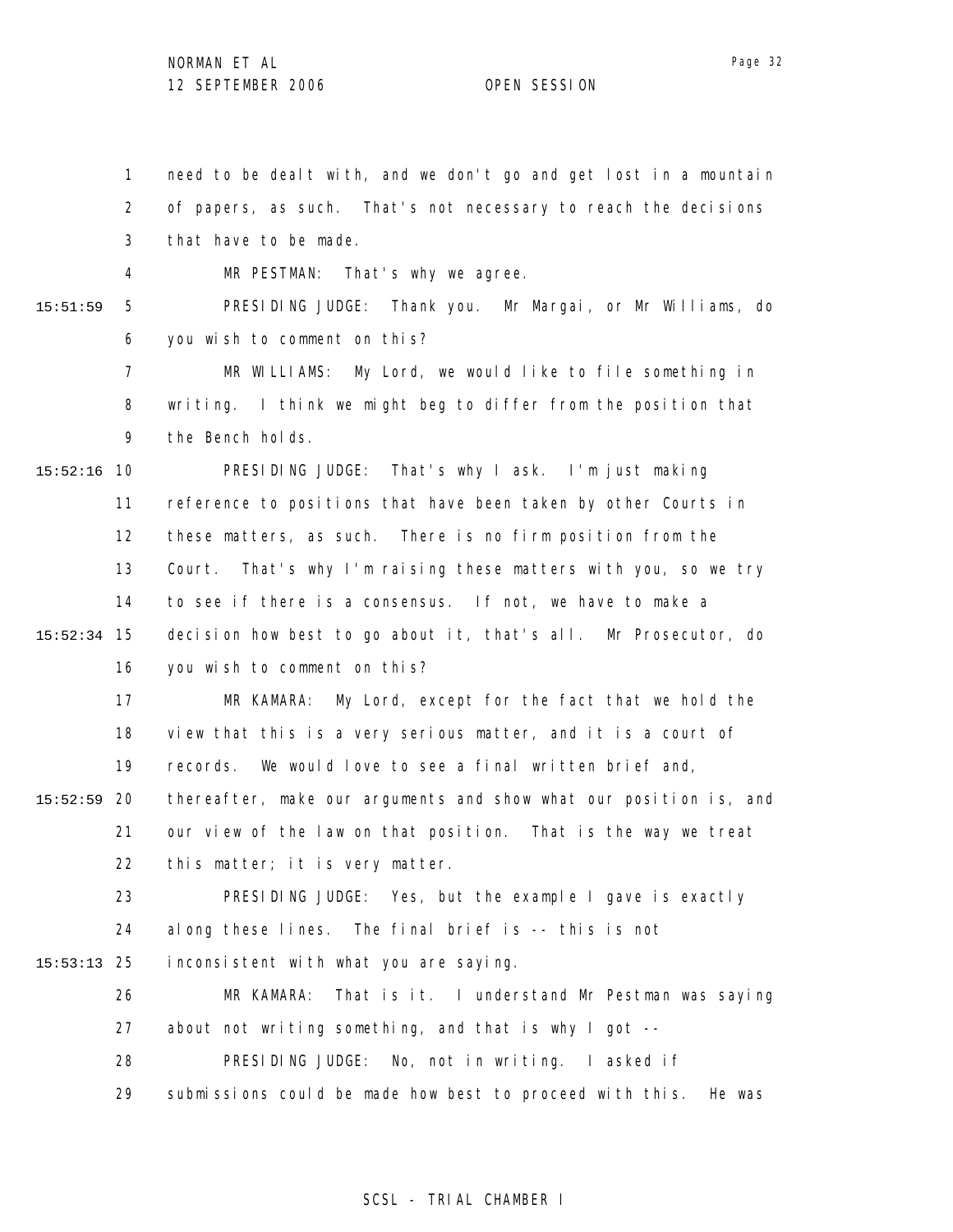1

need to be dealt with, and we don't go and get lost in a mountain

2 3 4 5 6 7 8 9 10 15:52:16 11 12 13 14 15 15:52:34 16 17 18 19 20 15:52:59 21 22 23 24 25 15:53:13 26 27 28 29 15:51:59 of papers, as such. That's not necessary to reach the decisions that have to be made. MR PESTMAN: That's why we agree. PRESIDING JUDGE: Thank you. Mr Margai, or Mr Williams, do you wish to comment on this? MR WILLIAMS: My Lord, we would like to file something in writing. I think we might beg to differ from the position that the Bench holds. PRESIDING JUDGE: That's why I ask. I'm just making reference to positions that have been taken by other Courts in these matters, as such. There is no firm position from the Court. That's why I'm raising these matters with you, so we try to see if there is a consensus. If not, we have to make a decision how best to go about it, that's all. Mr Prosecutor, do you wish to comment on this? MR KAMARA: My Lord, except for the fact that we hold the view that this is a very serious matter, and it is a court of records. We would love to see a final written brief and, thereafter, make our arguments and show what our position is, and our view of the law on that position. That is the way we treat this matter; it is very matter. PRESIDING JUDGE: Yes, but the example I gave is exactly along these lines. The final brief is -- this is not inconsistent with what you are saying. MR KAMARA: That is it. I understand Mr Pestman was saying about not writing something, and that is why I got -- PRESIDING JUDGE: No, not in writing. I asked if submissions could be made how best to proceed with this. He was

### SCSL - TRIAL CHAMBER I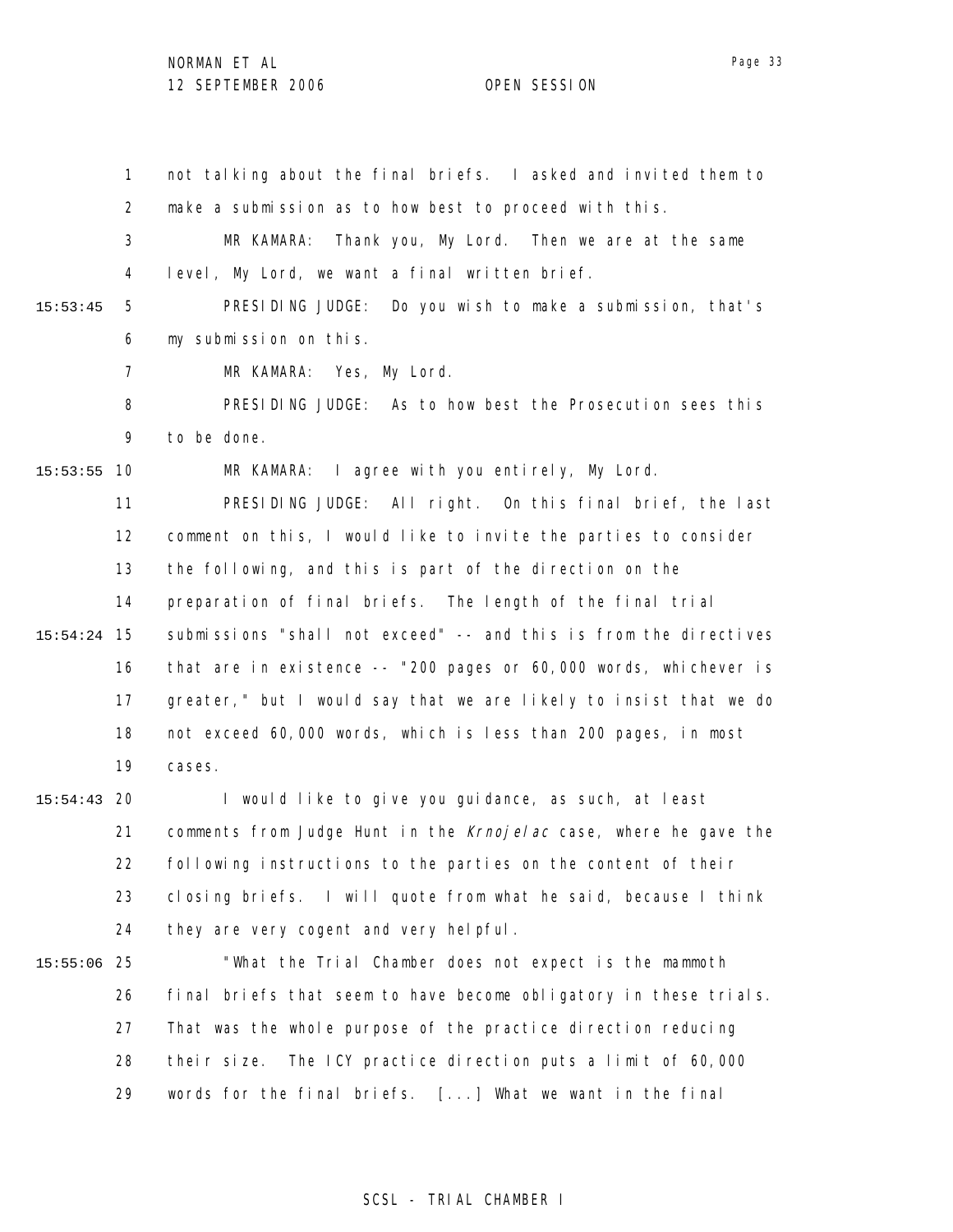1 2 3 4 5 6 7 8 9 10 15:53:55 11 12 13 14 15 15:54:24 16 17 18 19 20 15:54:43 21 22 23 24 25 15:55:06 26 27 28 29 15:53:45 not talking about the final briefs. I asked and invited them to make a submission as to how best to proceed with this. MR KAMARA: Thank you, My Lord. Then we are at the same level, My Lord, we want a final written brief. PRESIDING JUDGE: Do you wish to make a submission, that's my submission on this. MR KAMARA: Yes, My Lord. PRESIDING JUDGE: As to how best the Prosecution sees this to be done. MR KAMARA: I agree with you entirely, My Lord. PRESIDING JUDGE: All right. On this final brief, the last comment on this, I would like to invite the parties to consider the following, and this is part of the direction on the preparation of final briefs. The length of the final trial submissions "shall not exceed" -- and this is from the directives that are in existence -- "200 pages or 60,000 words, whichever is greater," but I would say that we are likely to insist that we do not exceed 60,000 words, which is less than 200 pages, in most cases. I would like to give you guidance, as such, at least comments from Judge Hunt in the Krnojelac case, where he gave the following instructions to the parties on the content of their closing briefs. I will quote from what he said, because I think they are very cogent and very helpful. "What the Trial Chamber does not expect is the mammoth final briefs that seem to have become obligatory in these trials. That was the whole purpose of the practice direction reducing their size. The ICY practice direction puts a limit of 60,000 words for the final briefs. [...] What we want in the final

### SCSL - TRIAL CHAMBER I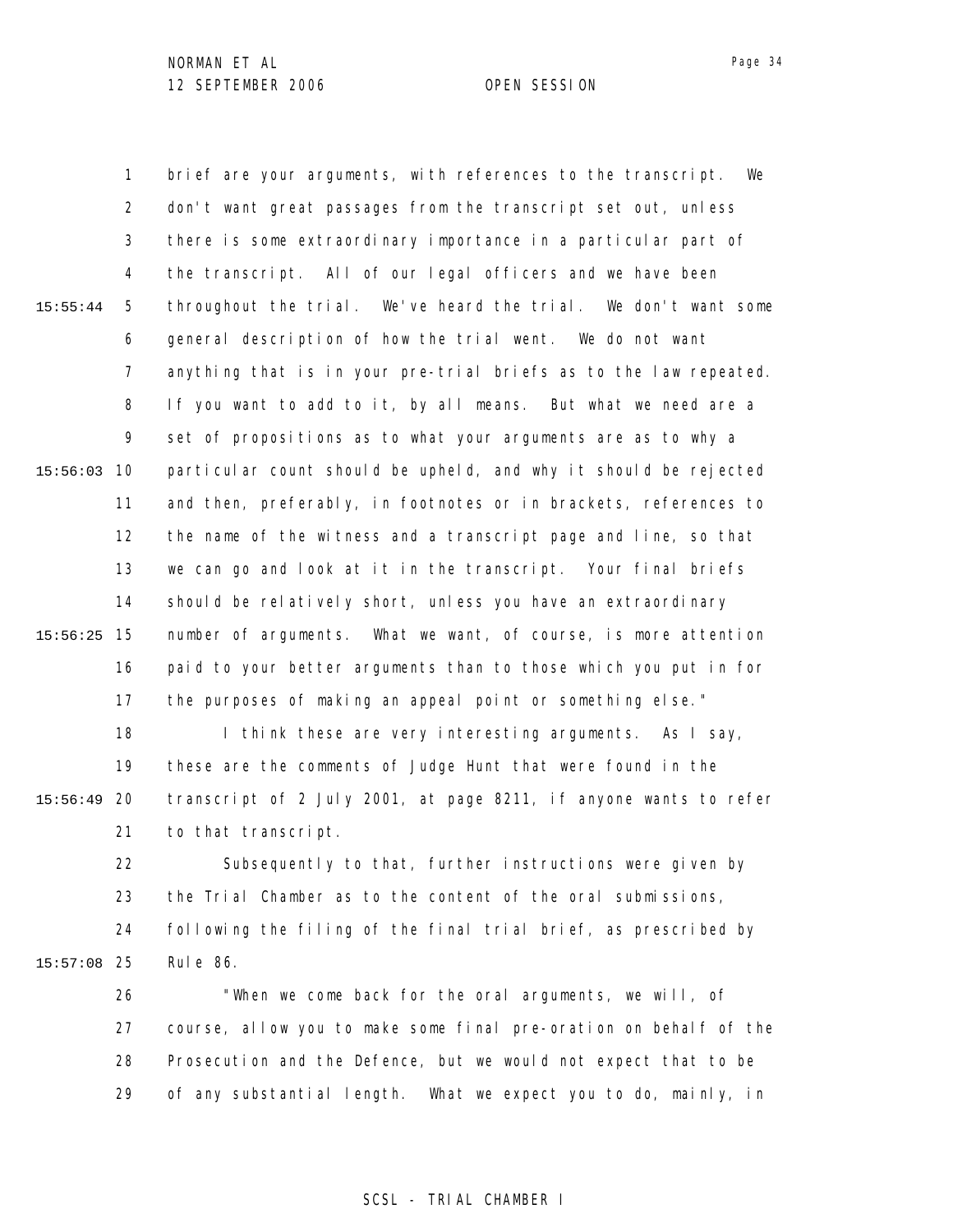1 2 3 4 5 6 7 8 9 10 15:56:03 11 12 13 14 15 15:56:25 16 17 18 19 20 15:56:49 21 22 23 24 25 15:57:08 15:55:44 brief are your arguments, with references to the transcript. We don't want great passages from the transcript set out, unless there is some extraordinary importance in a particular part of the transcript. All of our legal officers and we have been throughout the trial. We've heard the trial. We don't want some general description of how the trial went. We do not want anything that is in your pre-trial briefs as to the law repeated. If you want to add to it, by all means. But what we need are a set of propositions as to what your arguments are as to why a particular count should be upheld, and why it should be rejected and then, preferably, in footnotes or in brackets, references to the name of the witness and a transcript page and line, so that we can go and look at it in the transcript. Your final briefs should be relatively short, unless you have an extraordinary number of arguments. What we want, of course, is more attention paid to your better arguments than to those which you put in for the purposes of making an appeal point or something else." I think these are very interesting arguments. As I say, these are the comments of Judge Hunt that were found in the transcript of 2 July 2001, at page 8211, if anyone wants to refer to that transcript. Subsequently to that, further instructions were given by the Trial Chamber as to the content of the oral submissions, following the filing of the final trial brief, as prescribed by Rule 86.

26 27 28 29 "When we come back for the oral arguments, we will, of course, allow you to make some final pre-oration on behalf of the Prosecution and the Defence, but we would not expect that to be of any substantial length. What we expect you to do, mainly, in

### SCSL - TRIAL CHAMBER I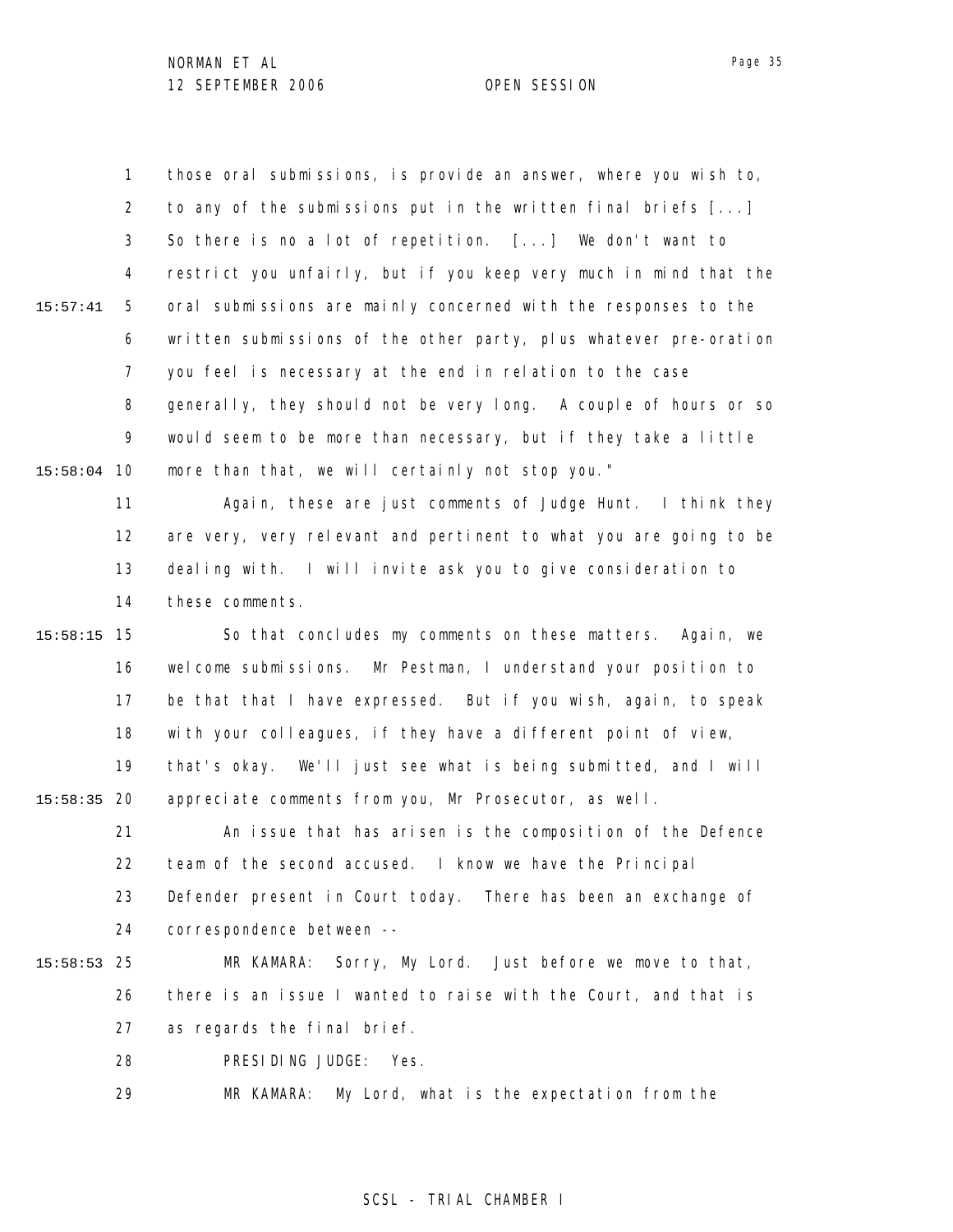1 2 3 4 5 6 7 8 9 10 15:58:04 11 12 13 15:57:41 those oral submissions, is provide an answer, where you wish to, to any of the submissions put in the written final briefs [...] So there is no a lot of repetition. [...] We don't want to restrict you unfairly, but if you keep very much in mind that the oral submissions are mainly concerned with the responses to the written submissions of the other party, plus whatever pre-oration you feel is necessary at the end in relation to the case generally, they should not be very long. A couple of hours or so would seem to be more than necessary, but if they take a little more than that, we will certainly not stop you." Again, these are just comments of Judge Hunt. I think they are very, very relevant and pertinent to what you are going to be dealing with. I will invite ask you to give consideration to

14 these comments.

15 15:58:15 16 17 18 19 20 15:58:35 So that concludes my comments on these matters. Again, we welcome submissions. Mr Pestman, I understand your position to be that that I have expressed. But if you wish, again, to speak with your colleagues, if they have a different point of view, that's okay. We'll just see what is being submitted, and I will appreciate comments from you, Mr Prosecutor, as well.

21 22 23 24 An issue that has arisen is the composition of the Defence team of the second accused. I know we have the Principal Defender present in Court today. There has been an exchange of correspondence between --

25 15:58:53 26 27 MR KAMARA: Sorry, My Lord. Just before we move to that, there is an issue I wanted to raise with the Court, and that is as regards the final brief.

> 28 PRESIDING JUDGE: Yes.

29 MR KAMARA: My Lord, what is the expectation from the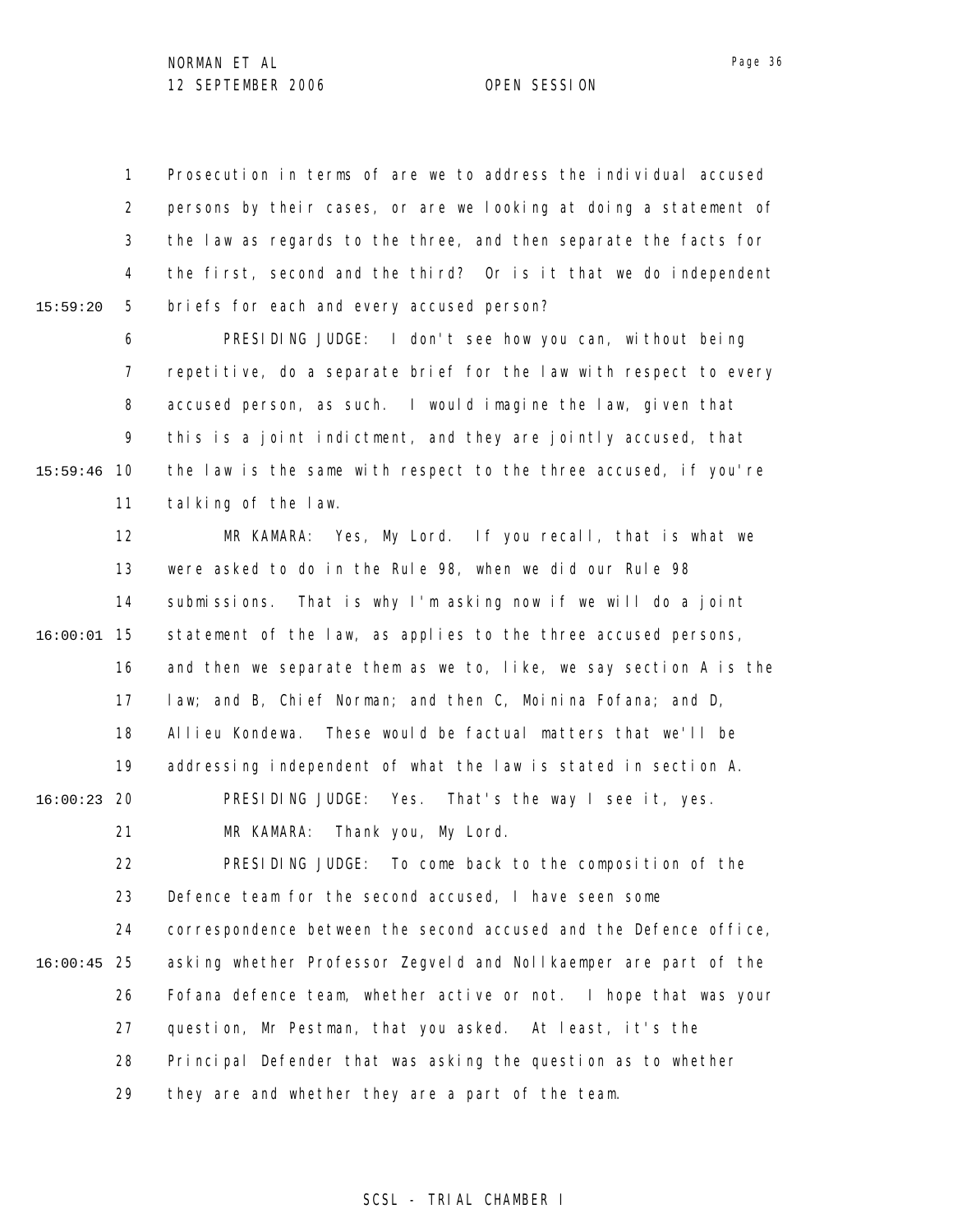1 2 3 4 5 15:59:20 Prosecution in terms of are we to address the individual accused persons by their cases, or are we looking at doing a statement of the law as regards to the three, and then separate the facts for the first, second and the third? Or is it that we do independent briefs for each and every accused person?

6 7 8 9 10 15:59:46 11 PRESIDING JUDGE: I don't see how you can, without being repetitive, do a separate brief for the law with respect to every accused person, as such. I would imagine the law, given that this is a joint indictment, and they are jointly accused, that the law is the same with respect to the three accused, if you're talking of the law.

12 13 14 15 16:00:01 16 17 18 19 20 16:00:23 21 22 23 24 25 16:00:45 26 27 MR KAMARA: Yes, My Lord. If you recall, that is what we were asked to do in the Rule 98, when we did our Rule 98 submissions. That is why I'm asking now if we will do a joint statement of the law, as applies to the three accused persons, and then we separate them as we to, like, we say section A is the law; and B, Chief Norman; and then C, Moinina Fofana; and D, Allieu Kondewa. These would be factual matters that we'll be addressing independent of what the law is stated in section A. PRESIDING JUDGE: Yes. That's the way I see it, yes. MR KAMARA: Thank you, My Lord. PRESIDING JUDGE: To come back to the composition of the Defence team for the second accused, I have seen some correspondence between the second accused and the Defence office, asking whether Professor Zegveld and Nollkaemper are part of the Fofana defence team, whether active or not. I hope that was your question, Mr Pestman, that you asked. At least, it's the

28 Principal Defender that was asking the question as to whether

29 they are and whether they are a part of the team.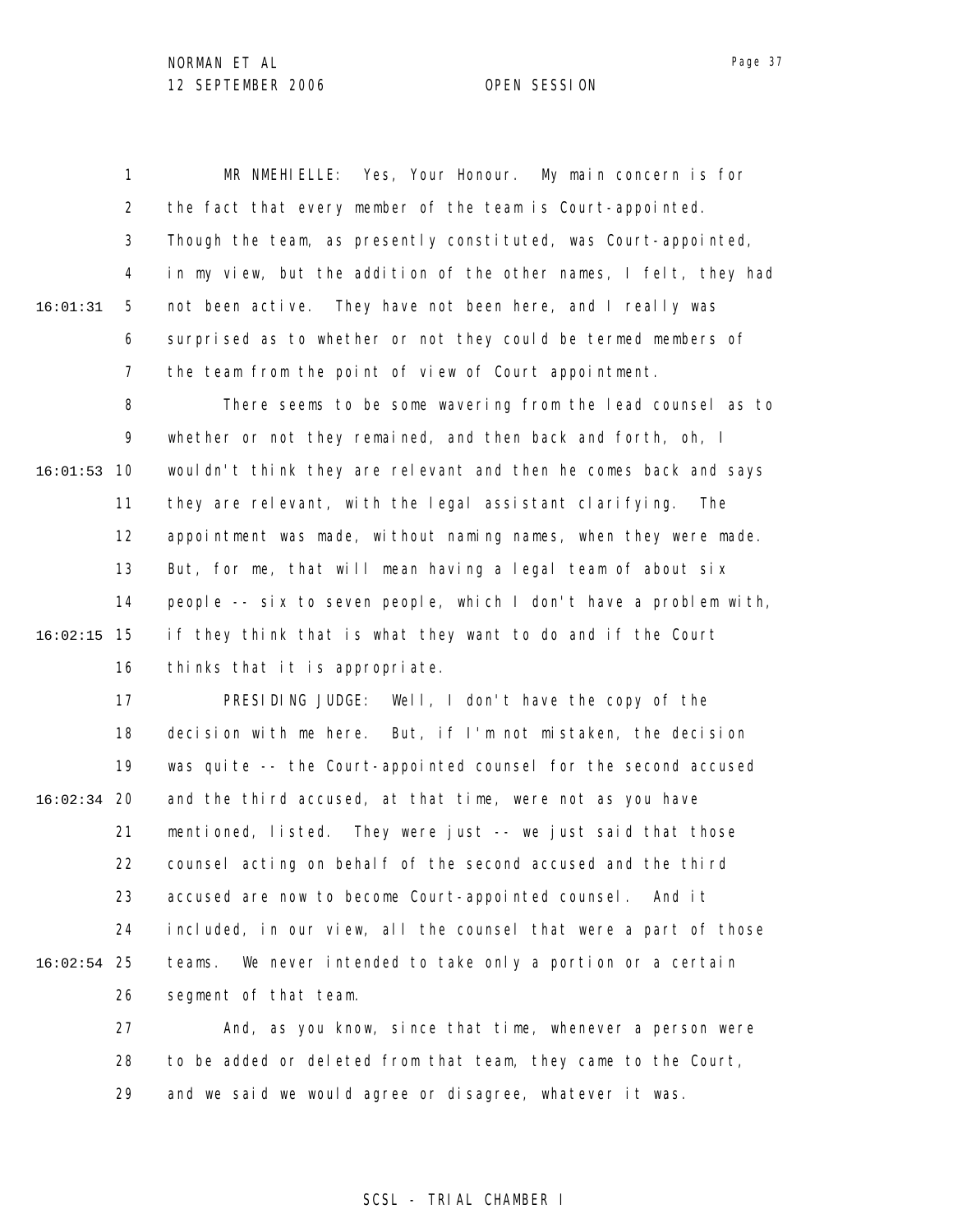1 2 3 4 5 6 7 8 9 10 16:01:53 11 12 13 14 15 16:02:15 16 17 18 19 20 16:02:34 21 22 23 24 25 16:02:54 26 27 28 16:01:31 MR NMEHIELLE: Yes, Your Honour. My main concern is for the fact that every member of the team is Court-appointed. Though the team, as presently constituted, was Court-appointed, in my view, but the addition of the other names, I felt, they had not been active. They have not been here, and I really was surprised as to whether or not they could be termed members of the team from the point of view of Court appointment. There seems to be some wavering from the lead counsel as to whether or not they remained, and then back and forth, oh, I wouldn't think they are relevant and then he comes back and says they are relevant, with the legal assistant clarifying. The appointment was made, without naming names, when they were made. But, for me, that will mean having a legal team of about six people -- six to seven people, which I don't have a problem with, if they think that is what they want to do and if the Court thinks that it is appropriate. PRESIDING JUDGE: Well, I don't have the copy of the decision with me here. But, if I'm not mistaken, the decision was quite -- the Court-appointed counsel for the second accused and the third accused, at that time, were not as you have mentioned, listed. They were just -- we just said that those counsel acting on behalf of the second accused and the third accused are now to become Court-appointed counsel. And it included, in our view, all the counsel that were a part of those teams. We never intended to take only a portion or a certain segment of that team. And, as you know, since that time, whenever a person were to be added or deleted from that team, they came to the Court,

> 29 and we said we would agree or disagree, whatever it was.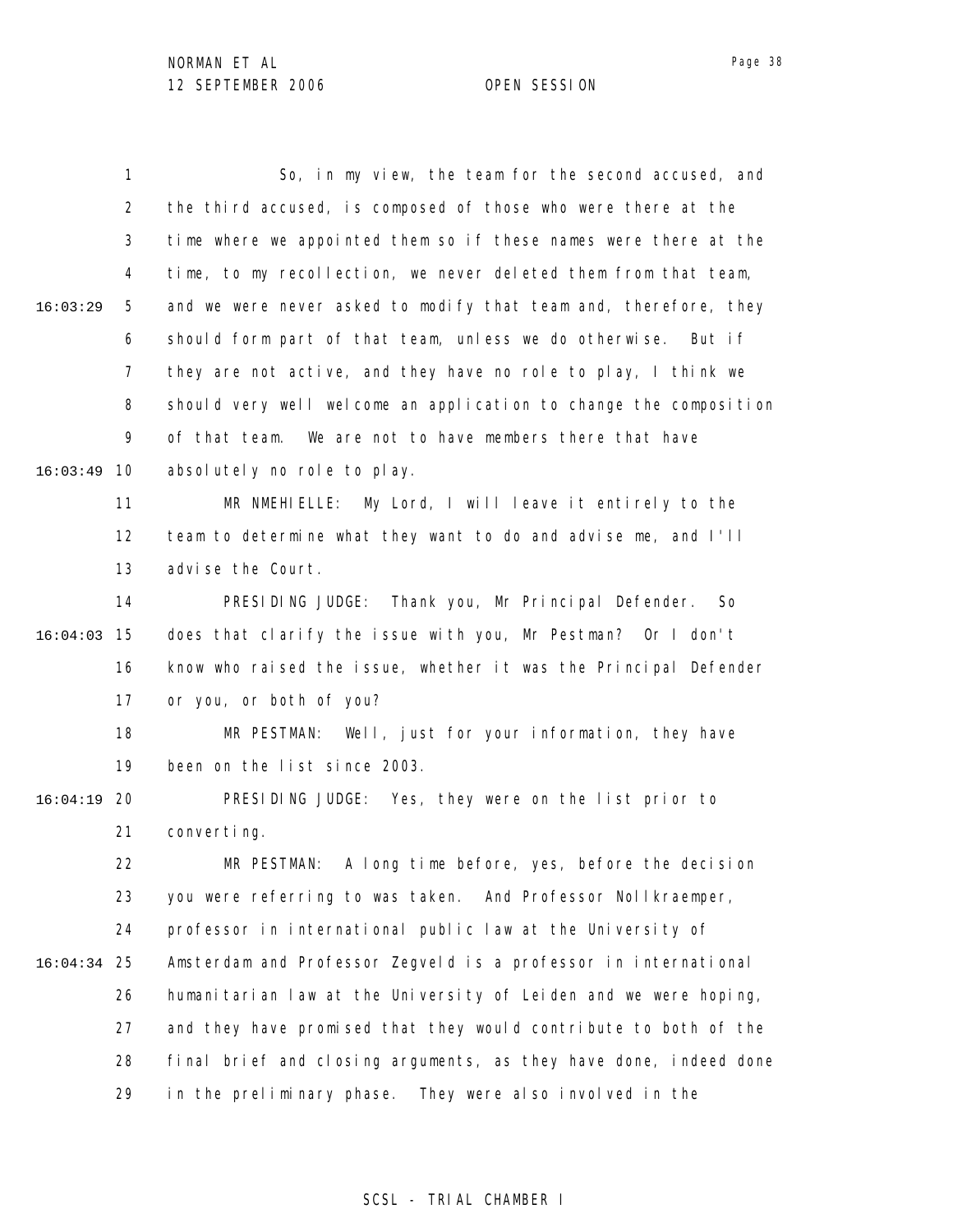1 2 3 4 5 6 7 8 9 10 16:03:49 11 12 13 14 15 16:04:03 16 17 18 19 20 16:04:19 21 22 23 24 25 16:04:34 26 27 28 29 16:03:29 So, in my view, the team for the second accused, and the third accused, is composed of those who were there at the time where we appointed them so if these names were there at the time, to my recollection, we never deleted them from that team, and we were never asked to modify that team and, therefore, they should form part of that team, unless we do otherwise. But if they are not active, and they have no role to play, I think we should very well welcome an application to change the composition of that team. We are not to have members there that have absolutely no role to play. MR NMEHIELLE: My Lord, I will leave it entirely to the team to determine what they want to do and advise me, and I'll advise the Court. PRESIDING JUDGE: Thank you, Mr Principal Defender. So does that clarify the issue with you, Mr Pestman? Or I don't know who raised the issue, whether it was the Principal Defender or you, or both of you? MR PESTMAN: Well, just for your information, they have been on the list since 2003. PRESIDING JUDGE: Yes, they were on the list prior to converting. MR PESTMAN: A long time before, yes, before the decision you were referring to was taken. And Professor Nollkraemper, professor in international public law at the University of Amsterdam and Professor Zegveld is a professor in international humanitarian law at the University of Leiden and we were hoping, and they have promised that they would contribute to both of the final brief and closing arguments, as they have done, indeed done in the preliminary phase. They were also involved in the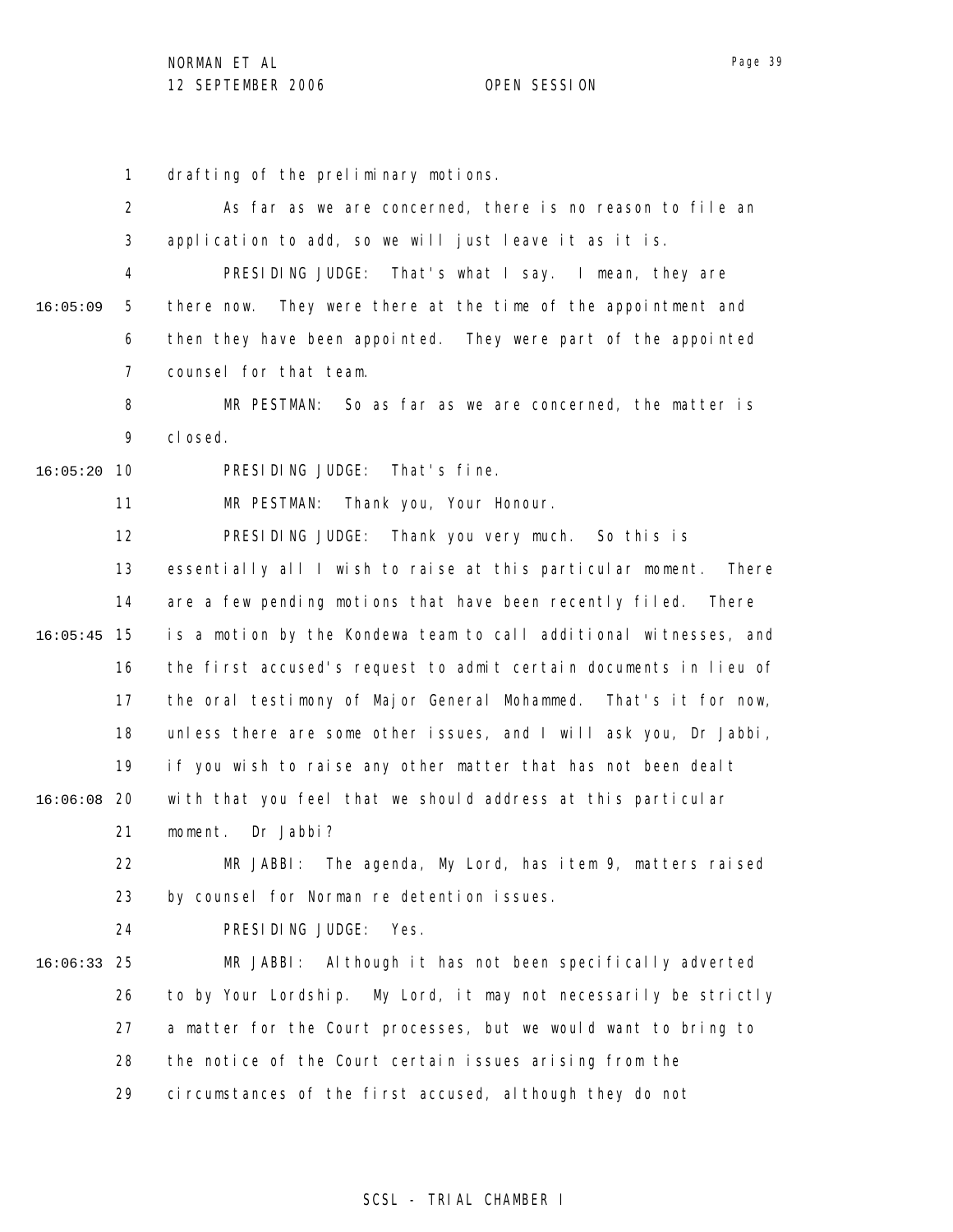1 drafting of the preliminary motions.

2 3 4 5 6 7 8 9 10 16:05:20 11 12 13 14 15 16:05:45 16 17 18 19 20 16:06:08 21 22 23 24 25 16:06:33 26 27 28 29 16:05:09 As far as we are concerned, there is no reason to file an application to add, so we will just leave it as it is. PRESIDING JUDGE: That's what I say. I mean, they are there now. They were there at the time of the appointment and then they have been appointed. They were part of the appointed counsel for that team. MR PESTMAN: So as far as we are concerned, the matter is closed. PRESIDING JUDGE: That's fine. MR PESTMAN: Thank you, Your Honour. PRESIDING JUDGE: Thank you very much. So this is essentially all I wish to raise at this particular moment. There are a few pending motions that have been recently filed. There is a motion by the Kondewa team to call additional witnesses, and the first accused's request to admit certain documents in lieu of the oral testimony of Major General Mohammed. That's it for now, unless there are some other issues, and I will ask you, Dr Jabbi, if you wish to raise any other matter that has not been dealt with that you feel that we should address at this particular moment. Dr Jabbi? MR JABBI: The agenda, My Lord, has item 9, matters raised by counsel for Norman re detention issues. PRESIDING JUDGE: Yes. MR JABBI: Although it has not been specifically adverted to by Your Lordship. My Lord, it may not necessarily be strictly a matter for the Court processes, but we would want to bring to the notice of the Court certain issues arising from the circumstances of the first accused, although they do not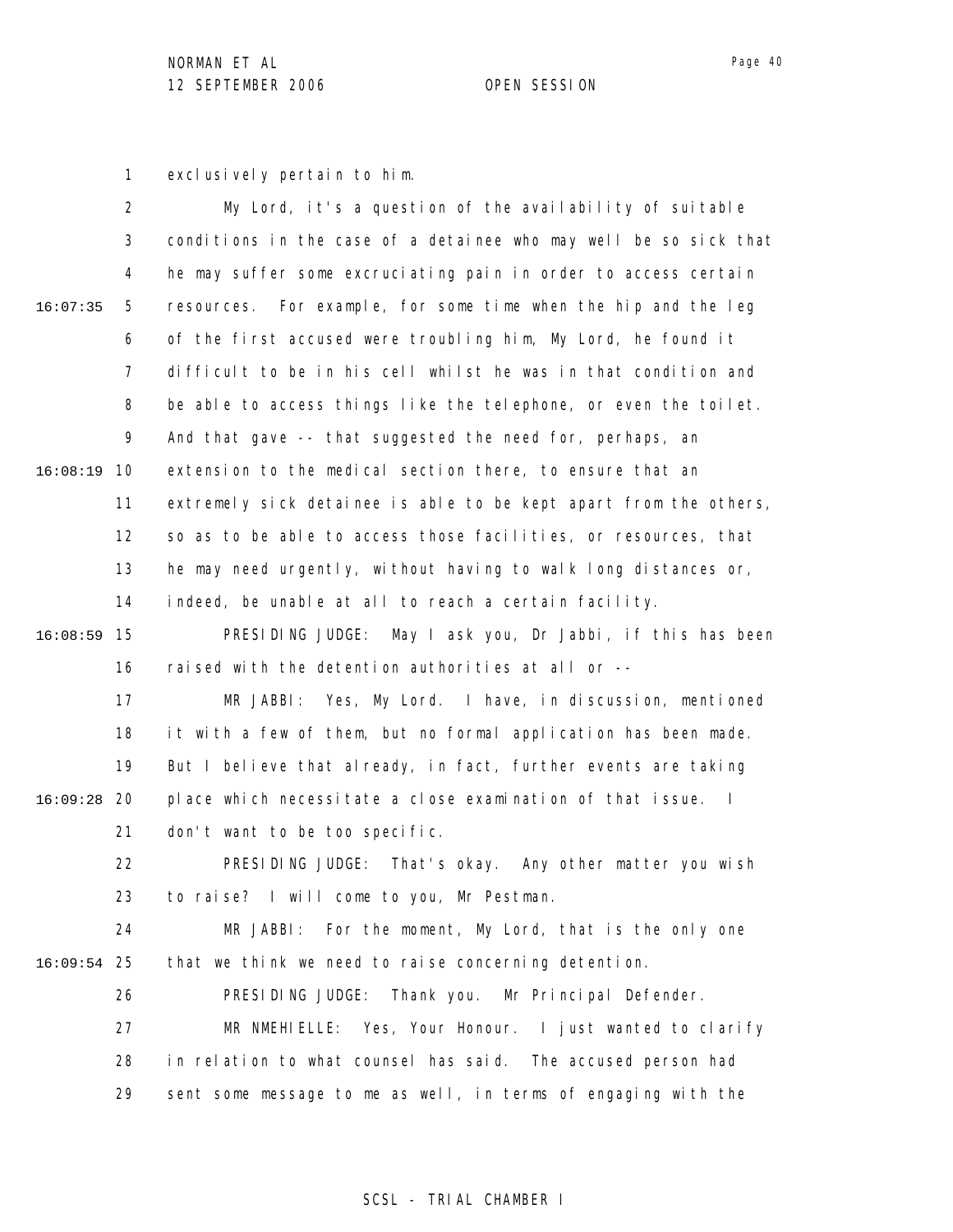Page 40

1 exclusively pertain to him.

|               | 2              | My Lord, it's a question of the availability of suitable                     |
|---------------|----------------|------------------------------------------------------------------------------|
|               | 3              | conditions in the case of a detainee who may well be so sick that            |
|               | 4              | he may suffer some excruciating pain in order to access certain              |
| 16:07:35      | 5              | resources. For example, for some time when the hip and the leg               |
|               | 6              | of the first accused were troubling him, My Lord, he found it                |
|               | $\overline{7}$ | difficult to be in his cell whilst he was in that condition and              |
|               | 8              | be able to access things like the telephone, or even the toilet.             |
|               | 9              | And that gave -- that suggested the need for, perhaps, an                    |
| 16:08:19      | 10             | extension to the medical section there, to ensure that an                    |
|               | 11             | extremely sick detainee is able to be kept apart from the others,            |
|               | 12             | so as to be able to access those facilities, or resources, that              |
|               | 13             | he may need urgently, without having to walk long distances or,              |
|               | 14             | indeed, be unable at all to reach a certain facility.                        |
| 16:08:59      | 15             | May I ask you, Dr Jabbi, if this has been<br>PRESIDING JUDGE:                |
|               | 16             | raised with the detention authorities at all or --                           |
|               | 17             | MR JABBI: Yes, My Lord. I have, in discussion, mentioned                     |
|               | 18             | it with a few of them, but no formal application has been made.              |
|               | 19             | But I believe that already, in fact, further events are taking               |
| 16:09:28      | -20            | place which necessitate a close examination of that issue.<br>$\blacksquare$ |
|               | 21             | don't want to be too specific.                                               |
|               | 22             | PRESIDING JUDGE: That's okay. Any other matter you wish                      |
|               | 23             | to raise? I will come to you, Mr Pestman.                                    |
|               | 24             | For the moment, My Lord, that is the only one<br>MR JABBI:                   |
| $16:09:54$ 25 |                | that we think we need to raise concerning detention.                         |
|               | 26             | PRESIDING JUDGE: Thank you. Mr Principal Defender.                           |
|               | 27             | MR NMEHIELLE: Yes, Your Honour. I just wanted to clarify                     |
|               | 28             | in relation to what counsel has said. The accused person had                 |
|               | 29             | sent some message to me as well, in terms of engaging with the               |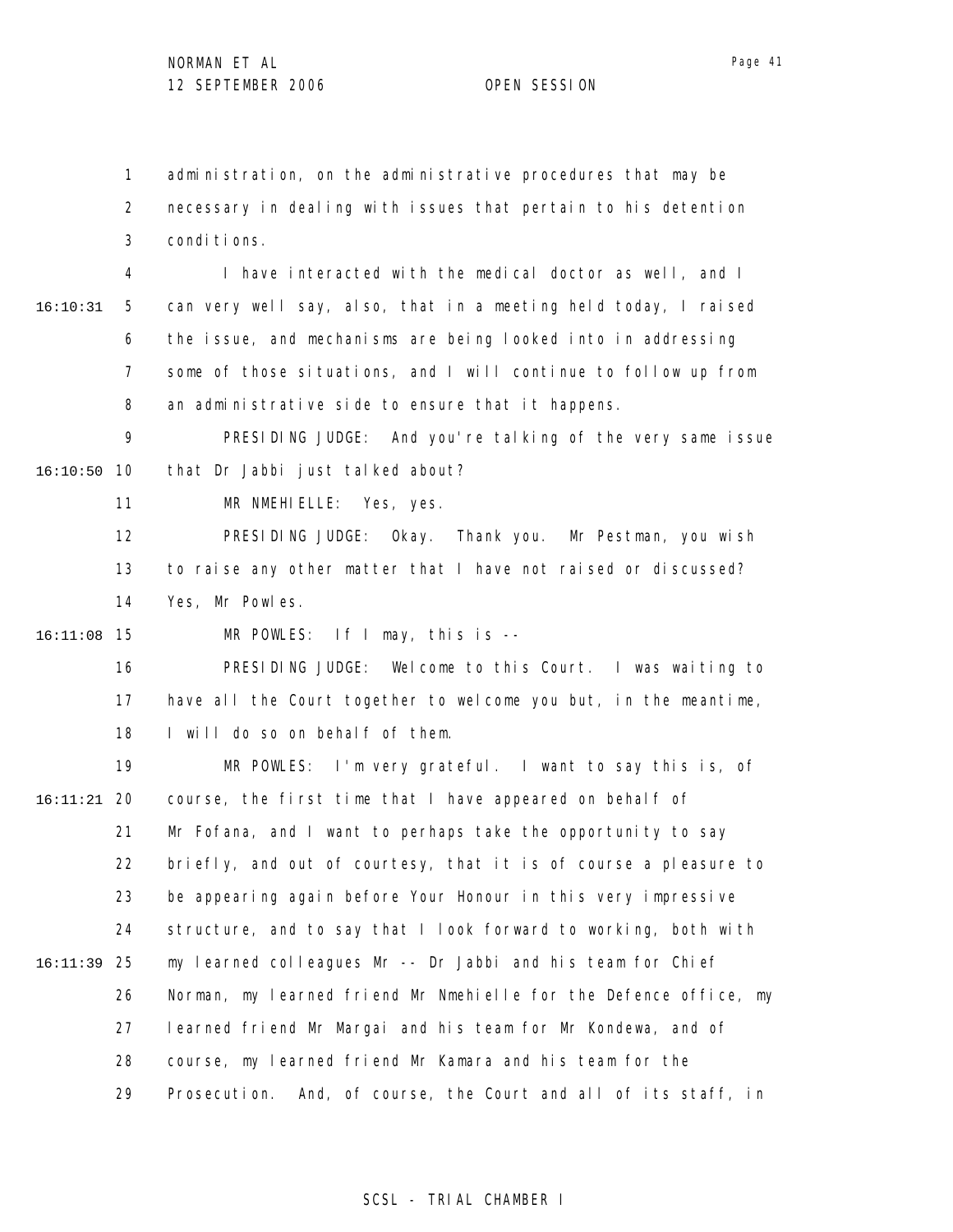1 2 3 administration, on the administrative procedures that may be necessary in dealing with issues that pertain to his detention conditions.

4 5 6 7 8 16:10:31 I have interacted with the medical doctor as well, and I can very well say, also, that in a meeting held today, I raised the issue, and mechanisms are being looked into in addressing some of those situations, and I will continue to follow up from an administrative side to ensure that it happens.

9 10 16:10:50 PRESIDING JUDGE: And you're talking of the very same issue that Dr Jabbi just talked about?

> 11 MR NMEHIELLE: Yes, yes.

12 13 14 PRESIDING JUDGE: Okay. Thank you. Mr Pestman, you wish to raise any other matter that I have not raised or discussed? Yes, Mr Powles.

15 16:11:08 MR POWLES: If I may, this is --

> 16 17 18 PRESIDING JUDGE: Welcome to this Court. I was waiting to have all the Court together to welcome you but, in the meantime, I will do so on behalf of them.

19 20 16:11:21 21 22 23 24 25 16:11:39 26 27 28 29 MR POWLES: I'm very grateful. I want to say this is, of course, the first time that I have appeared on behalf of Mr Fofana, and I want to perhaps take the opportunity to say briefly, and out of courtesy, that it is of course a pleasure to be appearing again before Your Honour in this very impressive structure, and to say that I look forward to working, both with my learned colleagues Mr -- Dr Jabbi and his team for Chief Norman, my learned friend Mr Nmehielle for the Defence office, my learned friend Mr Margai and his team for Mr Kondewa, and of course, my learned friend Mr Kamara and his team for the Prosecution. And, of course, the Court and all of its staff, in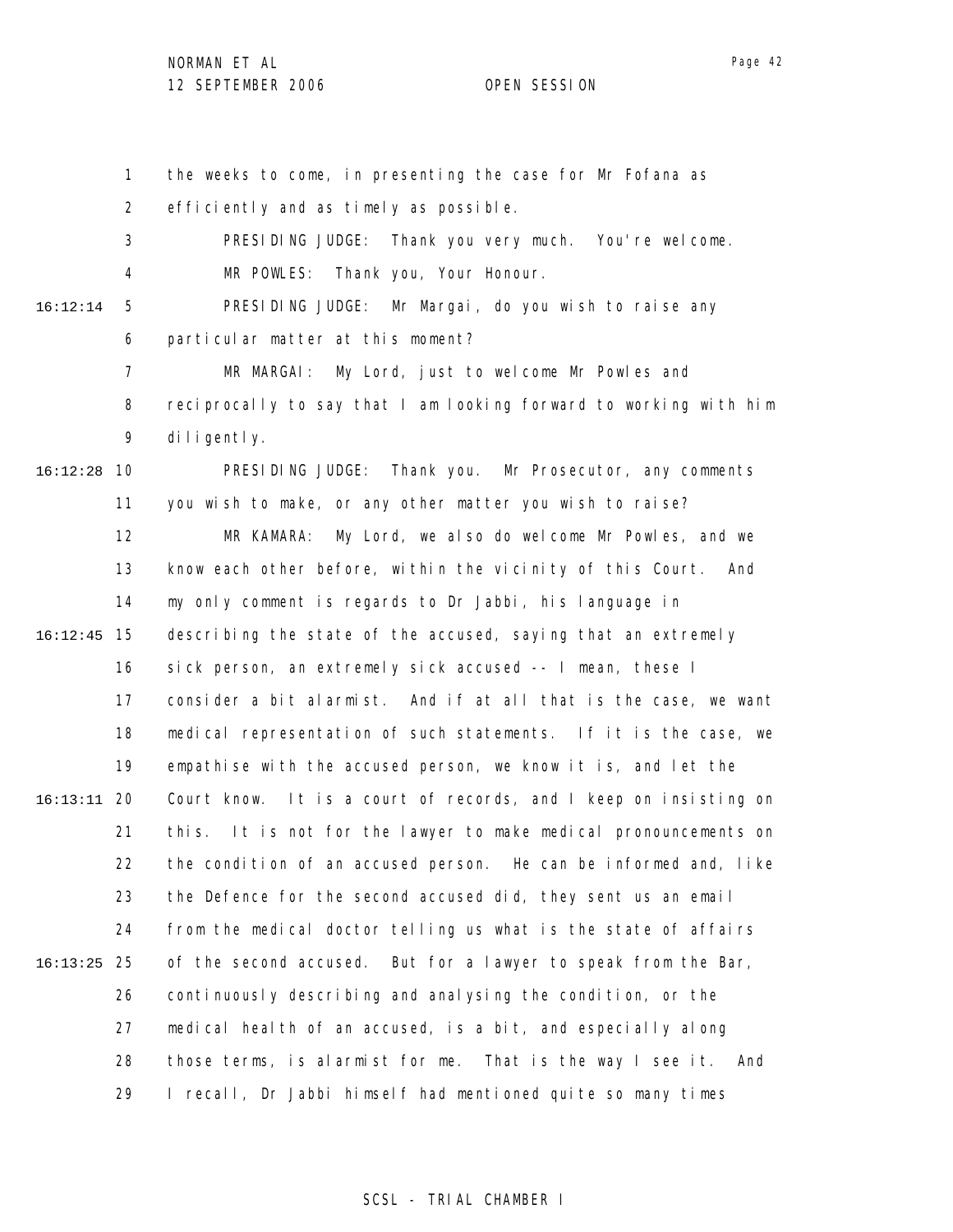1 2 3 4 5 6 7 8 9 10 16:12:28 11 12 13 14 15 16:12:45 16 17 18 19 20 16:13:11 21 22 23 24 25 16:13:25 26 27 28 29 16:12:14 the weeks to come, in presenting the case for Mr Fofana as efficiently and as timely as possible. PRESIDING JUDGE: Thank you very much. You're welcome. MR POWLES: Thank you, Your Honour. PRESIDING JUDGE: Mr Margai, do you wish to raise any particular matter at this moment? MR MARGAI: My Lord, just to welcome Mr Powles and reciprocally to say that I am looking forward to working with him diligently. PRESIDING JUDGE: Thank you. Mr Prosecutor, any comments you wish to make, or any other matter you wish to raise? MR KAMARA: My Lord, we also do welcome Mr Powles, and we know each other before, within the vicinity of this Court. And my only comment is regards to Dr Jabbi, his language in describing the state of the accused, saying that an extremely sick person, an extremely sick accused -- I mean, these I consider a bit alarmist. And if at all that is the case, we want medical representation of such statements. If it is the case, we empathise with the accused person, we know it is, and let the Court know. It is a court of records, and I keep on insisting on this. It is not for the lawyer to make medical pronouncements on the condition of an accused person. He can be informed and, like the Defence for the second accused did, they sent us an email from the medical doctor telling us what is the state of affairs of the second accused. But for a lawyer to speak from the Bar, continuously describing and analysing the condition, or the medical health of an accused, is a bit, and especially along those terms, is alarmist for me. That is the way I see it. And I recall, Dr Jabbi himself had mentioned quite so many times

### SCSL - TRIAL CHAMBER I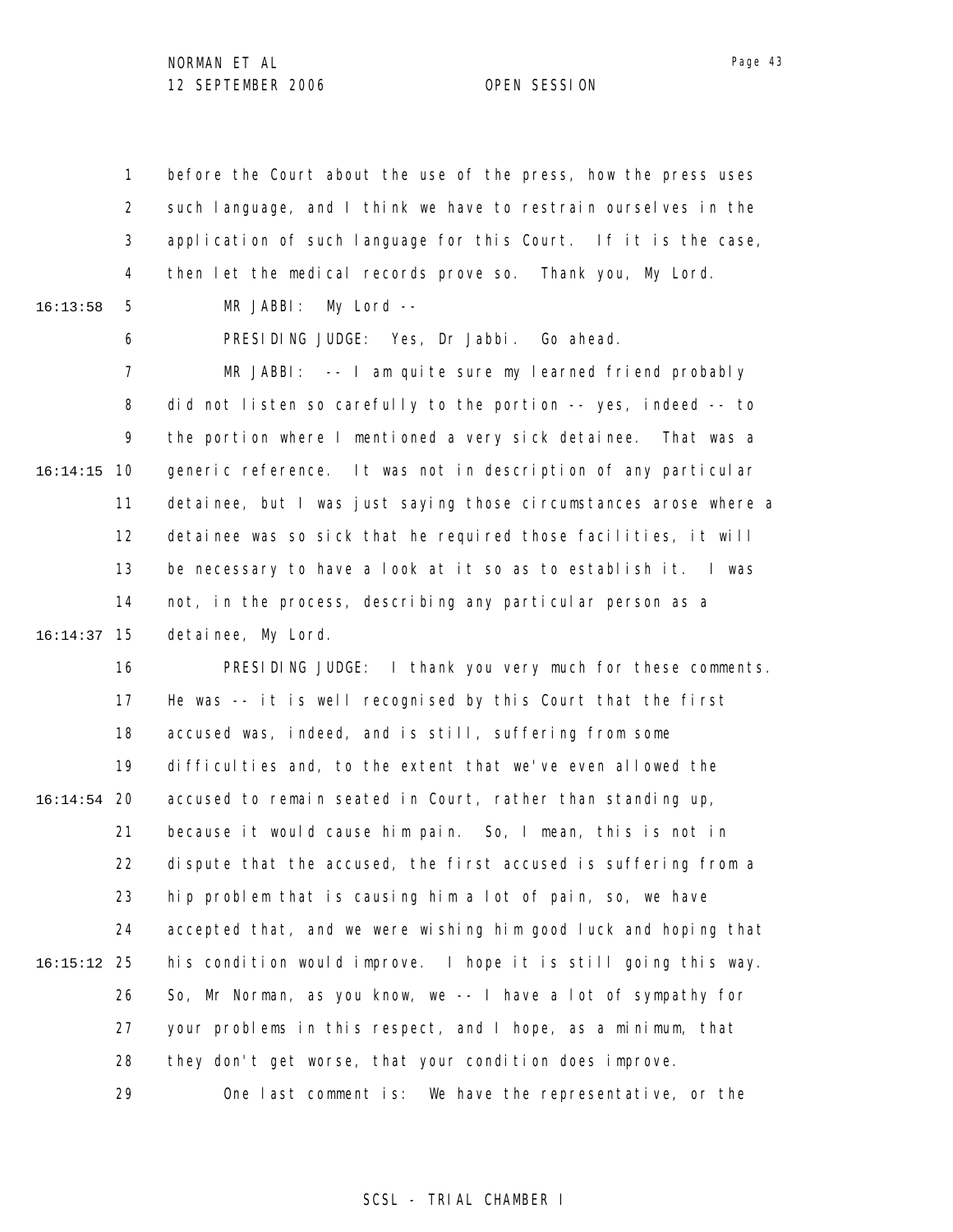1 2 3 4 5 6 7 8 9 10 16:14:15 11 12 13 14 15 16:14:37 16 17 18 19 20 16:14:54 21 22 23 24 25 16:15:12 26 27 28 29 16:13:58 before the Court about the use of the press, how the press uses such language, and I think we have to restrain ourselves in the application of such language for this Court. If it is the case, then let the medical records prove so. Thank you, My Lord. MR JABBI: My Lord -- PRESIDING JUDGE: Yes, Dr Jabbi. Go ahead. MR JABBI: -- I am quite sure my learned friend probably did not listen so carefully to the portion -- yes, indeed -- to the portion where I mentioned a very sick detainee. That was a generic reference. It was not in description of any particular detainee, but I was just saying those circumstances arose where a detainee was so sick that he required those facilities, it will be necessary to have a look at it so as to establish it. I was not, in the process, describing any particular person as a detainee, My Lord. PRESIDING JUDGE: I thank you very much for these comments. He was -- it is well recognised by this Court that the first accused was, indeed, and is still, suffering from some difficulties and, to the extent that we've even allowed the accused to remain seated in Court, rather than standing up, because it would cause him pain. So, I mean, this is not in dispute that the accused, the first accused is suffering from a hip problem that is causing him a lot of pain, so, we have accepted that, and we were wishing him good luck and hoping that his condition would improve. I hope it is still going this way. So, Mr Norman, as you know, we -- I have a lot of sympathy for your problems in this respect, and I hope, as a minimum, that they don't get worse, that your condition does improve. One last comment is: We have the representative, or the

### SCSL - TRIAL CHAMBER I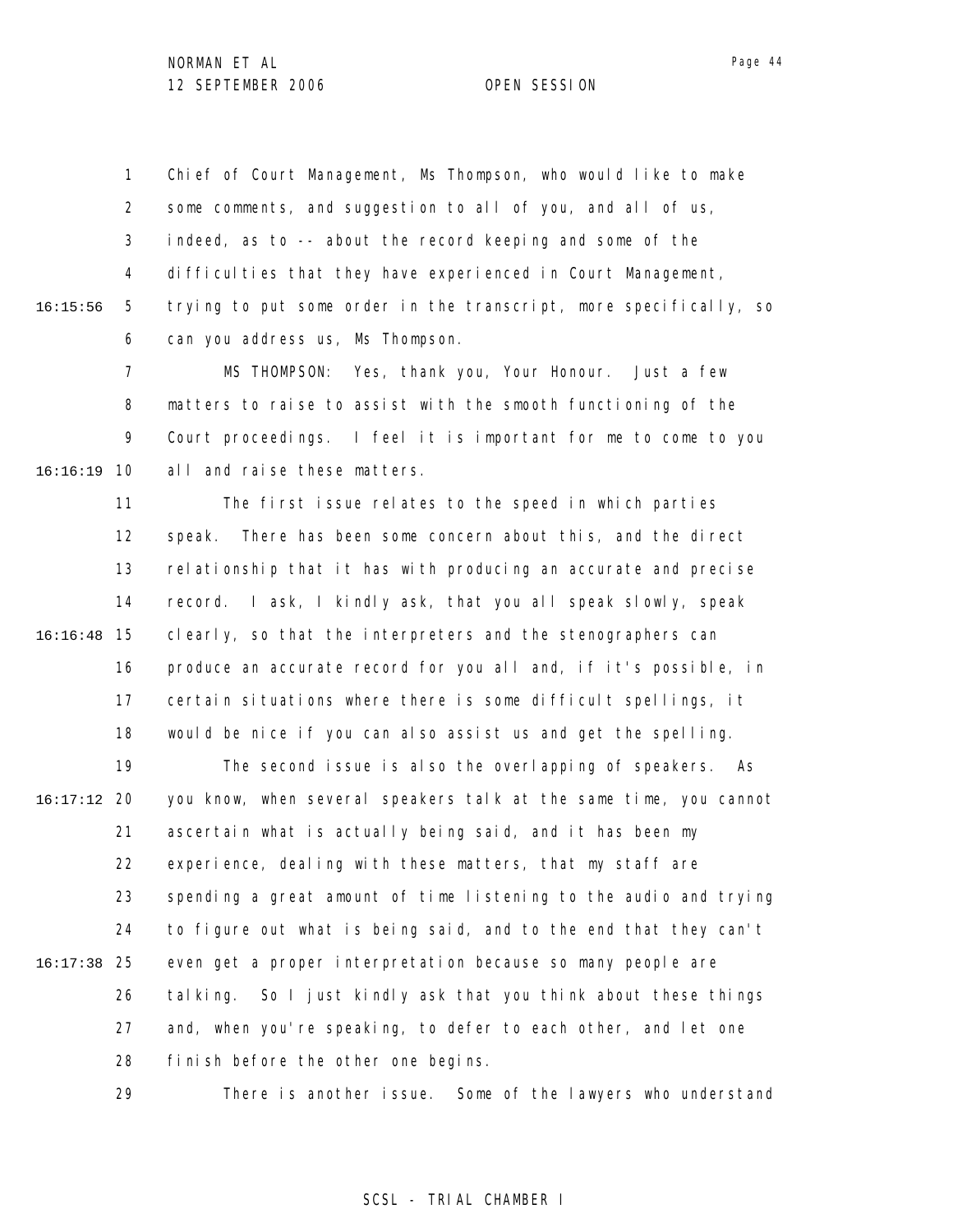1 2 3 4 5 6 16:15:56 Chief of Court Management, Ms Thompson, who would like to make some comments, and suggestion to all of you, and all of us, indeed, as to -- about the record keeping and some of the difficulties that they have experienced in Court Management, trying to put some order in the transcript, more specifically, so can you address us, Ms Thompson.

7 8 9 10 16:16:19 MS THOMPSON: Yes, thank you, Your Honour. Just a few matters to raise to assist with the smooth functioning of the Court proceedings. I feel it is important for me to come to you all and raise these matters.

11 12 13 14 15 16:16:48 16 17 18 The first issue relates to the speed in which parties speak. There has been some concern about this, and the direct relationship that it has with producing an accurate and precise record. I ask, I kindly ask, that you all speak slowly, speak clearly, so that the interpreters and the stenographers can produce an accurate record for you all and, if it's possible, in certain situations where there is some difficult spellings, it would be nice if you can also assist us and get the spelling.

19 20 16:17:12 21 22 23 24 25 16:17:38 26 27 28 The second issue is also the overlapping of speakers. As you know, when several speakers talk at the same time, you cannot ascertain what is actually being said, and it has been my experience, dealing with these matters, that my staff are spending a great amount of time listening to the audio and trying to figure out what is being said, and to the end that they can't even get a proper interpretation because so many people are talking. So I just kindly ask that you think about these things and, when you're speaking, to defer to each other, and let one finish before the other one begins.

> 29 There is another issue. Some of the lawyers who understand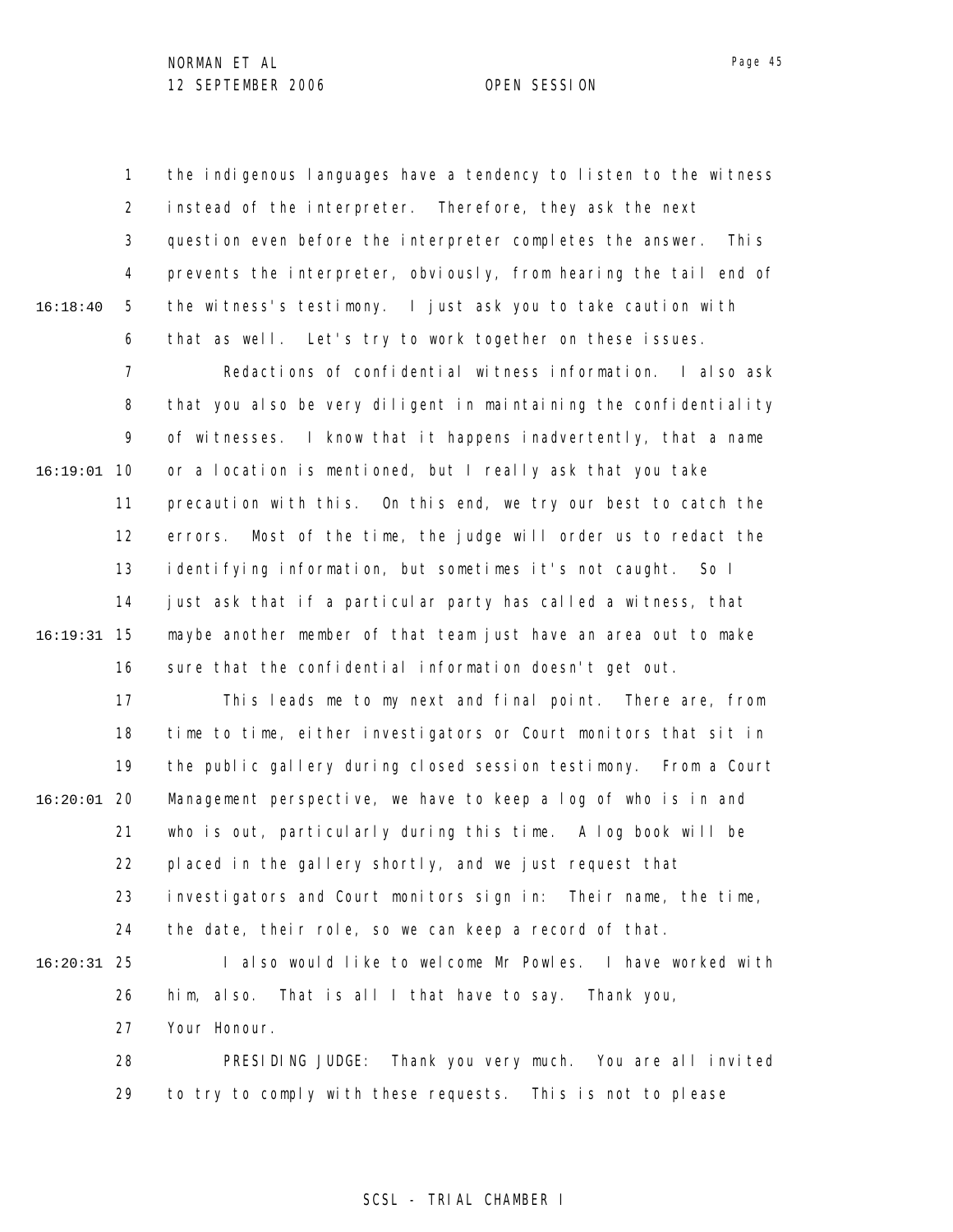1 2 3 4 5 6 16:18:40 the indigenous languages have a tendency to listen to the witness instead of the interpreter. Therefore, they ask the next question even before the interpreter completes the answer. This prevents the interpreter, obviously, from hearing the tail end of the witness's testimony. I just ask you to take caution with that as well. Let's try to work together on these issues.

7 8 9 10 16:19:01 11 12 13 14 15 16:19:31 16 Redactions of confidential witness information. I also ask that you also be very diligent in maintaining the confidentiality of witnesses. I know that it happens inadvertently, that a name or a location is mentioned, but I really ask that you take precaution with this. On this end, we try our best to catch the errors. Most of the time, the judge will order us to redact the identifying information, but sometimes it's not caught. So I just ask that if a particular party has called a witness, that maybe another member of that team just have an area out to make sure that the confidential information doesn't get out.

17 18 19 20 16:20:01 21 22 23 24 25 16:20:31 26 This leads me to my next and final point. There are, from time to time, either investigators or Court monitors that sit in the public gallery during closed session testimony. From a Court Management perspective, we have to keep a log of who is in and who is out, particularly during this time. A log book will be placed in the gallery shortly, and we just request that investigators and Court monitors sign in: Their name, the time, the date, their role, so we can keep a record of that. I also would like to welcome Mr Powles. I have worked with him, also. That is all I that have to say. Thank you,

> 27 Your Honour.

28 29 PRESIDING JUDGE: Thank you very much. You are all invited to try to comply with these requests. This is not to please